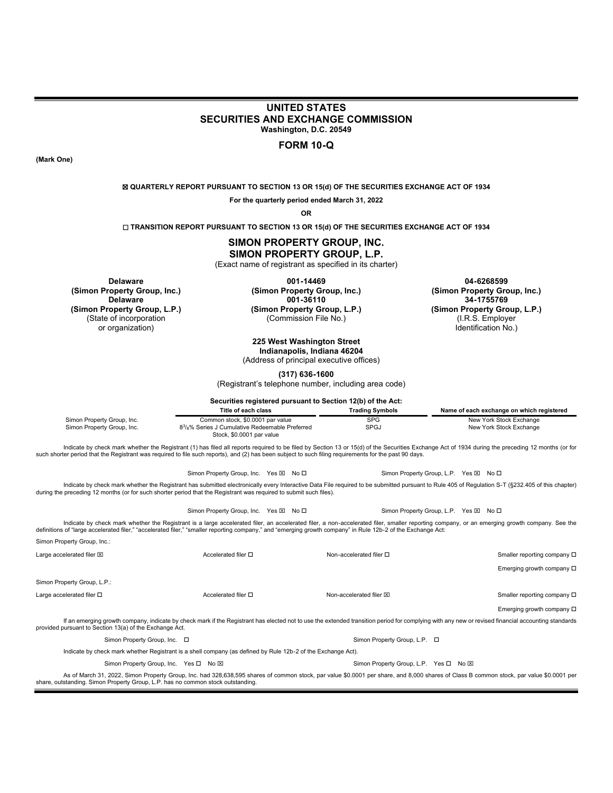### **UNITED STATES SECURITIES AND EXCHANGE COMMISSION Washington, D.C. 20549**

### **FORM 10-Q**

**(Mark One)** 

### ☒ **QUARTERLY REPORT PURSUANT TO SECTION 13 OR 15(d) OF THE SECURITIES EXCHANGE ACT OF 1934**

**For the quarterly period ended March 31, 2022** 

**OR** 

☐ **TRANSITION REPORT PURSUANT TO SECTION 13 OR 15(d) OF THE SECURITIES EXCHANGE ACT OF 1934** 

### **SIMON PROPERTY GROUP, INC. SIMON PROPERTY GROUP, L.P.**

(Exact name of registrant as specified in its charter)

**Delaware (Simon Property Group, Inc.) Delaware (Simon Property Group, L.P.)** (State of incorporation or organization)

**001-14469 (Simon Property Group, Inc.) 001-36110 (Simon Property Group, L.P.)** (Commission File No.)

**04-6268599 (Simon Property Group, Inc.) 34-1755769 (Simon Property Group, L.P.)** (I.R.S. Employer Identification No.)

**225 West Washington Street Indianapolis, Indiana 46204**

(Address of principal executive offices)

**(317) 636-1600**

(Registrant's telephone number, including area code)

**Securities registered pursuant to Section 12(b) of the Act:** 

|                                                                                                                                                              | Title of each class                                                                                             | <b>Trading Symbols</b>                | Name of each exchange on which registered                                                                                                                                                          |
|--------------------------------------------------------------------------------------------------------------------------------------------------------------|-----------------------------------------------------------------------------------------------------------------|---------------------------------------|----------------------------------------------------------------------------------------------------------------------------------------------------------------------------------------------------|
| Simon Property Group, Inc.<br>Simon Property Group, Inc.                                                                                                     | Common stock, \$0.0001 par value<br>83/8% Series J Cumulative Redeemable Preferred<br>Stock, \$0.0001 par value | <b>SPG</b><br>SPGJ                    | New York Stock Exchange<br>New York Stock Exchange                                                                                                                                                 |
| such shorter period that the Registrant was required to file such reports), and (2) has been subject to such filing requirements for the past 90 days.       |                                                                                                                 |                                       | Indicate by check mark whether the Registrant (1) has filed all reports required to be filed by Section 13 or 15(d) of the Securities Exchange Act of 1934 during the preceding 12 months (or for  |
|                                                                                                                                                              | Simon Property Group, Inc. Yes ⊠ No □                                                                           |                                       | Simon Property Group, L.P. Yes ⊠ No O                                                                                                                                                              |
| during the preceding 12 months (or for such shorter period that the Registrant was required to submit such files).                                           |                                                                                                                 |                                       | Indicate by check mark whether the Registrant has submitted electronically every Interactive Data File required to be submitted pursuant to Rule 405 of Regulation S-T (§232.405 of this chapter)  |
|                                                                                                                                                              | Simon Property Group, Inc. Yes ⊠ No □                                                                           |                                       | Simon Property Group, L.P. Yes ⊠ No O                                                                                                                                                              |
| definitions of "large accelerated filer," "accelerated filer," "smaller reporting company," and "emerging growth company" in Rule 12b-2 of the Exchange Act: |                                                                                                                 |                                       | Indicate by check mark whether the Registrant is a large accelerated filer, an accelerated filer, a non-accelerated filer, smaller reporting company, or an emerging growth company. See the       |
| Simon Property Group, Inc.:                                                                                                                                  |                                                                                                                 |                                       |                                                                                                                                                                                                    |
| Large accelerated filer $\boxtimes$                                                                                                                          | Accelerated filer □                                                                                             | Non-accelerated filer □               | Smaller reporting company $\Box$                                                                                                                                                                   |
|                                                                                                                                                              |                                                                                                                 |                                       | Emerging growth company $\Box$                                                                                                                                                                     |
| Simon Property Group, L.P.:                                                                                                                                  |                                                                                                                 |                                       |                                                                                                                                                                                                    |
| Large accelerated filer $\square$                                                                                                                            | Accelerated filer □                                                                                             | Non-accelerated filer ⊠               | Smaller reporting company □                                                                                                                                                                        |
|                                                                                                                                                              |                                                                                                                 |                                       | Emerging growth company $\Box$                                                                                                                                                                     |
| provided pursuant to Section 13(a) of the Exchange Act.                                                                                                      |                                                                                                                 |                                       | If an emerging growth company, indicate by check mark if the Registrant has elected not to use the extended transition period for complying with any new or revised financial accounting standards |
| Simon Property Group, Inc. □                                                                                                                                 |                                                                                                                 | Simon Property Group, L.P. □          |                                                                                                                                                                                                    |
|                                                                                                                                                              | Indicate by check mark whether Registrant is a shell company (as defined by Rule 12b-2 of the Exchange Act).    |                                       |                                                                                                                                                                                                    |
| Simon Property Group, Inc. Yes □ No ⊠                                                                                                                        |                                                                                                                 | Simon Property Group, L.P. Yes □ No ⊠ |                                                                                                                                                                                                    |
| share, outstanding. Simon Property Group, L.P. has no common stock outstanding.                                                                              |                                                                                                                 |                                       | As of March 31, 2022, Simon Property Group, Inc. had 328,638,595 shares of common stock, par value \$0.0001 per share, and 8,000 shares of Class B common stock, par value \$0.0001 per            |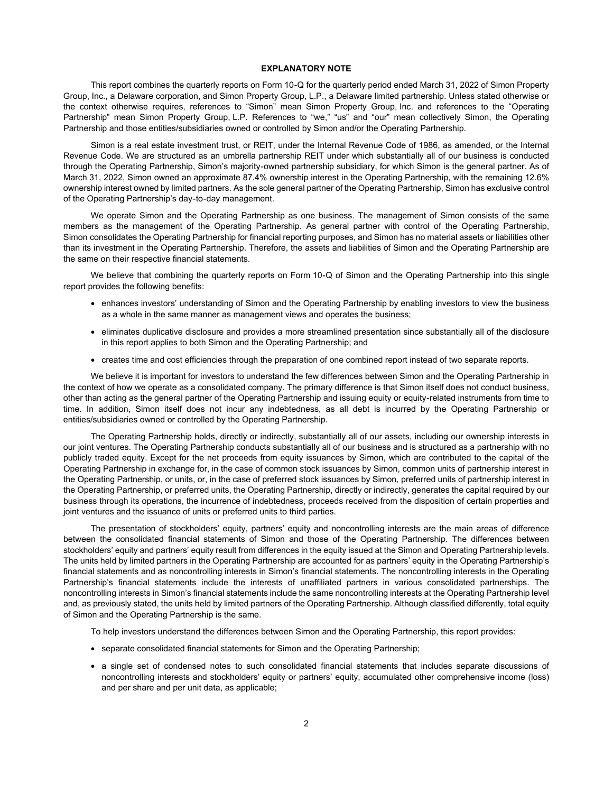### **EXPLANATORY NOTE**

This report combines the quarterly reports on Form 10-Q for the quarterly period ended March 31, 2022 of Simon Property Group, Inc., a Delaware corporation, and Simon Property Group, L.P., a Delaware limited partnership. Unless stated otherwise or the context otherwise requires, references to "Simon" mean Simon Property Group, Inc. and references to the "Operating Partnership" mean Simon Property Group, L.P. References to "we," "us" and "our" mean collectively Simon, the Operating Partnership and those entities/subsidiaries owned or controlled by Simon and/or the Operating Partnership.

Simon is a real estate investment trust, or REIT, under the Internal Revenue Code of 1986, as amended, or the Internal Revenue Code. We are structured as an umbrella partnership REIT under which substantially all of our business is conducted through the Operating Partnership, Simon's majority-owned partnership subsidiary, for which Simon is the general partner. As of March 31, 2022, Simon owned an approximate 87.4% ownership interest in the Operating Partnership, with the remaining 12.6% ownership interest owned by limited partners. As the sole general partner of the Operating Partnership, Simon has exclusive control of the Operating Partnership's day-to-day management.

We operate Simon and the Operating Partnership as one business. The management of Simon consists of the same members as the management of the Operating Partnership. As general partner with control of the Operating Partnership, Simon consolidates the Operating Partnership for financial reporting purposes, and Simon has no material assets or liabilities other than its investment in the Operating Partnership. Therefore, the assets and liabilities of Simon and the Operating Partnership are the same on their respective financial statements.

We believe that combining the quarterly reports on Form 10-Q of Simon and the Operating Partnership into this single report provides the following benefits:

- enhances investors' understanding of Simon and the Operating Partnership by enabling investors to view the business as a whole in the same manner as management views and operates the business;
- eliminates duplicative disclosure and provides a more streamlined presentation since substantially all of the disclosure in this report applies to both Simon and the Operating Partnership; and
- creates time and cost efficiencies through the preparation of one combined report instead of two separate reports.

We believe it is important for investors to understand the few differences between Simon and the Operating Partnership in the context of how we operate as a consolidated company. The primary difference is that Simon itself does not conduct business, other than acting as the general partner of the Operating Partnership and issuing equity or equity-related instruments from time to time. In addition, Simon itself does not incur any indebtedness, as all debt is incurred by the Operating Partnership or entities/subsidiaries owned or controlled by the Operating Partnership.

The Operating Partnership holds, directly or indirectly, substantially all of our assets, including our ownership interests in our joint ventures. The Operating Partnership conducts substantially all of our business and is structured as a partnership with no publicly traded equity. Except for the net proceeds from equity issuances by Simon, which are contributed to the capital of the Operating Partnership in exchange for, in the case of common stock issuances by Simon, common units of partnership interest in the Operating Partnership, or units, or, in the case of preferred stock issuances by Simon, preferred units of partnership interest in the Operating Partnership, or preferred units, the Operating Partnership, directly or indirectly, generates the capital required by our business through its operations, the incurrence of indebtedness, proceeds received from the disposition of certain properties and joint ventures and the issuance of units or preferred units to third parties.

The presentation of stockholders' equity, partners' equity and noncontrolling interests are the main areas of difference between the consolidated financial statements of Simon and those of the Operating Partnership. The differences between stockholders' equity and partners' equity result from differences in the equity issued at the Simon and Operating Partnership levels. The units held by limited partners in the Operating Partnership are accounted for as partners' equity in the Operating Partnership's financial statements and as noncontrolling interests in Simon's financial statements. The noncontrolling interests in the Operating Partnership's financial statements include the interests of unaffiliated partners in various consolidated partnerships. The noncontrolling interests in Simon's financial statements include the same noncontrolling interests at the Operating Partnership level and, as previously stated, the units held by limited partners of the Operating Partnership. Although classified differently, total equity of Simon and the Operating Partnership is the same.

To help investors understand the differences between Simon and the Operating Partnership, this report provides:

- separate consolidated financial statements for Simon and the Operating Partnership;
- a single set of condensed notes to such consolidated financial statements that includes separate discussions of noncontrolling interests and stockholders' equity or partners' equity, accumulated other comprehensive income (loss) and per share and per unit data, as applicable;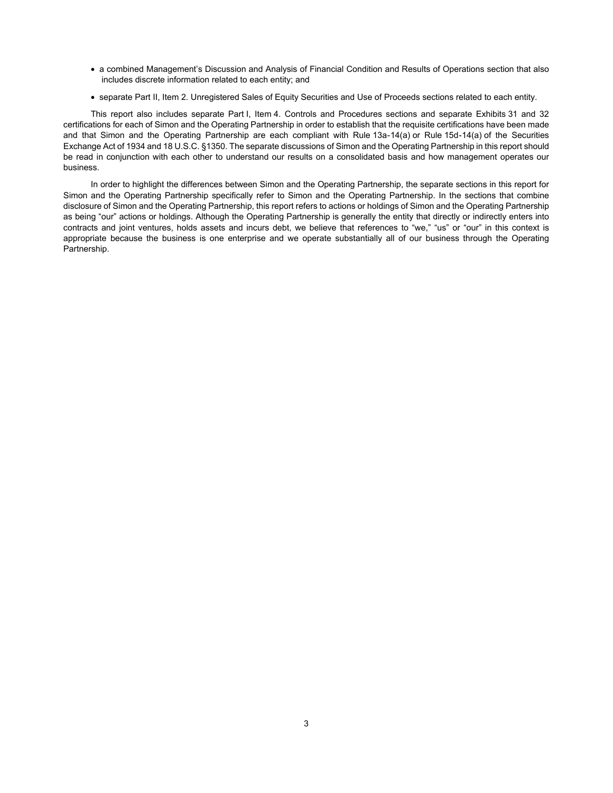- a combined Management's Discussion and Analysis of Financial Condition and Results of Operations section that also includes discrete information related to each entity; and
- separate Part II, Item 2. Unregistered Sales of Equity Securities and Use of Proceeds sections related to each entity.

This report also includes separate Part I, Item 4. Controls and Procedures sections and separate Exhibits 31 and 32 certifications for each of Simon and the Operating Partnership in order to establish that the requisite certifications have been made and that Simon and the Operating Partnership are each compliant with Rule 13a-14(a) or Rule 15d-14(a) of the Securities Exchange Act of 1934 and 18 U.S.C. §1350. The separate discussions of Simon and the Operating Partnership in this report should be read in conjunction with each other to understand our results on a consolidated basis and how management operates our business.

In order to highlight the differences between Simon and the Operating Partnership, the separate sections in this report for Simon and the Operating Partnership specifically refer to Simon and the Operating Partnership. In the sections that combine disclosure of Simon and the Operating Partnership, this report refers to actions or holdings of Simon and the Operating Partnership as being "our" actions or holdings. Although the Operating Partnership is generally the entity that directly or indirectly enters into contracts and joint ventures, holds assets and incurs debt, we believe that references to "we," "us" or "our" in this context is appropriate because the business is one enterprise and we operate substantially all of our business through the Operating Partnership.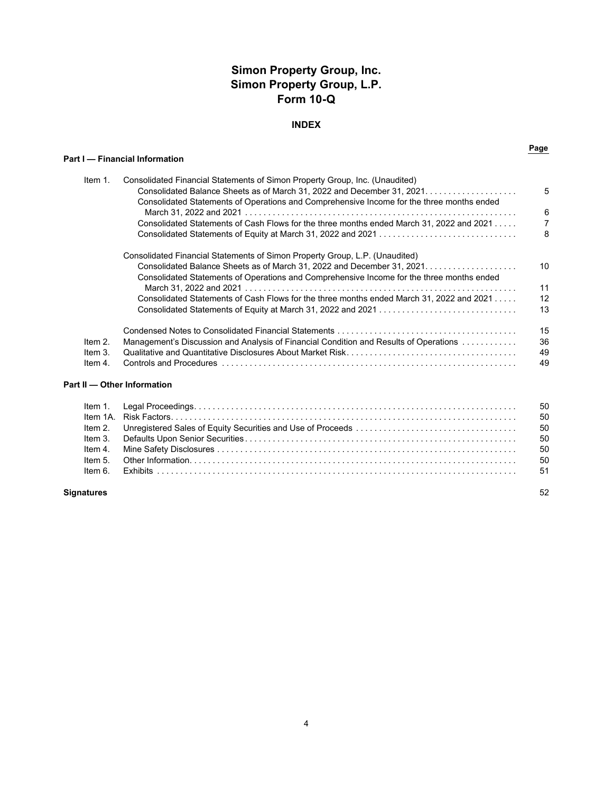# **Simon Property Group, Inc. Simon Property Group, L.P. Form 10-Q**

### **INDEX**

### **Part I — Financial Information**

| Item 1.                     | Consolidated Financial Statements of Simon Property Group, Inc. (Unaudited)               |    |
|-----------------------------|-------------------------------------------------------------------------------------------|----|
|                             |                                                                                           | 5  |
|                             | Consolidated Statements of Operations and Comprehensive Income for the three months ended | 6  |
|                             | Consolidated Statements of Cash Flows for the three months ended March 31, 2022 and 2021  | 7  |
|                             |                                                                                           | 8  |
|                             | Consolidated Financial Statements of Simon Property Group, L.P. (Unaudited)               |    |
|                             |                                                                                           | 10 |
|                             | Consolidated Statements of Operations and Comprehensive Income for the three months ended | 11 |
|                             | Consolidated Statements of Cash Flows for the three months ended March 31, 2022 and 2021  | 12 |
|                             | Consolidated Statements of Equity at March 31, 2022 and 2021                              | 13 |
|                             |                                                                                           | 15 |
| Item $2.$                   | Management's Discussion and Analysis of Financial Condition and Results of Operations     | 36 |
| Item 3.                     |                                                                                           | 49 |
| Item 4.                     |                                                                                           | 49 |
| Part II - Other Information |                                                                                           |    |

|  | 50 |
|--|----|
|  |    |
|  |    |
|  |    |
|  |    |
|  |    |
|  |    |

#### **Signatures** 52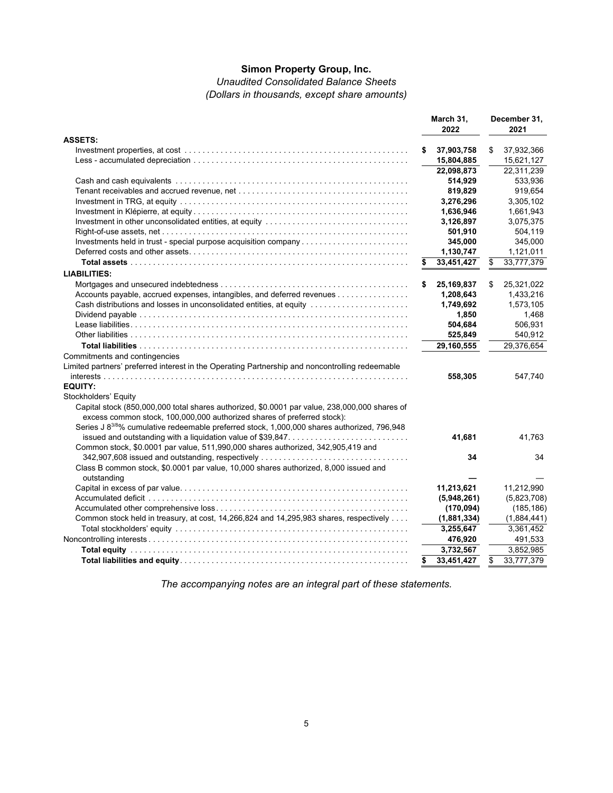# **Simon Property Group, Inc.**

# *Unaudited Consolidated Balance Sheets (Dollars in thousands, except share amounts)*

|                                                                                                 |    | March 31,<br>2022       | December 31,<br>2021 |
|-------------------------------------------------------------------------------------------------|----|-------------------------|----------------------|
| <b>ASSETS:</b>                                                                                  |    |                         |                      |
|                                                                                                 | S  | 37,903,758              | \$<br>37,932,366     |
|                                                                                                 |    | 15,804,885              | 15,621,127           |
|                                                                                                 |    | 22,098,873              | 22,311,239           |
|                                                                                                 |    | 514,929                 | 533,936              |
|                                                                                                 |    | 819,829                 | 919,654              |
|                                                                                                 |    | 3,276,296               | 3,305,102            |
|                                                                                                 |    | 1,636,946               | 1,661,943            |
|                                                                                                 |    | 3,126,897               | 3,075,375            |
|                                                                                                 |    | 501,910                 | 504,119              |
| Investments held in trust - special purpose acquisition company                                 |    | 345,000                 | 345,000              |
|                                                                                                 |    | 1,130,747               | 1,121,011            |
|                                                                                                 |    | 33,451,427              | \$<br>33,777,379     |
| <b>LIABILITIES:</b>                                                                             |    |                         |                      |
|                                                                                                 | \$ | 25,169,837              | \$<br>25,321,022     |
| Accounts payable, accrued expenses, intangibles, and deferred revenues                          |    | 1,208,643               | 1,433,216            |
| Cash distributions and losses in unconsolidated entities, at equity                             |    | 1,749,692               | 1,573,105            |
|                                                                                                 |    | 1,850                   | 1,468                |
|                                                                                                 |    | 504,684                 | 506,931              |
|                                                                                                 |    | 525,849                 | 540,912              |
|                                                                                                 |    | $\overline{29,}160,555$ | 29,376,654           |
| Commitments and contingencies                                                                   |    |                         |                      |
| Limited partners' preferred interest in the Operating Partnership and noncontrolling redeemable |    |                         |                      |
|                                                                                                 |    | 558,305                 | 547,740              |
| <b>EQUITY:</b>                                                                                  |    |                         |                      |
| Stockholders' Equity                                                                            |    |                         |                      |
| Capital stock (850,000,000 total shares authorized, \$0.0001 par value, 238,000,000 shares of   |    |                         |                      |
| excess common stock, 100,000,000 authorized shares of preferred stock):                         |    |                         |                      |
| Series J 83/8% cumulative redeemable preferred stock, 1,000,000 shares authorized, 796,948      |    |                         |                      |
|                                                                                                 |    | 41,681                  | 41,763               |
| Common stock, \$0.0001 par value, 511,990,000 shares authorized, 342,905,419 and                |    |                         |                      |
| 342,907,608 issued and outstanding, respectively                                                |    | 34                      | 34                   |
| Class B common stock, \$0.0001 par value, 10,000 shares authorized, 8,000 issued and            |    |                         |                      |
| outstanding                                                                                     |    |                         |                      |
|                                                                                                 |    | 11,213,621              | 11,212,990           |
|                                                                                                 |    | (5,948,261)             | (5,823,708)          |
|                                                                                                 |    | (170, 094)              | (185, 186)           |
| Common stock held in treasury, at cost, 14,266,824 and 14,295,983 shares, respectively          |    | (1,881,334)             | (1,884,441)          |
|                                                                                                 |    | 3,255,647               | 3,361,452            |
|                                                                                                 |    | 476,920                 | 491,533              |
|                                                                                                 |    | 3,732,567               | 3,852,985            |
|                                                                                                 | \$ | 33.451.427              | \$<br>33.777.379     |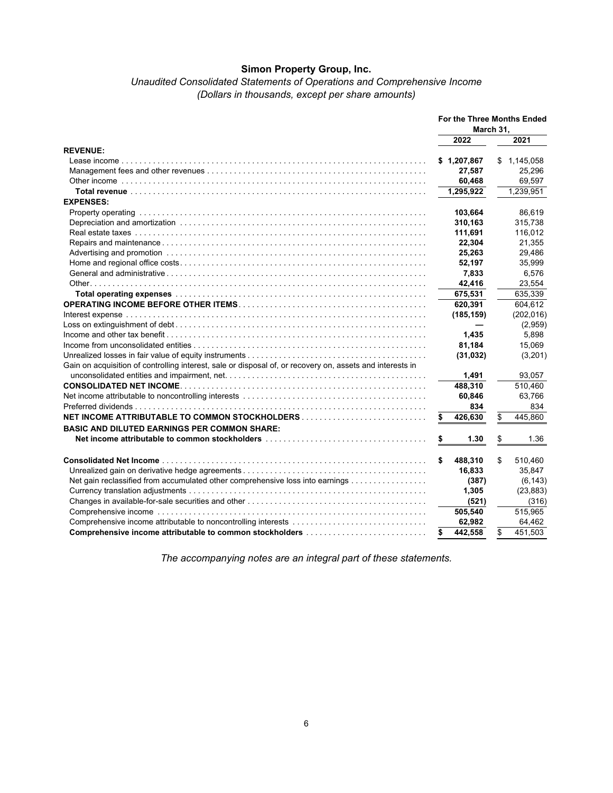### **Simon Property Group, Inc.**

# *Unaudited Consolidated Statements of Operations and Comprehensive Income (Dollars in thousands, except per share amounts)*

| 2022<br>2021<br><b>REVENUE:</b><br>\$1,207,867<br>1,145,058<br>S.<br>25,296<br>27,587<br>60,468<br>69,597<br>1,239,951<br>1,295,922<br><b>EXPENSES:</b><br>103,664<br>86,619<br>Property operating with the contract of the contract of the contract of the contract of the contract of the contract of the contract of the contract of the contract of the contract of the contract of the contract of the co<br>310,163<br>315,738<br>111,691<br>116,012<br>22,304<br>21,355<br>29,486<br>25,263<br>52,197<br>35,999<br>7,833<br>6,576<br>42,416<br>23,554<br>675,531<br>635,339<br>620,391<br>604,612<br>(185, 159)<br>(202, 016)<br>(2,959)<br>1,435<br>5,898<br>81,184<br>15,069<br>(31, 032)<br>(3,201)<br>Gain on acquisition of controlling interest, sale or disposal of, or recovery on, assets and interests in<br>1,491<br>93,057<br>488,310<br>510,460<br>60,846<br>63,766<br>834<br>834<br>426,630<br>\$<br>445,860<br>\$<br><b>BASIC AND DILUTED EARNINGS PER COMMON SHARE:</b><br>1.30<br>1.36<br>\$<br>\$<br>488,310<br>\$<br>\$<br>510,460<br>16,833<br>35,847<br>Net gain reclassified from accumulated other comprehensive loss into earnings<br>(6, 143)<br>(387)<br>1,305<br>(23, 883)<br>(521)<br>(316)<br>505,540<br>515,965<br>62,982<br>64,462<br>442.558<br>451.503<br>\$<br>\$ |  | For the Three Months Ended<br>March 31. |  |
|------------------------------------------------------------------------------------------------------------------------------------------------------------------------------------------------------------------------------------------------------------------------------------------------------------------------------------------------------------------------------------------------------------------------------------------------------------------------------------------------------------------------------------------------------------------------------------------------------------------------------------------------------------------------------------------------------------------------------------------------------------------------------------------------------------------------------------------------------------------------------------------------------------------------------------------------------------------------------------------------------------------------------------------------------------------------------------------------------------------------------------------------------------------------------------------------------------------------------------------------------------------------------------------------------------|--|-----------------------------------------|--|
|                                                                                                                                                                                                                                                                                                                                                                                                                                                                                                                                                                                                                                                                                                                                                                                                                                                                                                                                                                                                                                                                                                                                                                                                                                                                                                            |  |                                         |  |
|                                                                                                                                                                                                                                                                                                                                                                                                                                                                                                                                                                                                                                                                                                                                                                                                                                                                                                                                                                                                                                                                                                                                                                                                                                                                                                            |  |                                         |  |
|                                                                                                                                                                                                                                                                                                                                                                                                                                                                                                                                                                                                                                                                                                                                                                                                                                                                                                                                                                                                                                                                                                                                                                                                                                                                                                            |  |                                         |  |
|                                                                                                                                                                                                                                                                                                                                                                                                                                                                                                                                                                                                                                                                                                                                                                                                                                                                                                                                                                                                                                                                                                                                                                                                                                                                                                            |  |                                         |  |
|                                                                                                                                                                                                                                                                                                                                                                                                                                                                                                                                                                                                                                                                                                                                                                                                                                                                                                                                                                                                                                                                                                                                                                                                                                                                                                            |  |                                         |  |
|                                                                                                                                                                                                                                                                                                                                                                                                                                                                                                                                                                                                                                                                                                                                                                                                                                                                                                                                                                                                                                                                                                                                                                                                                                                                                                            |  |                                         |  |
|                                                                                                                                                                                                                                                                                                                                                                                                                                                                                                                                                                                                                                                                                                                                                                                                                                                                                                                                                                                                                                                                                                                                                                                                                                                                                                            |  |                                         |  |
|                                                                                                                                                                                                                                                                                                                                                                                                                                                                                                                                                                                                                                                                                                                                                                                                                                                                                                                                                                                                                                                                                                                                                                                                                                                                                                            |  |                                         |  |
|                                                                                                                                                                                                                                                                                                                                                                                                                                                                                                                                                                                                                                                                                                                                                                                                                                                                                                                                                                                                                                                                                                                                                                                                                                                                                                            |  |                                         |  |
|                                                                                                                                                                                                                                                                                                                                                                                                                                                                                                                                                                                                                                                                                                                                                                                                                                                                                                                                                                                                                                                                                                                                                                                                                                                                                                            |  |                                         |  |
|                                                                                                                                                                                                                                                                                                                                                                                                                                                                                                                                                                                                                                                                                                                                                                                                                                                                                                                                                                                                                                                                                                                                                                                                                                                                                                            |  |                                         |  |
|                                                                                                                                                                                                                                                                                                                                                                                                                                                                                                                                                                                                                                                                                                                                                                                                                                                                                                                                                                                                                                                                                                                                                                                                                                                                                                            |  |                                         |  |
|                                                                                                                                                                                                                                                                                                                                                                                                                                                                                                                                                                                                                                                                                                                                                                                                                                                                                                                                                                                                                                                                                                                                                                                                                                                                                                            |  |                                         |  |
|                                                                                                                                                                                                                                                                                                                                                                                                                                                                                                                                                                                                                                                                                                                                                                                                                                                                                                                                                                                                                                                                                                                                                                                                                                                                                                            |  |                                         |  |
|                                                                                                                                                                                                                                                                                                                                                                                                                                                                                                                                                                                                                                                                                                                                                                                                                                                                                                                                                                                                                                                                                                                                                                                                                                                                                                            |  |                                         |  |
|                                                                                                                                                                                                                                                                                                                                                                                                                                                                                                                                                                                                                                                                                                                                                                                                                                                                                                                                                                                                                                                                                                                                                                                                                                                                                                            |  |                                         |  |
|                                                                                                                                                                                                                                                                                                                                                                                                                                                                                                                                                                                                                                                                                                                                                                                                                                                                                                                                                                                                                                                                                                                                                                                                                                                                                                            |  |                                         |  |
|                                                                                                                                                                                                                                                                                                                                                                                                                                                                                                                                                                                                                                                                                                                                                                                                                                                                                                                                                                                                                                                                                                                                                                                                                                                                                                            |  |                                         |  |
|                                                                                                                                                                                                                                                                                                                                                                                                                                                                                                                                                                                                                                                                                                                                                                                                                                                                                                                                                                                                                                                                                                                                                                                                                                                                                                            |  |                                         |  |
|                                                                                                                                                                                                                                                                                                                                                                                                                                                                                                                                                                                                                                                                                                                                                                                                                                                                                                                                                                                                                                                                                                                                                                                                                                                                                                            |  |                                         |  |
|                                                                                                                                                                                                                                                                                                                                                                                                                                                                                                                                                                                                                                                                                                                                                                                                                                                                                                                                                                                                                                                                                                                                                                                                                                                                                                            |  |                                         |  |
|                                                                                                                                                                                                                                                                                                                                                                                                                                                                                                                                                                                                                                                                                                                                                                                                                                                                                                                                                                                                                                                                                                                                                                                                                                                                                                            |  |                                         |  |
|                                                                                                                                                                                                                                                                                                                                                                                                                                                                                                                                                                                                                                                                                                                                                                                                                                                                                                                                                                                                                                                                                                                                                                                                                                                                                                            |  |                                         |  |
|                                                                                                                                                                                                                                                                                                                                                                                                                                                                                                                                                                                                                                                                                                                                                                                                                                                                                                                                                                                                                                                                                                                                                                                                                                                                                                            |  |                                         |  |
|                                                                                                                                                                                                                                                                                                                                                                                                                                                                                                                                                                                                                                                                                                                                                                                                                                                                                                                                                                                                                                                                                                                                                                                                                                                                                                            |  |                                         |  |
|                                                                                                                                                                                                                                                                                                                                                                                                                                                                                                                                                                                                                                                                                                                                                                                                                                                                                                                                                                                                                                                                                                                                                                                                                                                                                                            |  |                                         |  |
|                                                                                                                                                                                                                                                                                                                                                                                                                                                                                                                                                                                                                                                                                                                                                                                                                                                                                                                                                                                                                                                                                                                                                                                                                                                                                                            |  |                                         |  |
|                                                                                                                                                                                                                                                                                                                                                                                                                                                                                                                                                                                                                                                                                                                                                                                                                                                                                                                                                                                                                                                                                                                                                                                                                                                                                                            |  |                                         |  |
|                                                                                                                                                                                                                                                                                                                                                                                                                                                                                                                                                                                                                                                                                                                                                                                                                                                                                                                                                                                                                                                                                                                                                                                                                                                                                                            |  |                                         |  |
|                                                                                                                                                                                                                                                                                                                                                                                                                                                                                                                                                                                                                                                                                                                                                                                                                                                                                                                                                                                                                                                                                                                                                                                                                                                                                                            |  |                                         |  |
|                                                                                                                                                                                                                                                                                                                                                                                                                                                                                                                                                                                                                                                                                                                                                                                                                                                                                                                                                                                                                                                                                                                                                                                                                                                                                                            |  |                                         |  |
|                                                                                                                                                                                                                                                                                                                                                                                                                                                                                                                                                                                                                                                                                                                                                                                                                                                                                                                                                                                                                                                                                                                                                                                                                                                                                                            |  |                                         |  |
|                                                                                                                                                                                                                                                                                                                                                                                                                                                                                                                                                                                                                                                                                                                                                                                                                                                                                                                                                                                                                                                                                                                                                                                                                                                                                                            |  |                                         |  |
|                                                                                                                                                                                                                                                                                                                                                                                                                                                                                                                                                                                                                                                                                                                                                                                                                                                                                                                                                                                                                                                                                                                                                                                                                                                                                                            |  |                                         |  |
|                                                                                                                                                                                                                                                                                                                                                                                                                                                                                                                                                                                                                                                                                                                                                                                                                                                                                                                                                                                                                                                                                                                                                                                                                                                                                                            |  |                                         |  |
|                                                                                                                                                                                                                                                                                                                                                                                                                                                                                                                                                                                                                                                                                                                                                                                                                                                                                                                                                                                                                                                                                                                                                                                                                                                                                                            |  |                                         |  |
|                                                                                                                                                                                                                                                                                                                                                                                                                                                                                                                                                                                                                                                                                                                                                                                                                                                                                                                                                                                                                                                                                                                                                                                                                                                                                                            |  |                                         |  |
|                                                                                                                                                                                                                                                                                                                                                                                                                                                                                                                                                                                                                                                                                                                                                                                                                                                                                                                                                                                                                                                                                                                                                                                                                                                                                                            |  |                                         |  |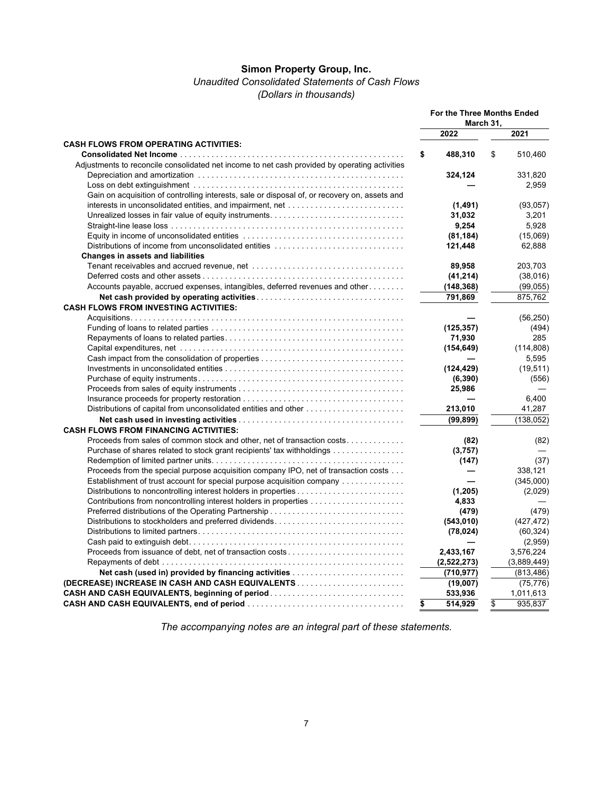# **Simon Property Group, Inc.**

# *Unaudited Consolidated Statements of Cash Flows*

*(Dollars in thousands)*

|                                                                                               | For the Three Months Ended<br>March 31, |               |
|-----------------------------------------------------------------------------------------------|-----------------------------------------|---------------|
|                                                                                               | 2022                                    | 2021          |
| <b>CASH FLOWS FROM OPERATING ACTIVITIES:</b>                                                  |                                         |               |
|                                                                                               | \$<br>488,310                           | \$<br>510,460 |
| Adjustments to reconcile consolidated net income to net cash provided by operating activities |                                         |               |
|                                                                                               | 324,124                                 | 331,820       |
|                                                                                               |                                         | 2,959         |
| Gain on acquisition of controlling interests, sale or disposal of, or recovery on, assets and |                                         |               |
| interests in unconsolidated entities, and impairment, net                                     | (1, 491)                                | (93,057)      |
|                                                                                               | 31,032                                  | 3,201         |
|                                                                                               | 9,254                                   | 5,928         |
|                                                                                               | (81, 184)                               | (15,069)      |
| Distributions of income from unconsolidated entities                                          | 121,448                                 | 62,888        |
| <b>Changes in assets and liabilities</b>                                                      |                                         |               |
|                                                                                               | 89,958                                  | 203,703       |
|                                                                                               | (41, 214)                               | (38,016)      |
| Accounts payable, accrued expenses, intangibles, deferred revenues and other                  | (148, 368)                              | (99,055)      |
|                                                                                               | 791,869                                 | 875,762       |
| <b>CASH FLOWS FROM INVESTING ACTIVITIES:</b>                                                  |                                         |               |
|                                                                                               |                                         | (56, 250)     |
|                                                                                               | (125, 357)                              | (494)         |
|                                                                                               | 71,930                                  | 285           |
|                                                                                               | (154, 649)                              | (114, 808)    |
|                                                                                               |                                         | 5,595         |
|                                                                                               | (124, 429)                              | (19, 511)     |
|                                                                                               | (6, 390)                                | (556)         |
|                                                                                               | 25,986                                  |               |
|                                                                                               |                                         | 6,400         |
| Distributions of capital from unconsolidated entities and other                               | 213,010                                 | 41,287        |
|                                                                                               | (99, 899)                               | (138, 052)    |
| <b>CASH FLOWS FROM FINANCING ACTIVITIES:</b>                                                  |                                         |               |
| Proceeds from sales of common stock and other, net of transaction costs                       | (82)                                    | (82)          |
| Purchase of shares related to stock grant recipients' tax withholdings                        | (3,757)                                 |               |
|                                                                                               | (147)                                   | (37)          |
| Proceeds from the special purpose acquisition company IPO, net of transaction costs           |                                         | 338,121       |
| <b>Establishment of trust account for special purpose acquisition company </b>                |                                         | (345,000)     |
|                                                                                               | (1, 205)                                | (2,029)       |
| Contributions from noncontrolling interest holders in properties                              | 4,833                                   |               |
|                                                                                               | (479)                                   | (479)         |
|                                                                                               | (543, 010)                              | (427, 472)    |
|                                                                                               | (78, 024)                               | (60, 324)     |
|                                                                                               |                                         | (2,959)       |
|                                                                                               | 2,433,167                               | 3,576,224     |
|                                                                                               | (2,522,273)                             | (3,889,449)   |
|                                                                                               | (710, 977)                              | (813, 486)    |
|                                                                                               | (19,007)                                | (75, 776)     |
|                                                                                               | 533,936                                 | 1,011,613     |
|                                                                                               | \$<br>514,929                           | \$<br>935,837 |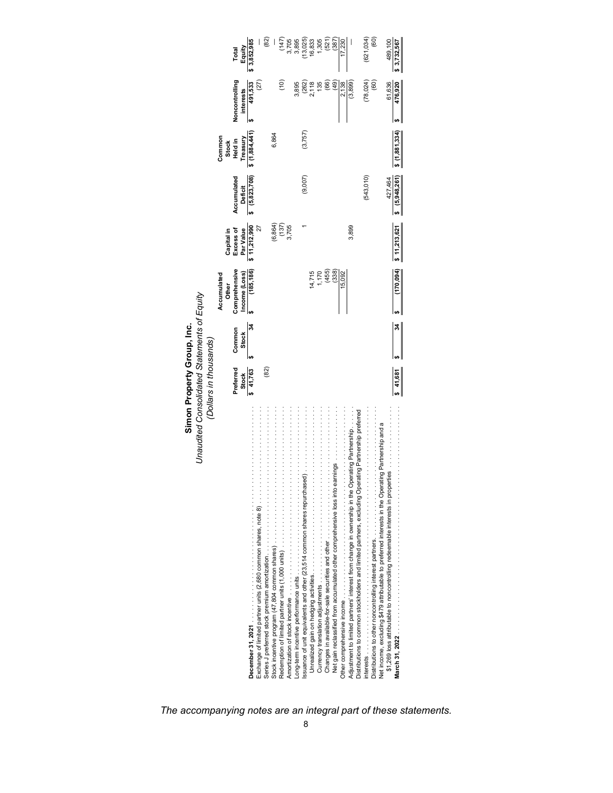| Unaudited Consolidated Statements of Equity<br>Simon Property Group, Inc.<br>(Dollars in thousands) | Equity<br>Total<br>Noncontrolling<br>interests<br>Common<br>Stock<br>Held in<br>Accumulated<br>Deficit<br>Excess of<br>Par Value<br>Capital in<br>Comprehensive<br>Income (Loss)<br>Accumulated<br>Other<br>Common<br>Stock<br>Preferred | \$3,852,985<br>491,533<br>Treasury<br>\$ (1,884,441)<br>\$(5,823,708)<br>\$11,212,990<br>(185, 186)<br>24<br>Stock<br>$\frac{\text{Stock}}{\text{41,763}}$ | (82)<br>(27)<br>(82)                                                                                             | 6,864 | $(147)$<br>3,705<br>$\frac{1}{2}$<br>$(6,864)$<br>$(137)$<br>$3,705$<br>.                                                               | 3,895 | 3,895<br>13,025)<br>16,833<br>1,305<br>$(262)$<br>$2,118$<br>(3,757)<br>(9,007)<br>14,715 | 135 | $(521)$<br>$(387)$<br>(66)<br>(49)<br>$\frac{1,170}{(455)}$<br>(338)                                                                | 17,230<br>2,138<br>15,092 | (3,899)<br>3,899                                                                                                                                                                                        | (621, 034)<br>(78, 024)<br>(543, 010)<br>. | $\left(60\right)$<br>(60)                                                                                                                                     | 489,100<br>3,732,567<br>61,636<br>476,920<br>$$$ (1,881,334)<br>(5,948,261)<br>427,464<br>11,213,621<br>(170,094)<br>41,681 |  |
|-----------------------------------------------------------------------------------------------------|------------------------------------------------------------------------------------------------------------------------------------------------------------------------------------------------------------------------------------------|------------------------------------------------------------------------------------------------------------------------------------------------------------|------------------------------------------------------------------------------------------------------------------|-------|-----------------------------------------------------------------------------------------------------------------------------------------|-------|-------------------------------------------------------------------------------------------|-----|-------------------------------------------------------------------------------------------------------------------------------------|---------------------------|---------------------------------------------------------------------------------------------------------------------------------------------------------------------------------------------------------|--------------------------------------------|---------------------------------------------------------------------------------------------------------------------------------------------------------------|-----------------------------------------------------------------------------------------------------------------------------|--|
|                                                                                                     |                                                                                                                                                                                                                                          |                                                                                                                                                            | Exchange of limited partner units (2,680 common shares, note 8)<br>Series J preferred stock premium amortization |       | American of stock incentive contract in the contract of stock in the contract of stock in the contract of the contract of $\mathcal{A}$ |       | ssuance of unit equivalents and other (23,514 common shares repurchased)                  |     | Net gain reclassified from accumulated other comprehensive loss into earnings<br>Changes in available-for-sale securities and other |                           | Adjustment to limited partners' interest from change in ownership in the Operating Partnership.<br>Distributions to common stockholders and limited partners, excluding Operating Partnership preferred |                                            | Net income, excluding \$479 attributable to preferred interests in the Operating Partnership and a<br>Distributions to other noncontrolling interest partners | \$1,269 loss attributable to noncontrolling redeemable interests in properties                                              |  |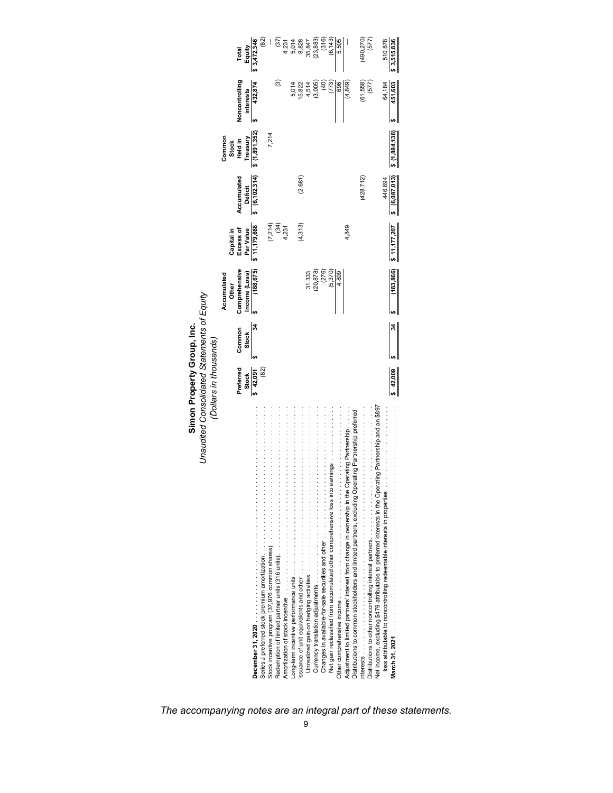| Unaudited Consolidated Statements of Equity                                                                                                                                              | (Dollars in thousands) |                 |                          |                                |                        |                            |                             |                                                                |
|------------------------------------------------------------------------------------------------------------------------------------------------------------------------------------------|------------------------|-----------------|--------------------------|--------------------------------|------------------------|----------------------------|-----------------------------|----------------------------------------------------------------|
|                                                                                                                                                                                          |                        |                 | Accumulated<br>Other     | Capital in                     |                        | Common                     |                             |                                                                |
|                                                                                                                                                                                          | Preferred<br>Stock     | Common<br>Stock | Comprehensive            | Excess of                      | Accumulated<br>Deficit | Stock<br>Held in           | Noncontrolling<br>interests | Equity<br>Total                                                |
| December 31, 2020                                                                                                                                                                        | \$42,091               | 24              | $\frac{1}{10}$ (188,675) | Par Value<br>\$ 11,179,688     | (6, 102, 314)          | Treasury<br>\$ (1,891,352) | 432,874                     | \$3,472,346                                                    |
| Series J preferred stock premium amortization                                                                                                                                            | (82)                   |                 |                          |                                |                        |                            |                             |                                                                |
| Stock incentive program (37,976 common shares)                                                                                                                                           |                        |                 |                          | $(7,214)$<br>$(34)$<br>$4,231$ |                        | 7,214                      |                             |                                                                |
| Redemption of limited partner units (316 units)                                                                                                                                          |                        |                 |                          |                                |                        |                            | $\widehat{\mathcal{C}}$     |                                                                |
| .<br>Amortization of stock incentive Amortization of stock incentive Amortization                                                                                                        |                        |                 |                          |                                |                        |                            |                             |                                                                |
|                                                                                                                                                                                          |                        |                 |                          |                                |                        |                            | 5,014                       |                                                                |
| ssuance of unit equivalents and other                                                                                                                                                    |                        |                 |                          | (4, 313)                       | (2, 681)               |                            | 15,822<br>4,514             | $(37)$<br>$4,231$<br>$5,014$<br>$6,828$<br>$8,847$<br>$35,847$ |
|                                                                                                                                                                                          |                        |                 | 31,333                   |                                |                        |                            |                             |                                                                |
| Currency translation adjustments                                                                                                                                                         |                        |                 | (20, 878)                |                                |                        |                            | (3,005)                     | $(23, 883)$<br>$(316)$                                         |
| Changes in available-for-sale securities and other                                                                                                                                       |                        |                 | (276)                    |                                |                        |                            | $\frac{6}{2}$               |                                                                |
| Net gain reclassified from accumulated other comprehensive loss into earnings $\ldots \ldots$                                                                                            |                        |                 | (5, 370)                 |                                |                        |                            | (773)                       | (6, 143)                                                       |
|                                                                                                                                                                                          |                        |                 | 4,809                    |                                |                        |                            | 696                         | 5,505                                                          |
| Adjustment to limited partners' interest from change in ownership in the Operating Partnership.                                                                                          |                        |                 |                          | 4,849                          |                        |                            | (4, 849)                    |                                                                |
| .<br>Distributions to common stockholders and limited partners, excluding Operating Partnership preferred                                                                                |                        |                 |                          |                                | (428, 712)             |                            | (61, 558)                   | (490, 270)                                                     |
| Distributions to other noncontrolling interest partners                                                                                                                                  |                        |                 |                          |                                |                        |                            | (577)                       | (577)                                                          |
| ing Partnership and an \$897<br>Net income, excluding \$479 attributable to preferred interests in the Operati<br>loss attributable to noncontrolling redeemable interests in properties |                        |                 |                          |                                | 446,694                |                            | 64,184                      | 510,878                                                        |
| $M = \frac{1}{2}$                                                                                                                                                                        | 642,009                | 24              | (183, 866)               | \$11,177,207                   | (6,087,013)            | (1,884,138)                | 451,603                     | \$3,515,836                                                    |
|                                                                                                                                                                                          |                        |                 |                          |                                |                        |                            |                             |                                                                |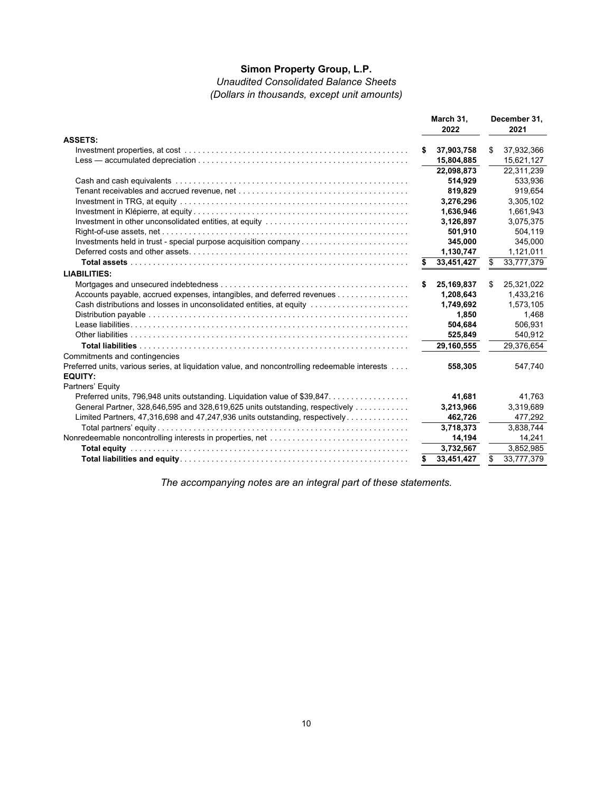*Unaudited Consolidated Balance Sheets (Dollars in thousands, except unit amounts)* 

|                                                                                                |    | March 31,<br>2022 |    | December 31,<br>2021 |
|------------------------------------------------------------------------------------------------|----|-------------------|----|----------------------|
| <b>ASSETS:</b>                                                                                 |    |                   |    |                      |
|                                                                                                | S  | 37,903,758        | \$ | 37,932,366           |
|                                                                                                |    | 15,804,885        |    | 15,621,127           |
|                                                                                                |    | 22,098,873        |    | 22,311,239           |
|                                                                                                |    | 514,929           |    | 533,936              |
|                                                                                                |    | 819,829           |    | 919,654              |
|                                                                                                |    | 3,276,296         |    | 3,305,102            |
|                                                                                                |    | 1,636,946         |    | 1,661,943            |
|                                                                                                |    | 3,126,897         |    | 3,075,375            |
|                                                                                                |    | 501,910           |    | 504,119              |
| Investments held in trust - special purpose acquisition company                                |    | 345,000           |    | 345,000              |
|                                                                                                |    | 1,130,747         |    | 1,121,011            |
|                                                                                                | S. | 33,451,427        | \$ | 33,777,379           |
| <b>LIABILITIES:</b>                                                                            |    |                   |    |                      |
|                                                                                                | S  | 25,169,837        | \$ | 25,321,022           |
| Accounts payable, accrued expenses, intangibles, and deferred revenues                         |    | 1,208,643         |    | 1,433,216            |
| Cash distributions and losses in unconsolidated entities, at equity                            |    | 1,749,692         |    | 1,573,105            |
|                                                                                                |    | 1,850             |    | 1,468                |
|                                                                                                |    | 504,684           |    | 506,931              |
|                                                                                                |    | 525,849           |    | 540,912              |
|                                                                                                |    | 29,160,555        |    | 29,376,654           |
| Commitments and contingencies                                                                  |    |                   |    |                      |
| Preferred units, various series, at liquidation value, and noncontrolling redeemable interests |    | 558,305           |    | 547,740              |
| <b>EQUITY:</b>                                                                                 |    |                   |    |                      |
| Partners' Equity                                                                               |    |                   |    |                      |
| Preferred units, 796,948 units outstanding. Liquidation value of \$39,847.                     |    | 41,681            |    | 41,763               |
| General Partner, 328,646,595 and 328,619,625 units outstanding, respectively                   |    | 3,213,966         |    | 3,319,689            |
| Limited Partners, 47,316,698 and 47,247,936 units outstanding, respectively                    |    | 462,726           |    | 477,292              |
|                                                                                                |    | 3,718,373         |    | 3,838,744            |
|                                                                                                |    | 14,194            |    | 14,241               |
|                                                                                                |    | 3,732,567         |    | 3,852,985            |
|                                                                                                | S  | 33,451,427        | S  | 33,777,379           |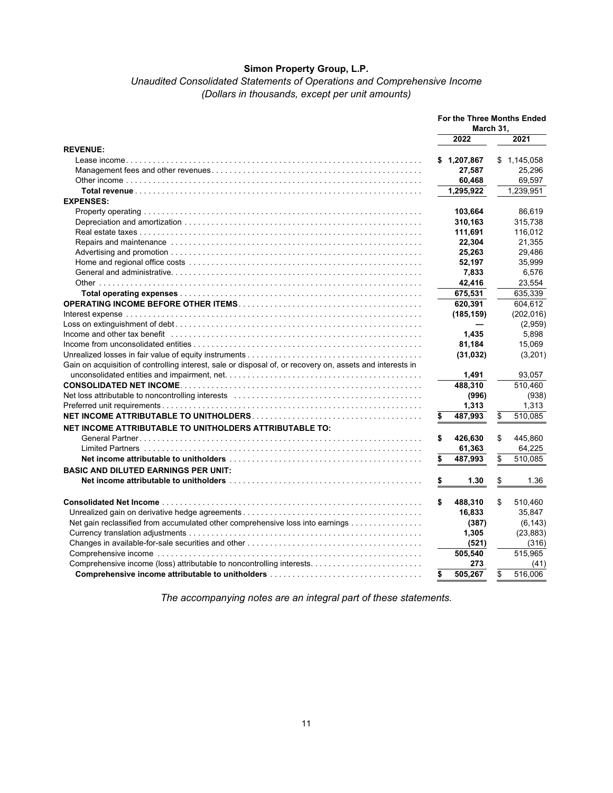# *Unaudited Consolidated Statements of Operations and Comprehensive Income (Dollars in thousands, except per unit amounts)*

|                                                                                                           | For the Three Months Ended<br>March 31, |                       |
|-----------------------------------------------------------------------------------------------------------|-----------------------------------------|-----------------------|
|                                                                                                           | 2022                                    | 2021                  |
| <b>REVENUE:</b>                                                                                           |                                         |                       |
|                                                                                                           | \$<br>1,207,867                         | \$1,145,058           |
|                                                                                                           | 27,587                                  | 25,296                |
|                                                                                                           | 60,468                                  | 69,597                |
|                                                                                                           | 1,295,922                               | 1,239,951             |
| <b>EXPENSES:</b>                                                                                          |                                         |                       |
|                                                                                                           | 103,664                                 | 86,619                |
|                                                                                                           | 310,163                                 | 315,738               |
|                                                                                                           | 111,691                                 | 116,012               |
|                                                                                                           | 22,304                                  | 21,355                |
|                                                                                                           | 25,263                                  | 29,486                |
|                                                                                                           | 52,197                                  | 35,999                |
|                                                                                                           | 7,833                                   | 6,576                 |
|                                                                                                           | 42,416                                  | 23,554                |
|                                                                                                           | 675,531                                 | 635,339               |
|                                                                                                           | 620,391                                 | 604.612               |
|                                                                                                           | (185, 159)                              | (202, 016)            |
|                                                                                                           |                                         | (2,959)               |
|                                                                                                           | 1,435                                   | 5,898                 |
|                                                                                                           | 81,184                                  | 15,069                |
|                                                                                                           | (31, 032)                               | (3,201)               |
| Gain on acquisition of controlling interest, sale or disposal of, or recovery on, assets and interests in |                                         |                       |
|                                                                                                           | 1,491                                   | 93,057                |
|                                                                                                           | 488,310                                 | $\overline{510}$ ,460 |
|                                                                                                           | (996)                                   | (938)                 |
|                                                                                                           | 1,313                                   | 1,313                 |
|                                                                                                           | 487,993                                 | \$<br>510,085         |
| <b>NET INCOME ATTRIBUTABLE TO UNITHOLDERS ATTRIBUTABLE TO:</b>                                            |                                         |                       |
|                                                                                                           | \$<br>426,630                           | \$<br>445,860         |
|                                                                                                           | 61,363                                  | 64,225                |
|                                                                                                           | 487,993                                 | \$<br>510,085         |
|                                                                                                           |                                         |                       |
| <b>BASIC AND DILUTED EARNINGS PER UNIT:</b>                                                               |                                         |                       |
|                                                                                                           | 1.30                                    | \$<br>1.36            |
|                                                                                                           |                                         |                       |
|                                                                                                           | \$<br>488,310                           | \$<br>510,460         |
|                                                                                                           | 16,833                                  | 35,847                |
| Net gain reclassified from accumulated other comprehensive loss into earnings                             | (387)                                   | (6, 143)              |
|                                                                                                           | 1,305                                   | (23, 883)             |
|                                                                                                           | (521)                                   | (316)                 |
|                                                                                                           | 505,540                                 | 515,965               |
| Comprehensive income (loss) attributable to noncontrolling interests                                      | 273                                     | (41)                  |
|                                                                                                           | \$<br>505,267                           | \$<br>516.006         |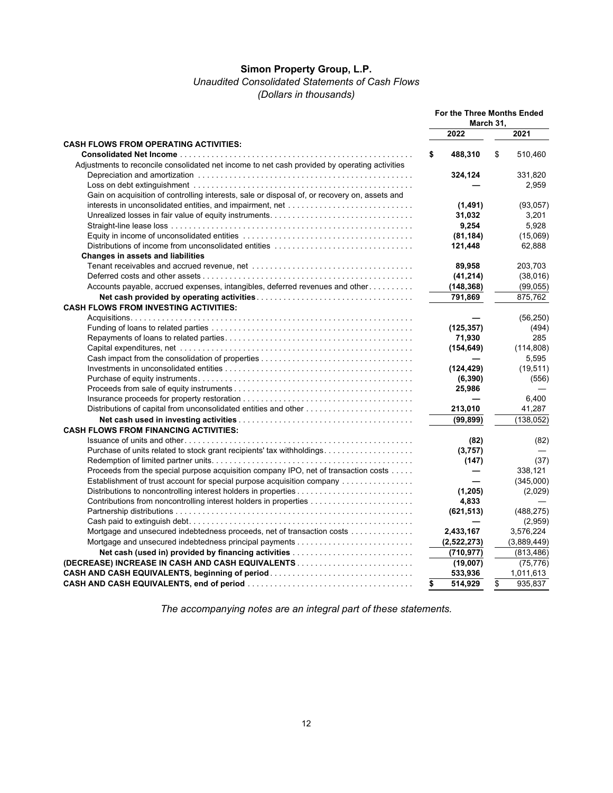# *Unaudited Consolidated Statements of Cash Flows*

*(Dollars in thousands)* 

| 2022<br>2021<br><b>CASH FLOWS FROM OPERATING ACTIVITIES:</b><br>488,310<br>510,460<br>\$<br>\$<br>Adjustments to reconcile consolidated net income to net cash provided by operating activities<br>324,124<br>331,820<br>2,959<br>Gain on acquisition of controlling interests, sale or disposal of, or recovery on, assets and<br>(1, 491)<br>(93,057)<br>Unrealized losses in fair value of equity instruments<br>31,032<br>3,201<br>9,254<br>5.928<br>(81, 184)<br>(15,069)<br>Distributions of income from unconsolidated entities<br>121,448<br>62,888<br><b>Changes in assets and liabilities</b><br>89,958<br>203,703<br>(41, 214)<br>(38,016)<br>Accounts payable, accrued expenses, intangibles, deferred revenues and other<br>(148, 368)<br>(99,055)<br>791,869<br>875,762<br><b>CASH FLOWS FROM INVESTING ACTIVITIES:</b><br>(56, 250)<br>(125, 357)<br>(494)<br>71,930<br>285<br>(154, 649)<br>(114, 808)<br>5,595<br>(124, 429)<br>(19, 511)<br>(6, 390)<br>(556)<br>25,986<br>6,400<br>Distributions of capital from unconsolidated entities and other<br>213,010<br>41,287<br>(99, 899)<br>(138, 052)<br><b>CASH FLOWS FROM FINANCING ACTIVITIES:</b><br>(82)<br>(82)<br>Purchase of units related to stock grant recipients' tax withholdings<br>(3,757)<br>(37)<br>(147)<br>Proceeds from the special purpose acquisition company IPO, net of transaction costs<br>338,121<br>Establishment of trust account for special purpose acquisition company<br>(345,000)<br>(1, 205)<br>(2,029)<br>4,833<br>(621, 513)<br>(488, 275)<br>(2,959)<br>Mortgage and unsecured indebtedness proceeds, net of transaction costs<br>3,576,224<br>2,433,167<br>(2,522,273)<br>(3,889,449)<br>(710, 977)<br>(813, 486)<br>(19,007)<br>(75, 776) |                                                        | For the Three Months Ended<br>March 31. |           |
|---------------------------------------------------------------------------------------------------------------------------------------------------------------------------------------------------------------------------------------------------------------------------------------------------------------------------------------------------------------------------------------------------------------------------------------------------------------------------------------------------------------------------------------------------------------------------------------------------------------------------------------------------------------------------------------------------------------------------------------------------------------------------------------------------------------------------------------------------------------------------------------------------------------------------------------------------------------------------------------------------------------------------------------------------------------------------------------------------------------------------------------------------------------------------------------------------------------------------------------------------------------------------------------------------------------------------------------------------------------------------------------------------------------------------------------------------------------------------------------------------------------------------------------------------------------------------------------------------------------------------------------------------------------------------------------------------------------------------------------------------|--------------------------------------------------------|-----------------------------------------|-----------|
|                                                                                                                                                                                                                                                                                                                                                                                                                                                                                                                                                                                                                                                                                                                                                                                                                                                                                                                                                                                                                                                                                                                                                                                                                                                                                                                                                                                                                                                                                                                                                                                                                                                                                                                                                   |                                                        |                                         |           |
|                                                                                                                                                                                                                                                                                                                                                                                                                                                                                                                                                                                                                                                                                                                                                                                                                                                                                                                                                                                                                                                                                                                                                                                                                                                                                                                                                                                                                                                                                                                                                                                                                                                                                                                                                   |                                                        |                                         |           |
|                                                                                                                                                                                                                                                                                                                                                                                                                                                                                                                                                                                                                                                                                                                                                                                                                                                                                                                                                                                                                                                                                                                                                                                                                                                                                                                                                                                                                                                                                                                                                                                                                                                                                                                                                   |                                                        |                                         |           |
|                                                                                                                                                                                                                                                                                                                                                                                                                                                                                                                                                                                                                                                                                                                                                                                                                                                                                                                                                                                                                                                                                                                                                                                                                                                                                                                                                                                                                                                                                                                                                                                                                                                                                                                                                   |                                                        |                                         |           |
|                                                                                                                                                                                                                                                                                                                                                                                                                                                                                                                                                                                                                                                                                                                                                                                                                                                                                                                                                                                                                                                                                                                                                                                                                                                                                                                                                                                                                                                                                                                                                                                                                                                                                                                                                   |                                                        |                                         |           |
|                                                                                                                                                                                                                                                                                                                                                                                                                                                                                                                                                                                                                                                                                                                                                                                                                                                                                                                                                                                                                                                                                                                                                                                                                                                                                                                                                                                                                                                                                                                                                                                                                                                                                                                                                   |                                                        |                                         |           |
|                                                                                                                                                                                                                                                                                                                                                                                                                                                                                                                                                                                                                                                                                                                                                                                                                                                                                                                                                                                                                                                                                                                                                                                                                                                                                                                                                                                                                                                                                                                                                                                                                                                                                                                                                   |                                                        |                                         |           |
|                                                                                                                                                                                                                                                                                                                                                                                                                                                                                                                                                                                                                                                                                                                                                                                                                                                                                                                                                                                                                                                                                                                                                                                                                                                                                                                                                                                                                                                                                                                                                                                                                                                                                                                                                   |                                                        |                                         |           |
|                                                                                                                                                                                                                                                                                                                                                                                                                                                                                                                                                                                                                                                                                                                                                                                                                                                                                                                                                                                                                                                                                                                                                                                                                                                                                                                                                                                                                                                                                                                                                                                                                                                                                                                                                   |                                                        |                                         |           |
|                                                                                                                                                                                                                                                                                                                                                                                                                                                                                                                                                                                                                                                                                                                                                                                                                                                                                                                                                                                                                                                                                                                                                                                                                                                                                                                                                                                                                                                                                                                                                                                                                                                                                                                                                   |                                                        |                                         |           |
|                                                                                                                                                                                                                                                                                                                                                                                                                                                                                                                                                                                                                                                                                                                                                                                                                                                                                                                                                                                                                                                                                                                                                                                                                                                                                                                                                                                                                                                                                                                                                                                                                                                                                                                                                   |                                                        |                                         |           |
|                                                                                                                                                                                                                                                                                                                                                                                                                                                                                                                                                                                                                                                                                                                                                                                                                                                                                                                                                                                                                                                                                                                                                                                                                                                                                                                                                                                                                                                                                                                                                                                                                                                                                                                                                   |                                                        |                                         |           |
|                                                                                                                                                                                                                                                                                                                                                                                                                                                                                                                                                                                                                                                                                                                                                                                                                                                                                                                                                                                                                                                                                                                                                                                                                                                                                                                                                                                                                                                                                                                                                                                                                                                                                                                                                   |                                                        |                                         |           |
|                                                                                                                                                                                                                                                                                                                                                                                                                                                                                                                                                                                                                                                                                                                                                                                                                                                                                                                                                                                                                                                                                                                                                                                                                                                                                                                                                                                                                                                                                                                                                                                                                                                                                                                                                   |                                                        |                                         |           |
|                                                                                                                                                                                                                                                                                                                                                                                                                                                                                                                                                                                                                                                                                                                                                                                                                                                                                                                                                                                                                                                                                                                                                                                                                                                                                                                                                                                                                                                                                                                                                                                                                                                                                                                                                   |                                                        |                                         |           |
|                                                                                                                                                                                                                                                                                                                                                                                                                                                                                                                                                                                                                                                                                                                                                                                                                                                                                                                                                                                                                                                                                                                                                                                                                                                                                                                                                                                                                                                                                                                                                                                                                                                                                                                                                   |                                                        |                                         |           |
|                                                                                                                                                                                                                                                                                                                                                                                                                                                                                                                                                                                                                                                                                                                                                                                                                                                                                                                                                                                                                                                                                                                                                                                                                                                                                                                                                                                                                                                                                                                                                                                                                                                                                                                                                   |                                                        |                                         |           |
|                                                                                                                                                                                                                                                                                                                                                                                                                                                                                                                                                                                                                                                                                                                                                                                                                                                                                                                                                                                                                                                                                                                                                                                                                                                                                                                                                                                                                                                                                                                                                                                                                                                                                                                                                   |                                                        |                                         |           |
|                                                                                                                                                                                                                                                                                                                                                                                                                                                                                                                                                                                                                                                                                                                                                                                                                                                                                                                                                                                                                                                                                                                                                                                                                                                                                                                                                                                                                                                                                                                                                                                                                                                                                                                                                   |                                                        |                                         |           |
|                                                                                                                                                                                                                                                                                                                                                                                                                                                                                                                                                                                                                                                                                                                                                                                                                                                                                                                                                                                                                                                                                                                                                                                                                                                                                                                                                                                                                                                                                                                                                                                                                                                                                                                                                   |                                                        |                                         |           |
|                                                                                                                                                                                                                                                                                                                                                                                                                                                                                                                                                                                                                                                                                                                                                                                                                                                                                                                                                                                                                                                                                                                                                                                                                                                                                                                                                                                                                                                                                                                                                                                                                                                                                                                                                   |                                                        |                                         |           |
|                                                                                                                                                                                                                                                                                                                                                                                                                                                                                                                                                                                                                                                                                                                                                                                                                                                                                                                                                                                                                                                                                                                                                                                                                                                                                                                                                                                                                                                                                                                                                                                                                                                                                                                                                   |                                                        |                                         |           |
|                                                                                                                                                                                                                                                                                                                                                                                                                                                                                                                                                                                                                                                                                                                                                                                                                                                                                                                                                                                                                                                                                                                                                                                                                                                                                                                                                                                                                                                                                                                                                                                                                                                                                                                                                   |                                                        |                                         |           |
|                                                                                                                                                                                                                                                                                                                                                                                                                                                                                                                                                                                                                                                                                                                                                                                                                                                                                                                                                                                                                                                                                                                                                                                                                                                                                                                                                                                                                                                                                                                                                                                                                                                                                                                                                   |                                                        |                                         |           |
|                                                                                                                                                                                                                                                                                                                                                                                                                                                                                                                                                                                                                                                                                                                                                                                                                                                                                                                                                                                                                                                                                                                                                                                                                                                                                                                                                                                                                                                                                                                                                                                                                                                                                                                                                   |                                                        |                                         |           |
|                                                                                                                                                                                                                                                                                                                                                                                                                                                                                                                                                                                                                                                                                                                                                                                                                                                                                                                                                                                                                                                                                                                                                                                                                                                                                                                                                                                                                                                                                                                                                                                                                                                                                                                                                   |                                                        |                                         |           |
|                                                                                                                                                                                                                                                                                                                                                                                                                                                                                                                                                                                                                                                                                                                                                                                                                                                                                                                                                                                                                                                                                                                                                                                                                                                                                                                                                                                                                                                                                                                                                                                                                                                                                                                                                   |                                                        |                                         |           |
|                                                                                                                                                                                                                                                                                                                                                                                                                                                                                                                                                                                                                                                                                                                                                                                                                                                                                                                                                                                                                                                                                                                                                                                                                                                                                                                                                                                                                                                                                                                                                                                                                                                                                                                                                   |                                                        |                                         |           |
|                                                                                                                                                                                                                                                                                                                                                                                                                                                                                                                                                                                                                                                                                                                                                                                                                                                                                                                                                                                                                                                                                                                                                                                                                                                                                                                                                                                                                                                                                                                                                                                                                                                                                                                                                   |                                                        |                                         |           |
|                                                                                                                                                                                                                                                                                                                                                                                                                                                                                                                                                                                                                                                                                                                                                                                                                                                                                                                                                                                                                                                                                                                                                                                                                                                                                                                                                                                                                                                                                                                                                                                                                                                                                                                                                   |                                                        |                                         |           |
|                                                                                                                                                                                                                                                                                                                                                                                                                                                                                                                                                                                                                                                                                                                                                                                                                                                                                                                                                                                                                                                                                                                                                                                                                                                                                                                                                                                                                                                                                                                                                                                                                                                                                                                                                   |                                                        |                                         |           |
|                                                                                                                                                                                                                                                                                                                                                                                                                                                                                                                                                                                                                                                                                                                                                                                                                                                                                                                                                                                                                                                                                                                                                                                                                                                                                                                                                                                                                                                                                                                                                                                                                                                                                                                                                   |                                                        |                                         |           |
|                                                                                                                                                                                                                                                                                                                                                                                                                                                                                                                                                                                                                                                                                                                                                                                                                                                                                                                                                                                                                                                                                                                                                                                                                                                                                                                                                                                                                                                                                                                                                                                                                                                                                                                                                   |                                                        |                                         |           |
|                                                                                                                                                                                                                                                                                                                                                                                                                                                                                                                                                                                                                                                                                                                                                                                                                                                                                                                                                                                                                                                                                                                                                                                                                                                                                                                                                                                                                                                                                                                                                                                                                                                                                                                                                   |                                                        |                                         |           |
|                                                                                                                                                                                                                                                                                                                                                                                                                                                                                                                                                                                                                                                                                                                                                                                                                                                                                                                                                                                                                                                                                                                                                                                                                                                                                                                                                                                                                                                                                                                                                                                                                                                                                                                                                   |                                                        |                                         |           |
|                                                                                                                                                                                                                                                                                                                                                                                                                                                                                                                                                                                                                                                                                                                                                                                                                                                                                                                                                                                                                                                                                                                                                                                                                                                                                                                                                                                                                                                                                                                                                                                                                                                                                                                                                   |                                                        |                                         |           |
|                                                                                                                                                                                                                                                                                                                                                                                                                                                                                                                                                                                                                                                                                                                                                                                                                                                                                                                                                                                                                                                                                                                                                                                                                                                                                                                                                                                                                                                                                                                                                                                                                                                                                                                                                   |                                                        |                                         |           |
|                                                                                                                                                                                                                                                                                                                                                                                                                                                                                                                                                                                                                                                                                                                                                                                                                                                                                                                                                                                                                                                                                                                                                                                                                                                                                                                                                                                                                                                                                                                                                                                                                                                                                                                                                   |                                                        |                                         |           |
|                                                                                                                                                                                                                                                                                                                                                                                                                                                                                                                                                                                                                                                                                                                                                                                                                                                                                                                                                                                                                                                                                                                                                                                                                                                                                                                                                                                                                                                                                                                                                                                                                                                                                                                                                   |                                                        |                                         |           |
|                                                                                                                                                                                                                                                                                                                                                                                                                                                                                                                                                                                                                                                                                                                                                                                                                                                                                                                                                                                                                                                                                                                                                                                                                                                                                                                                                                                                                                                                                                                                                                                                                                                                                                                                                   |                                                        |                                         |           |
|                                                                                                                                                                                                                                                                                                                                                                                                                                                                                                                                                                                                                                                                                                                                                                                                                                                                                                                                                                                                                                                                                                                                                                                                                                                                                                                                                                                                                                                                                                                                                                                                                                                                                                                                                   |                                                        |                                         |           |
|                                                                                                                                                                                                                                                                                                                                                                                                                                                                                                                                                                                                                                                                                                                                                                                                                                                                                                                                                                                                                                                                                                                                                                                                                                                                                                                                                                                                                                                                                                                                                                                                                                                                                                                                                   |                                                        |                                         |           |
|                                                                                                                                                                                                                                                                                                                                                                                                                                                                                                                                                                                                                                                                                                                                                                                                                                                                                                                                                                                                                                                                                                                                                                                                                                                                                                                                                                                                                                                                                                                                                                                                                                                                                                                                                   |                                                        |                                         |           |
|                                                                                                                                                                                                                                                                                                                                                                                                                                                                                                                                                                                                                                                                                                                                                                                                                                                                                                                                                                                                                                                                                                                                                                                                                                                                                                                                                                                                                                                                                                                                                                                                                                                                                                                                                   | <b>CASH AND CASH EQUIVALENTS, beginning of period </b> | 533,936                                 | 1,011,613 |
| $\overline{514,929}$<br>\$<br>\$<br>935,837                                                                                                                                                                                                                                                                                                                                                                                                                                                                                                                                                                                                                                                                                                                                                                                                                                                                                                                                                                                                                                                                                                                                                                                                                                                                                                                                                                                                                                                                                                                                                                                                                                                                                                       |                                                        |                                         |           |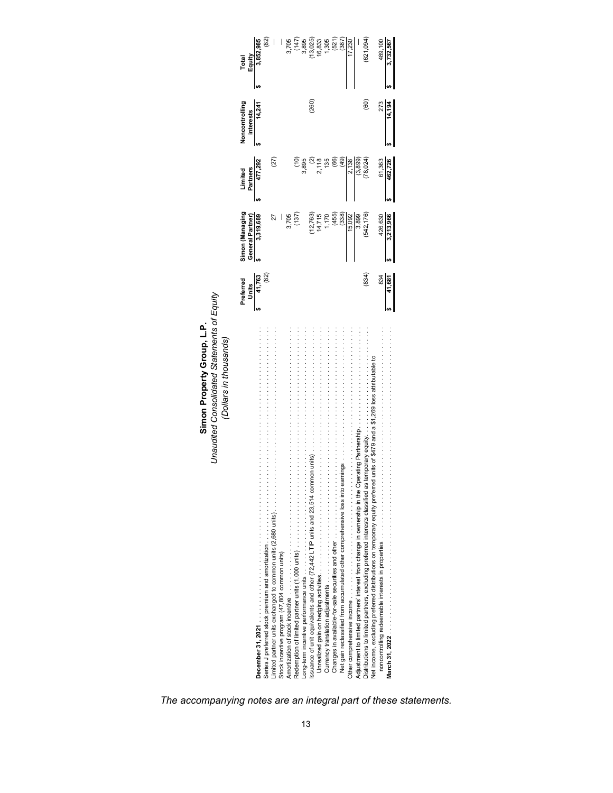| Simon Property Group, L.P.                                            |                                |   |
|-----------------------------------------------------------------------|--------------------------------|---|
| Unaudited Consolidated Statements of Equity<br>(Dollars in thousands) |                                |   |
| Preferred<br>:<br>:                                                   | Simon (Managing<br>.<br>.<br>. | È |

|                                                                                                                                             | Preferred         | Simon (Managing   | Limited                                             | Noncontrolling     | Total                   |
|---------------------------------------------------------------------------------------------------------------------------------------------|-------------------|-------------------|-----------------------------------------------------|--------------------|-------------------------|
|                                                                                                                                             | Units<br>5        | General Partner)  | Partners                                            | interests          | Equity                  |
|                                                                                                                                             | 41,763            | 3,319,689         | 477,292                                             | 14,241             | 3,852,985               |
|                                                                                                                                             | $\left(82\right)$ |                   |                                                     |                    | $\left(82\right)$       |
| imited partner units exchanged to common units (2,680 units)                                                                                |                   |                   | <b>(27)</b>                                         |                    |                         |
| Stock incentive program (47,804 common units)                                                                                               |                   |                   |                                                     |                    |                         |
| Amortization of stock incentive contract in the contract of stock incentive and the contract of the contract of the contract of $\mathbb A$ |                   | 3,705             |                                                     |                    |                         |
| Redemption of limited partner units (1,000 units)                                                                                           |                   | (137              |                                                     |                    | 3,705<br>(147)<br>3,895 |
|                                                                                                                                             |                   |                   | $\frac{10}{3.895}$                                  |                    |                         |
| on units)<br>ssuance of unit equivalents and other (72,442 LTIP units and 23,514 comm                                                       |                   |                   |                                                     | (260)              | 13,025)<br>16,833       |
|                                                                                                                                             |                   | 12,763)<br>14,715 | 2,118                                               |                    |                         |
|                                                                                                                                             |                   | 1,170             | 135                                                 |                    |                         |
|                                                                                                                                             |                   | (455)             | $\left( \begin{matrix} 66 \ 0 \end{matrix} \right)$ |                    | 1,305<br>(521)<br>(387) |
| nings<br>Net gain reclassified from accumulated other comprehensive loss into ear                                                           |                   | (338)             | (49)                                                |                    |                         |
|                                                                                                                                             |                   | 15,092            | 2,138                                               |                    | 17,230                  |
| Adjustment to limited partners' interest from change in ownership in the Operating Partnership .                                            |                   | 3,899             | (3, 899)                                            |                    |                         |
| $\ldots \ldots \ldots \ldots \ldots$<br>Distributions to limited partners, excluding preferred interests classified as to                   | (834)             | (542, 176)        | (78, 024)                                           | $\left( 60\right)$ | (621, 094)              |
| units of \$479 and a \$1,269 loss attributable to<br>Net income, excluding preferred distributions on temporary equity preferred            |                   |                   |                                                     |                    |                         |
| noncontrolling redeemable interests in properties                                                                                           | 834               | 426,630           | 61,363                                              | 273                | 489,100                 |
|                                                                                                                                             | 41,681            | 3,213,966         | 462,726                                             | 14,194             | 3,732,567               |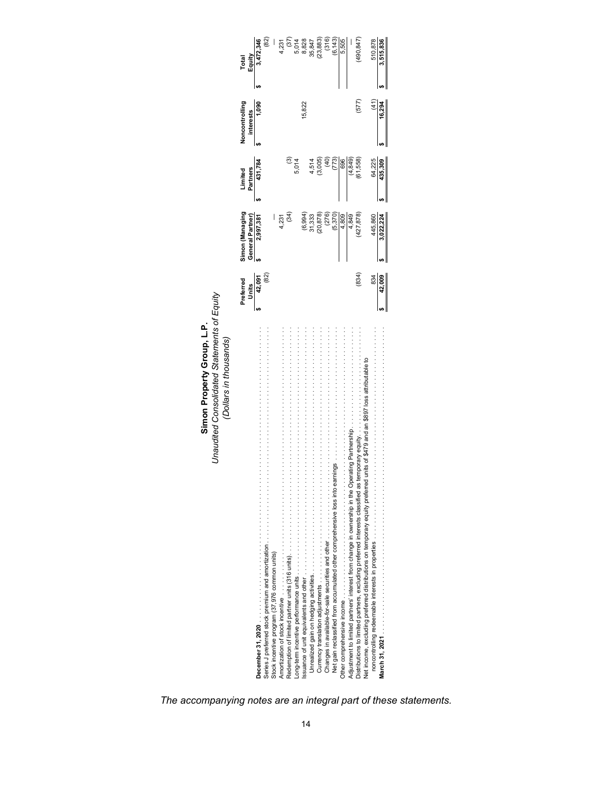| Unaudited Consolidated Statements of Equity<br>Simon Property Group, L.P.<br>(Dollars in thousands)                             |                         |                                     |                     |                             |                                                    |  |
|---------------------------------------------------------------------------------------------------------------------------------|-------------------------|-------------------------------------|---------------------|-----------------------------|----------------------------------------------------|--|
|                                                                                                                                 | Preferred<br>Units<br>5 | Simon (Managing<br>General Partner) | Partners<br>Limited | Noncontrolling<br>interests | Equity<br>Total                                    |  |
|                                                                                                                                 | 42,091                  | 2,997,381                           | 431,784             | 1,090                       | 3,472,346                                          |  |
|                                                                                                                                 | (82)                    |                                     |                     |                             |                                                    |  |
| Stock incentive program (37,976 common units)                                                                                   |                         |                                     |                     |                             |                                                    |  |
| Amortization of stock incentive                                                                                                 |                         | 4,231                               |                     |                             |                                                    |  |
| Redemption of limited partner units (316 units)                                                                                 |                         | $\left(34\right)$                   |                     |                             | $4,231$<br>$(37)$<br>$5,014$<br>$8,828$<br>$8,828$ |  |
|                                                                                                                                 |                         |                                     | 5,014               |                             |                                                    |  |
| summer of unit equivalents and other indication of unit equivalents and the continuities of unit                                |                         |                                     |                     | 15,822                      |                                                    |  |
|                                                                                                                                 |                         | $(6,994)$<br>31,333                 | 4,514               |                             | 35,847                                             |  |
| Currency translation adjustments                                                                                                |                         | (20, 878)                           | (3,005)             |                             |                                                    |  |
| Changes in available-for-sale securities and other                                                                              |                         | (276)                               | ΑO)                 |                             | $(23, 883)$<br>$(316)$<br>$(6, 143)$               |  |
| nings<br>Net gain reclassified from accumulated other comprehensive loss into ear                                               |                         | (5, 370)                            | (773)               |                             |                                                    |  |
| Other comprehensive income                                                                                                      |                         | 4,809                               | 696                 |                             | 5,505                                              |  |
| Adjustment to limited partners' interest from change in ownership in the Operating Partnership                                  |                         | 4,849                               | (4, 849)            |                             |                                                    |  |
| listributions to limited partners, excluding preferred interests classified as temporary equity.                                | (834)                   | (427, 878)                          | (61,558)            | (577)                       | (490, 847)                                         |  |
| units of \$479 and an \$897 loss attributable to<br>Vet income, excluding preferred distributions on temporary equity preferred |                         |                                     |                     |                             |                                                    |  |
| noncontrolling redeemable interests in properties                                                                               | 834                     | 445,860                             | 64,225              | $\left(41\right)$           | 510,878                                            |  |
|                                                                                                                                 | 42,009                  | 3,022,224                           | 435,309             | 16,294                      | 3,515,836                                          |  |
|                                                                                                                                 |                         |                                     |                     |                             |                                                    |  |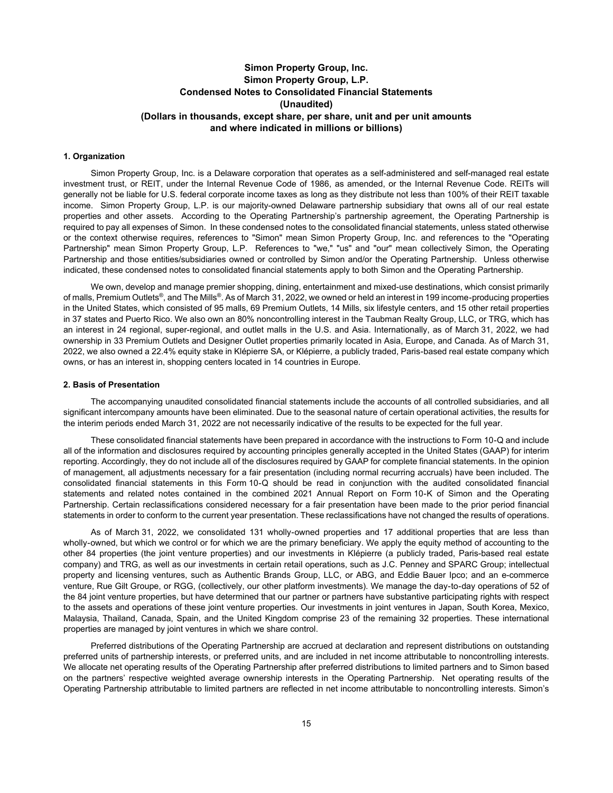### **1. Organization**

Simon Property Group, Inc. is a Delaware corporation that operates as a self-administered and self-managed real estate investment trust, or REIT, under the Internal Revenue Code of 1986, as amended, or the Internal Revenue Code. REITs will generally not be liable for U.S. federal corporate income taxes as long as they distribute not less than 100% of their REIT taxable income. Simon Property Group, L.P. is our majority-owned Delaware partnership subsidiary that owns all of our real estate properties and other assets. According to the Operating Partnership's partnership agreement, the Operating Partnership is required to pay all expenses of Simon. In these condensed notes to the consolidated financial statements, unless stated otherwise or the context otherwise requires, references to "Simon" mean Simon Property Group, Inc. and references to the "Operating Partnership" mean Simon Property Group, L.P. References to "we," "us" and "our" mean collectively Simon, the Operating Partnership and those entities/subsidiaries owned or controlled by Simon and/or the Operating Partnership. Unless otherwise indicated, these condensed notes to consolidated financial statements apply to both Simon and the Operating Partnership.

We own, develop and manage premier shopping, dining, entertainment and mixed-use destinations, which consist primarily of malls, Premium Outlets®, and The Mills®. As of March 31, 2022, we owned or held an interest in 199 income-producing properties in the United States, which consisted of 95 malls, 69 Premium Outlets, 14 Mills, six lifestyle centers, and 15 other retail properties in 37 states and Puerto Rico. We also own an 80% noncontrolling interest in the Taubman Realty Group, LLC, or TRG, which has an interest in 24 regional, super-regional, and outlet malls in the U.S. and Asia. Internationally, as of March 31, 2022, we had ownership in 33 Premium Outlets and Designer Outlet properties primarily located in Asia, Europe, and Canada. As of March 31, 2022, we also owned a 22.4% equity stake in Klépierre SA, or Klépierre, a publicly traded, Paris-based real estate company which owns, or has an interest in, shopping centers located in 14 countries in Europe.

#### **2. Basis of Presentation**

The accompanying unaudited consolidated financial statements include the accounts of all controlled subsidiaries, and all significant intercompany amounts have been eliminated. Due to the seasonal nature of certain operational activities, the results for the interim periods ended March 31, 2022 are not necessarily indicative of the results to be expected for the full year.

These consolidated financial statements have been prepared in accordance with the instructions to Form 10-Q and include all of the information and disclosures required by accounting principles generally accepted in the United States (GAAP) for interim reporting. Accordingly, they do not include all of the disclosures required by GAAP for complete financial statements. In the opinion of management, all adjustments necessary for a fair presentation (including normal recurring accruals) have been included. The consolidated financial statements in this Form 10-Q should be read in conjunction with the audited consolidated financial statements and related notes contained in the combined 2021 Annual Report on Form 10-K of Simon and the Operating Partnership. Certain reclassifications considered necessary for a fair presentation have been made to the prior period financial statements in order to conform to the current year presentation. These reclassifications have not changed the results of operations.

As of March 31, 2022, we consolidated 131 wholly-owned properties and 17 additional properties that are less than wholly-owned, but which we control or for which we are the primary beneficiary. We apply the equity method of accounting to the other 84 properties (the joint venture properties) and our investments in Klépierre (a publicly traded, Paris-based real estate company) and TRG, as well as our investments in certain retail operations, such as J.C. Penney and SPARC Group; intellectual property and licensing ventures, such as Authentic Brands Group, LLC, or ABG, and Eddie Bauer Ipco; and an e-commerce venture, Rue Gilt Groupe, or RGG, (collectively, our other platform investments). We manage the day-to-day operations of 52 of the 84 joint venture properties, but have determined that our partner or partners have substantive participating rights with respect to the assets and operations of these joint venture properties. Our investments in joint ventures in Japan, South Korea, Mexico, Malaysia, Thailand, Canada, Spain, and the United Kingdom comprise 23 of the remaining 32 properties. These international properties are managed by joint ventures in which we share control.

Preferred distributions of the Operating Partnership are accrued at declaration and represent distributions on outstanding preferred units of partnership interests, or preferred units, and are included in net income attributable to noncontrolling interests. We allocate net operating results of the Operating Partnership after preferred distributions to limited partners and to Simon based on the partners' respective weighted average ownership interests in the Operating Partnership. Net operating results of the Operating Partnership attributable to limited partners are reflected in net income attributable to noncontrolling interests. Simon's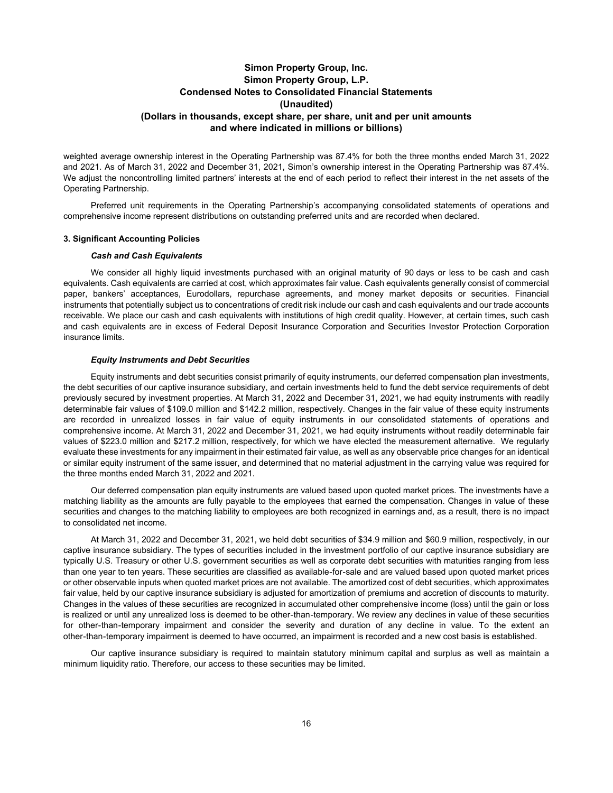weighted average ownership interest in the Operating Partnership was 87.4% for both the three months ended March 31, 2022 and 2021. As of March 31, 2022 and December 31, 2021, Simon's ownership interest in the Operating Partnership was 87.4%. We adjust the noncontrolling limited partners' interests at the end of each period to reflect their interest in the net assets of the Operating Partnership.

Preferred unit requirements in the Operating Partnership's accompanying consolidated statements of operations and comprehensive income represent distributions on outstanding preferred units and are recorded when declared.

#### **3. Significant Accounting Policies**

### *Cash and Cash Equivalents*

We consider all highly liquid investments purchased with an original maturity of 90 days or less to be cash and cash equivalents. Cash equivalents are carried at cost, which approximates fair value. Cash equivalents generally consist of commercial paper, bankers' acceptances, Eurodollars, repurchase agreements, and money market deposits or securities. Financial instruments that potentially subject us to concentrations of credit risk include our cash and cash equivalents and our trade accounts receivable. We place our cash and cash equivalents with institutions of high credit quality. However, at certain times, such cash and cash equivalents are in excess of Federal Deposit Insurance Corporation and Securities Investor Protection Corporation insurance limits.

### *Equity Instruments and Debt Securities*

Equity instruments and debt securities consist primarily of equity instruments, our deferred compensation plan investments, the debt securities of our captive insurance subsidiary, and certain investments held to fund the debt service requirements of debt previously secured by investment properties. At March 31, 2022 and December 31, 2021, we had equity instruments with readily determinable fair values of \$109.0 million and \$142.2 million, respectively. Changes in the fair value of these equity instruments are recorded in unrealized losses in fair value of equity instruments in our consolidated statements of operations and comprehensive income. At March 31, 2022 and December 31, 2021, we had equity instruments without readily determinable fair values of \$223.0 million and \$217.2 million, respectively, for which we have elected the measurement alternative. We regularly evaluate these investments for any impairment in their estimated fair value, as well as any observable price changes for an identical or similar equity instrument of the same issuer, and determined that no material adjustment in the carrying value was required for the three months ended March 31, 2022 and 2021.

Our deferred compensation plan equity instruments are valued based upon quoted market prices. The investments have a matching liability as the amounts are fully payable to the employees that earned the compensation. Changes in value of these securities and changes to the matching liability to employees are both recognized in earnings and, as a result, there is no impact to consolidated net income.

At March 31, 2022 and December 31, 2021, we held debt securities of \$34.9 million and \$60.9 million, respectively, in our captive insurance subsidiary. The types of securities included in the investment portfolio of our captive insurance subsidiary are typically U.S. Treasury or other U.S. government securities as well as corporate debt securities with maturities ranging from less than one year to ten years. These securities are classified as available-for-sale and are valued based upon quoted market prices or other observable inputs when quoted market prices are not available. The amortized cost of debt securities, which approximates fair value, held by our captive insurance subsidiary is adjusted for amortization of premiums and accretion of discounts to maturity. Changes in the values of these securities are recognized in accumulated other comprehensive income (loss) until the gain or loss is realized or until any unrealized loss is deemed to be other-than-temporary. We review any declines in value of these securities for other-than-temporary impairment and consider the severity and duration of any decline in value. To the extent an other-than-temporary impairment is deemed to have occurred, an impairment is recorded and a new cost basis is established.

Our captive insurance subsidiary is required to maintain statutory minimum capital and surplus as well as maintain a minimum liquidity ratio. Therefore, our access to these securities may be limited.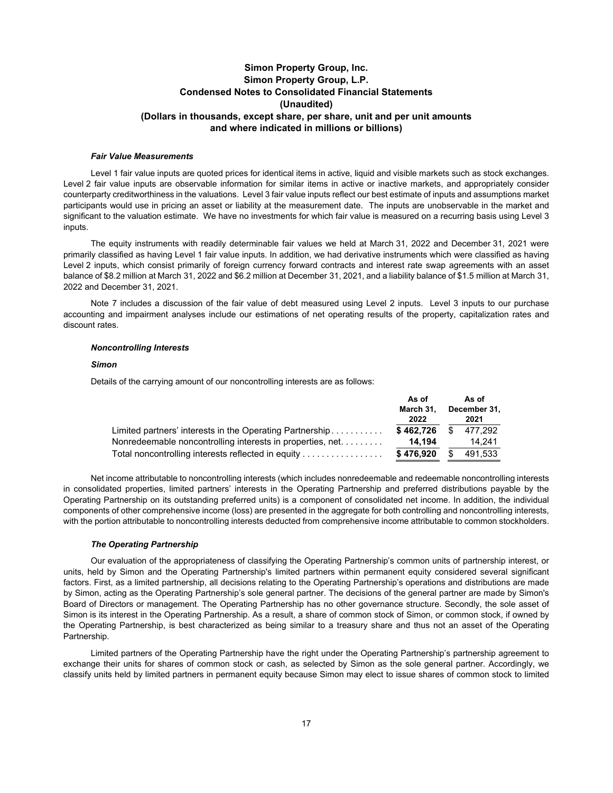### *Fair Value Measurements*

Level 1 fair value inputs are quoted prices for identical items in active, liquid and visible markets such as stock exchanges. Level 2 fair value inputs are observable information for similar items in active or inactive markets, and appropriately consider counterparty creditworthiness in the valuations. Level 3 fair value inputs reflect our best estimate of inputs and assumptions market participants would use in pricing an asset or liability at the measurement date. The inputs are unobservable in the market and significant to the valuation estimate. We have no investments for which fair value is measured on a recurring basis using Level 3 inputs.

The equity instruments with readily determinable fair values we held at March 31, 2022 and December 31, 2021 were primarily classified as having Level 1 fair value inputs. In addition, we had derivative instruments which were classified as having Level 2 inputs, which consist primarily of foreign currency forward contracts and interest rate swap agreements with an asset balance of \$8.2 million at March 31, 2022 and \$6.2 million at December 31, 2021, and a liability balance of \$1.5 million at March 31, 2022 and December 31, 2021.

Note 7 includes a discussion of the fair value of debt measured using Level 2 inputs. Level 3 inputs to our purchase accounting and impairment analyses include our estimations of net operating results of the property, capitalization rates and discount rates.

#### *Noncontrolling Interests*

### *Simon*

Details of the carrying amount of our noncontrolling interests are as follows:

|                                                           | As of<br>March 31.<br>2022 |     | As of<br>December 31,<br>2021 |
|-----------------------------------------------------------|----------------------------|-----|-------------------------------|
| Limited partners' interests in the Operating Partnership  | \$462.726                  | SS. | 477.292                       |
| Nonredeemable noncontrolling interests in properties, net | 14.194                     |     | 14.241                        |
| Total noncontrolling interests reflected in equity        | \$476.920                  |     | 491.533                       |

Net income attributable to noncontrolling interests (which includes nonredeemable and redeemable noncontrolling interests in consolidated properties, limited partners' interests in the Operating Partnership and preferred distributions payable by the Operating Partnership on its outstanding preferred units) is a component of consolidated net income. In addition, the individual components of other comprehensive income (loss) are presented in the aggregate for both controlling and noncontrolling interests, with the portion attributable to noncontrolling interests deducted from comprehensive income attributable to common stockholders.

### *The Operating Partnership*

Our evaluation of the appropriateness of classifying the Operating Partnership's common units of partnership interest, or units, held by Simon and the Operating Partnership's limited partners within permanent equity considered several significant factors. First, as a limited partnership, all decisions relating to the Operating Partnership's operations and distributions are made by Simon, acting as the Operating Partnership's sole general partner. The decisions of the general partner are made by Simon's Board of Directors or management. The Operating Partnership has no other governance structure. Secondly, the sole asset of Simon is its interest in the Operating Partnership. As a result, a share of common stock of Simon, or common stock, if owned by the Operating Partnership, is best characterized as being similar to a treasury share and thus not an asset of the Operating Partnership.

Limited partners of the Operating Partnership have the right under the Operating Partnership's partnership agreement to exchange their units for shares of common stock or cash, as selected by Simon as the sole general partner. Accordingly, we classify units held by limited partners in permanent equity because Simon may elect to issue shares of common stock to limited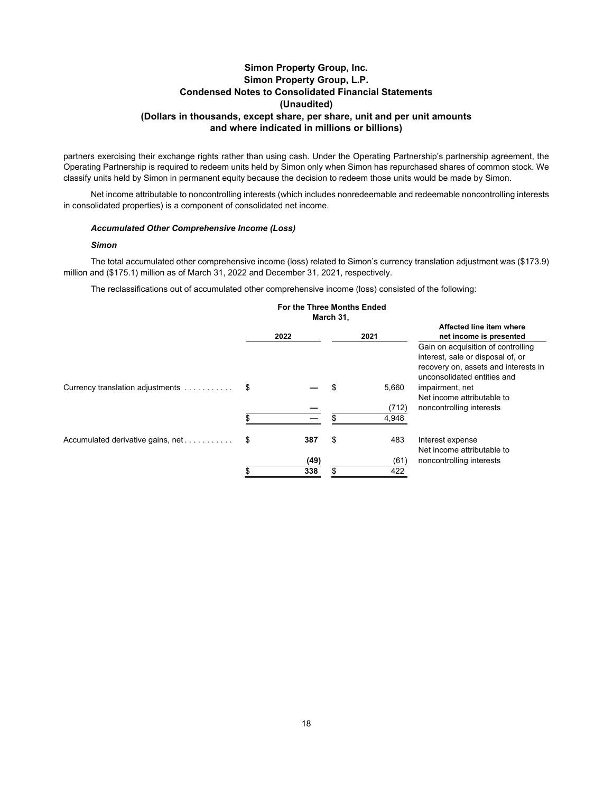partners exercising their exchange rights rather than using cash. Under the Operating Partnership's partnership agreement, the Operating Partnership is required to redeem units held by Simon only when Simon has repurchased shares of common stock. We classify units held by Simon in permanent equity because the decision to redeem those units would be made by Simon.

Net income attributable to noncontrolling interests (which includes nonredeemable and redeemable noncontrolling interests in consolidated properties) is a component of consolidated net income.

### *Accumulated Other Comprehensive Income (Loss)*

### *Simon*

The total accumulated other comprehensive income (loss) related to Simon's currency translation adjustment was (\$173.9) million and (\$175.1) million as of March 31, 2022 and December 31, 2021, respectively.

The reclassifications out of accumulated other comprehensive income (loss) consisted of the following:

#### **March 31, 2022 2021 Affected line item where net income is presented**  Currency translation adjustments . . . . . . . . . . . \$ **—** \$ 5,660 Gain on acquisition of controlling interest, sale or disposal of, or recovery on, assets and interests in unconsolidated entities and impairment, net **—** (712) Net income attributable to noncontrolling interests  $\frac{1}{3}$   $\frac{1}{4.948}$ Accumulated derivative gains, net . . . . . . . . . \$ **387** \$ 483 Interest expense **(49)** (61) Net income attributable to noncontrolling interests \$ **338** \$ 422

# **For the Three Months Ended**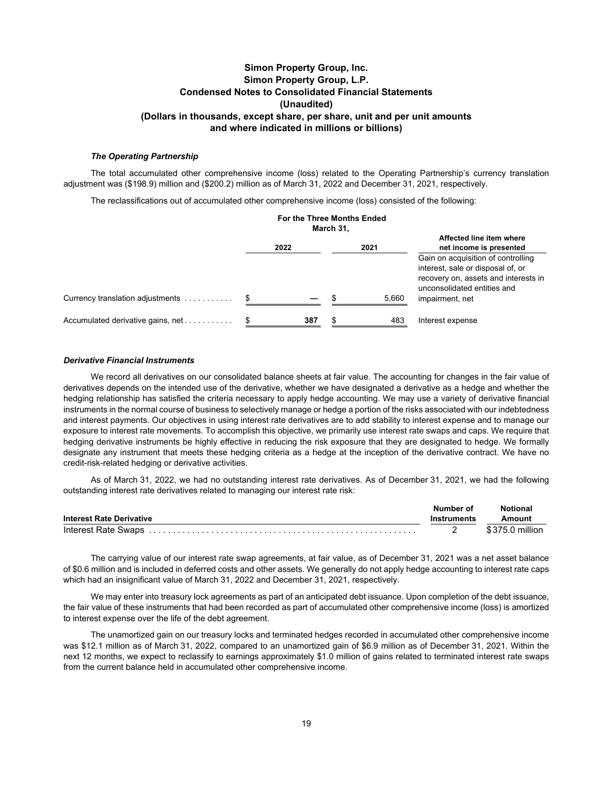### *The Operating Partnership*

The total accumulated other comprehensive income (loss) related to the Operating Partnership's currency translation adjustment was (\$198.9) million and (\$200.2) million as of March 31, 2022 and December 31, 2021, respectively.

The reclassifications out of accumulated other comprehensive income (loss) consisted of the following:

|                                   | For the Three Months Ended | March 31, |       |                                                                                                                                                |
|-----------------------------------|----------------------------|-----------|-------|------------------------------------------------------------------------------------------------------------------------------------------------|
|                                   | 2022                       |           | 2021  | Affected line item where<br>net income is presented                                                                                            |
|                                   |                            |           |       | Gain on acquisition of controlling<br>interest, sale or disposal of, or<br>recovery on, assets and interests in<br>unconsolidated entities and |
| Currency translation adjustments  |                            |           | 5,660 | impairment, net                                                                                                                                |
| Accumulated derivative gains, net | 387                        | \$        | 483   | Interest expense                                                                                                                               |

### *Derivative Financial Instruments*

We record all derivatives on our consolidated balance sheets at fair value. The accounting for changes in the fair value of derivatives depends on the intended use of the derivative, whether we have designated a derivative as a hedge and whether the hedging relationship has satisfied the criteria necessary to apply hedge accounting. We may use a variety of derivative financial instruments in the normal course of business to selectively manage or hedge a portion of the risks associated with our indebtedness and interest payments. Our objectives in using interest rate derivatives are to add stability to interest expense and to manage our exposure to interest rate movements. To accomplish this objective, we primarily use interest rate swaps and caps. We require that hedging derivative instruments be highly effective in reducing the risk exposure that they are designated to hedge. We formally designate any instrument that meets these hedging criteria as a hedge at the inception of the derivative contract. We have no credit-risk-related hedging or derivative activities.

As of March 31, 2022, we had no outstanding interest rate derivatives. As of December 31, 2021, we had the following outstanding interest rate derivatives related to managing our interest rate risk:

|                                 | Number of   | <b>Notional</b> |
|---------------------------------|-------------|-----------------|
| <b>Interest Rate Derivative</b> | Instruments | Amount          |
|                                 |             | \$375.0 million |

The carrying value of our interest rate swap agreements, at fair value, as of December 31, 2021 was a net asset balance of \$0.6 million and is included in deferred costs and other assets. We generally do not apply hedge accounting to interest rate caps which had an insignificant value of March 31, 2022 and December 31, 2021, respectively.

We may enter into treasury lock agreements as part of an anticipated debt issuance. Upon completion of the debt issuance, the fair value of these instruments that had been recorded as part of accumulated other comprehensive income (loss) is amortized to interest expense over the life of the debt agreement.

The unamortized gain on our treasury locks and terminated hedges recorded in accumulated other comprehensive income was \$12.1 million as of March 31, 2022, compared to an unamortized gain of \$6.9 million as of December 31, 2021. Within the next 12 months, we expect to reclassify to earnings approximately \$1.0 million of gains related to terminated interest rate swaps from the current balance held in accumulated other comprehensive income.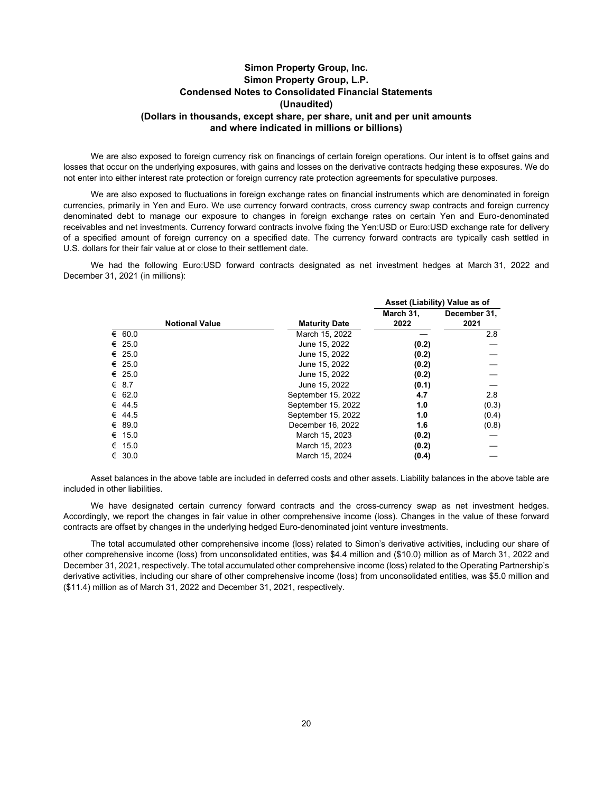We are also exposed to foreign currency risk on financings of certain foreign operations. Our intent is to offset gains and losses that occur on the underlying exposures, with gains and losses on the derivative contracts hedging these exposures. We do not enter into either interest rate protection or foreign currency rate protection agreements for speculative purposes.

We are also exposed to fluctuations in foreign exchange rates on financial instruments which are denominated in foreign currencies, primarily in Yen and Euro. We use currency forward contracts, cross currency swap contracts and foreign currency denominated debt to manage our exposure to changes in foreign exchange rates on certain Yen and Euro-denominated receivables and net investments. Currency forward contracts involve fixing the Yen:USD or Euro:USD exchange rate for delivery of a specified amount of foreign currency on a specified date. The currency forward contracts are typically cash settled in U.S. dollars for their fair value at or close to their settlement date.

We had the following Euro:USD forward contracts designated as net investment hedges at March 31, 2022 and December 31, 2021 (in millions):

|                       |                      |                   | Asset (Liability) Value as of |
|-----------------------|----------------------|-------------------|-------------------------------|
| <b>Notional Value</b> | <b>Maturity Date</b> | March 31,<br>2022 | December 31,<br>2021          |
| € 60.0                | March 15, 2022       |                   | 2.8                           |
| € 25.0                | June 15, 2022        | (0.2)             |                               |
| € 25.0                | June 15, 2022        | (0.2)             |                               |
| € 25.0                | June 15, 2022        | (0.2)             |                               |
| € 25.0                | June 15, 2022        | (0.2)             |                               |
| $\epsilon$ 8.7        | June 15, 2022        | (0.1)             |                               |
| € 62.0                | September 15, 2022   | 4.7               | 2.8                           |
| € 44.5                | September 15, 2022   | 1.0               | (0.3)                         |
| € 44.5                | September 15, 2022   | 1.0               | (0.4)                         |
| € 89.0                | December 16, 2022    | 1.6               | (0.8)                         |
| € 15.0                | March 15, 2023       | (0.2)             |                               |
| € 15.0                | March 15, 2023       | (0.2)             |                               |
| € 30.0                | March 15, 2024       | (0.4)             |                               |

Asset balances in the above table are included in deferred costs and other assets. Liability balances in the above table are included in other liabilities.

We have designated certain currency forward contracts and the cross-currency swap as net investment hedges. Accordingly, we report the changes in fair value in other comprehensive income (loss). Changes in the value of these forward contracts are offset by changes in the underlying hedged Euro-denominated joint venture investments.

The total accumulated other comprehensive income (loss) related to Simon's derivative activities, including our share of other comprehensive income (loss) from unconsolidated entities, was \$4.4 million and (\$10.0) million as of March 31, 2022 and December 31, 2021, respectively. The total accumulated other comprehensive income (loss) related to the Operating Partnership's derivative activities, including our share of other comprehensive income (loss) from unconsolidated entities, was \$5.0 million and (\$11.4) million as of March 31, 2022 and December 31, 2021, respectively.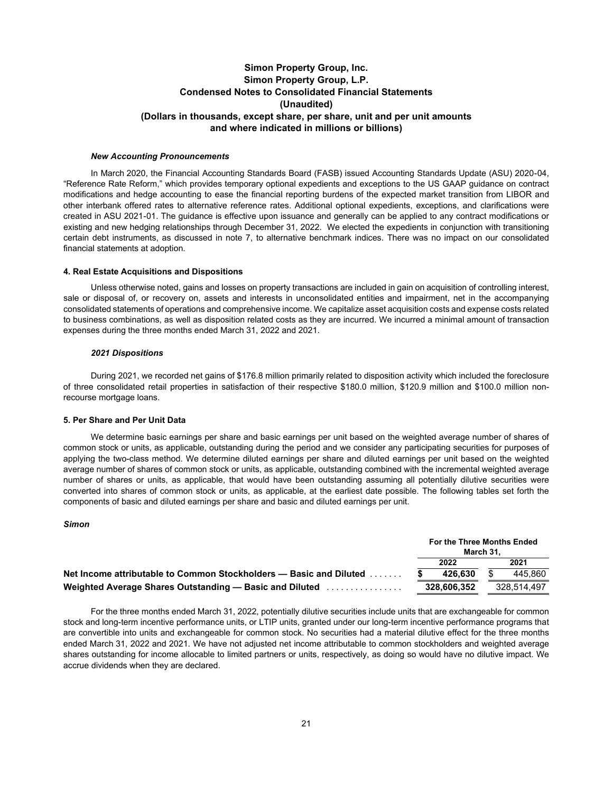#### *New Accounting Pronouncements*

In March 2020, the Financial Accounting Standards Board (FASB) issued Accounting Standards Update (ASU) 2020-04, "Reference Rate Reform," which provides temporary optional expedients and exceptions to the US GAAP guidance on contract modifications and hedge accounting to ease the financial reporting burdens of the expected market transition from LIBOR and other interbank offered rates to alternative reference rates. Additional optional expedients, exceptions, and clarifications were created in ASU 2021-01. The guidance is effective upon issuance and generally can be applied to any contract modifications or existing and new hedging relationships through December 31, 2022. We elected the expedients in conjunction with transitioning certain debt instruments, as discussed in note 7, to alternative benchmark indices. There was no impact on our consolidated financial statements at adoption.

#### **4. Real Estate Acquisitions and Dispositions**

Unless otherwise noted, gains and losses on property transactions are included in gain on acquisition of controlling interest, sale or disposal of, or recovery on, assets and interests in unconsolidated entities and impairment, net in the accompanying consolidated statements of operations and comprehensive income. We capitalize asset acquisition costs and expense costs related to business combinations, as well as disposition related costs as they are incurred. We incurred a minimal amount of transaction expenses during the three months ended March 31, 2022 and 2021.

### *2021 Dispositions*

During 2021, we recorded net gains of \$176.8 million primarily related to disposition activity which included the foreclosure of three consolidated retail properties in satisfaction of their respective \$180.0 million, \$120.9 million and \$100.0 million nonrecourse mortgage loans.

### **5. Per Share and Per Unit Data**

We determine basic earnings per share and basic earnings per unit based on the weighted average number of shares of common stock or units, as applicable, outstanding during the period and we consider any participating securities for purposes of applying the two-class method. We determine diluted earnings per share and diluted earnings per unit based on the weighted average number of shares of common stock or units, as applicable, outstanding combined with the incremental weighted average number of shares or units, as applicable, that would have been outstanding assuming all potentially dilutive securities were converted into shares of common stock or units, as applicable, at the earliest date possible. The following tables set forth the components of basic and diluted earnings per share and basic and diluted earnings per unit.

### *Simon*

|                                                                    | For the Three Months Ended<br>March 31. |             |
|--------------------------------------------------------------------|-----------------------------------------|-------------|
|                                                                    | 2022                                    | 2021        |
| Net Income attributable to Common Stockholders — Basic and Diluted | 426.630                                 | 445.860     |
| Weighted Average Shares Outstanding — Basic and Diluted            | 328.606.352                             | 328.514.497 |

For the three months ended March 31, 2022, potentially dilutive securities include units that are exchangeable for common stock and long-term incentive performance units, or LTIP units, granted under our long-term incentive performance programs that are convertible into units and exchangeable for common stock. No securities had a material dilutive effect for the three months ended March 31, 2022 and 2021. We have not adjusted net income attributable to common stockholders and weighted average shares outstanding for income allocable to limited partners or units, respectively, as doing so would have no dilutive impact. We accrue dividends when they are declared.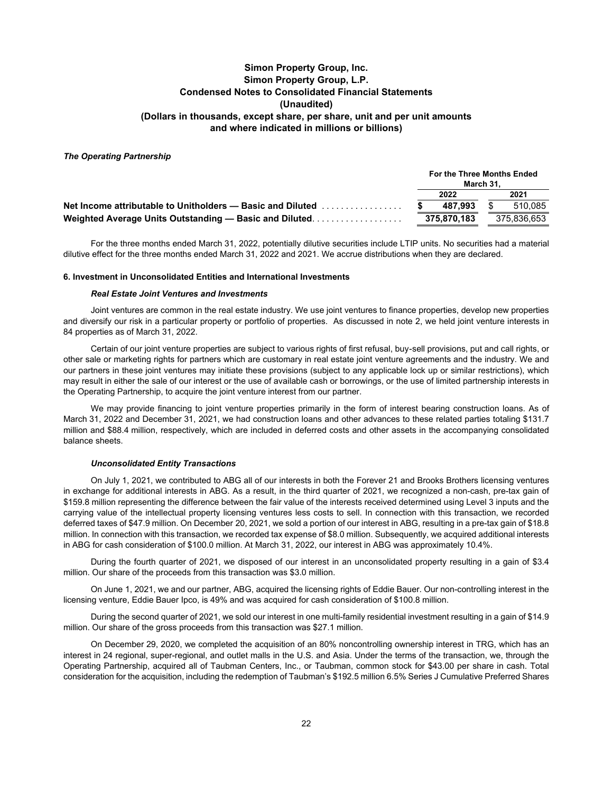### *The Operating Partnership*

|                                                                                 | For the Three Months Ended<br>March 31. |             |
|---------------------------------------------------------------------------------|-----------------------------------------|-------------|
|                                                                                 | 2022                                    | 2021        |
| <b>Net Income attributable to Unitholders — Basic and Diluted manufacturers</b> | 487.993                                 | 510.085     |
| Weighted Average Units Outstanding — Basic and Diluted                          | 375.870.183                             | 375.836.653 |

For the three months ended March 31, 2022, potentially dilutive securities include LTIP units. No securities had a material dilutive effect for the three months ended March 31, 2022 and 2021. We accrue distributions when they are declared.

#### **6. Investment in Unconsolidated Entities and International Investments**

### *Real Estate Joint Ventures and Investments*

Joint ventures are common in the real estate industry. We use joint ventures to finance properties, develop new properties and diversify our risk in a particular property or portfolio of properties. As discussed in note 2, we held joint venture interests in 84 properties as of March 31, 2022.

Certain of our joint venture properties are subject to various rights of first refusal, buy-sell provisions, put and call rights, or other sale or marketing rights for partners which are customary in real estate joint venture agreements and the industry. We and our partners in these joint ventures may initiate these provisions (subject to any applicable lock up or similar restrictions), which may result in either the sale of our interest or the use of available cash or borrowings, or the use of limited partnership interests in the Operating Partnership, to acquire the joint venture interest from our partner.

We may provide financing to joint venture properties primarily in the form of interest bearing construction loans. As of March 31, 2022 and December 31, 2021, we had construction loans and other advances to these related parties totaling \$131.7 million and \$88.4 million, respectively, which are included in deferred costs and other assets in the accompanying consolidated balance sheets.

### *Unconsolidated Entity Transactions*

On July 1, 2021, we contributed to ABG all of our interests in both the Forever 21 and Brooks Brothers licensing ventures in exchange for additional interests in ABG. As a result, in the third quarter of 2021, we recognized a non-cash, pre-tax gain of \$159.8 million representing the difference between the fair value of the interests received determined using Level 3 inputs and the carrying value of the intellectual property licensing ventures less costs to sell. In connection with this transaction, we recorded deferred taxes of \$47.9 million. On December 20, 2021, we sold a portion of our interest in ABG, resulting in a pre-tax gain of \$18.8 million. In connection with this transaction, we recorded tax expense of \$8.0 million. Subsequently, we acquired additional interests in ABG for cash consideration of \$100.0 million. At March 31, 2022, our interest in ABG was approximately 10.4%.

During the fourth quarter of 2021, we disposed of our interest in an unconsolidated property resulting in a gain of \$3.4 million. Our share of the proceeds from this transaction was \$3.0 million.

On June 1, 2021, we and our partner, ABG, acquired the licensing rights of Eddie Bauer. Our non-controlling interest in the licensing venture, Eddie Bauer Ipco, is 49% and was acquired for cash consideration of \$100.8 million.

During the second quarter of 2021, we sold our interest in one multi-family residential investment resulting in a gain of \$14.9 million. Our share of the gross proceeds from this transaction was \$27.1 million.

On December 29, 2020, we completed the acquisition of an 80% noncontrolling ownership interest in TRG, which has an interest in 24 regional, super-regional, and outlet malls in the U.S. and Asia. Under the terms of the transaction, we, through the Operating Partnership, acquired all of Taubman Centers, Inc., or Taubman, common stock for \$43.00 per share in cash. Total consideration for the acquisition, including the redemption of Taubman's \$192.5 million 6.5% Series J Cumulative Preferred Shares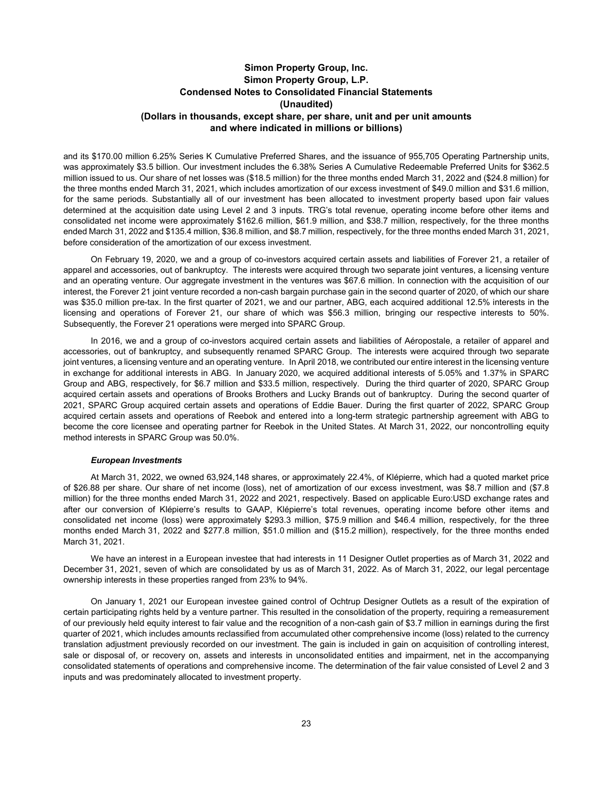and its \$170.00 million 6.25% Series K Cumulative Preferred Shares, and the issuance of 955,705 Operating Partnership units, was approximately \$3.5 billion. Our investment includes the 6.38% Series A Cumulative Redeemable Preferred Units for \$362.5 million issued to us. Our share of net losses was (\$18.5 million) for the three months ended March 31, 2022 and (\$24.8 million) for the three months ended March 31, 2021, which includes amortization of our excess investment of \$49.0 million and \$31.6 million, for the same periods. Substantially all of our investment has been allocated to investment property based upon fair values determined at the acquisition date using Level 2 and 3 inputs. TRG's total revenue, operating income before other items and consolidated net income were approximately \$162.6 million, \$61.9 million, and \$38.7 million, respectively, for the three months ended March 31, 2022 and \$135.4 million, \$36.8 million, and \$8.7 million, respectively, for the three months ended March 31, 2021, before consideration of the amortization of our excess investment.

On February 19, 2020, we and a group of co-investors acquired certain assets and liabilities of Forever 21, a retailer of apparel and accessories, out of bankruptcy. The interests were acquired through two separate joint ventures, a licensing venture and an operating venture. Our aggregate investment in the ventures was \$67.6 million. In connection with the acquisition of our interest, the Forever 21 joint venture recorded a non-cash bargain purchase gain in the second quarter of 2020, of which our share was \$35.0 million pre-tax. In the first quarter of 2021, we and our partner, ABG, each acquired additional 12.5% interests in the licensing and operations of Forever 21, our share of which was \$56.3 million, bringing our respective interests to 50%. Subsequently, the Forever 21 operations were merged into SPARC Group.

In 2016, we and a group of co-investors acquired certain assets and liabilities of Aéropostale, a retailer of apparel and accessories, out of bankruptcy, and subsequently renamed SPARC Group. The interests were acquired through two separate joint ventures, a licensing venture and an operating venture. In April 2018, we contributed our entire interest in the licensing venture in exchange for additional interests in ABG. In January 2020, we acquired additional interests of 5.05% and 1.37% in SPARC Group and ABG, respectively, for \$6.7 million and \$33.5 million, respectively. During the third quarter of 2020, SPARC Group acquired certain assets and operations of Brooks Brothers and Lucky Brands out of bankruptcy. During the second quarter of 2021, SPARC Group acquired certain assets and operations of Eddie Bauer. During the first quarter of 2022, SPARC Group acquired certain assets and operations of Reebok and entered into a long-term strategic partnership agreement with ABG to become the core licensee and operating partner for Reebok in the United States. At March 31, 2022, our noncontrolling equity method interests in SPARC Group was 50.0%.

### *European Investments*

At March 31, 2022, we owned 63,924,148 shares, or approximately 22.4%, of Klépierre, which had a quoted market price of \$26.88 per share. Our share of net income (loss), net of amortization of our excess investment, was \$8.7 million and (\$7.8 million) for the three months ended March 31, 2022 and 2021, respectively. Based on applicable Euro:USD exchange rates and after our conversion of Klépierre's results to GAAP, Klépierre's total revenues, operating income before other items and consolidated net income (loss) were approximately \$293.3 million, \$75.9 million and \$46.4 million, respectively, for the three months ended March 31, 2022 and \$277.8 million, \$51.0 million and (\$15.2 million), respectively, for the three months ended March 31, 2021.

We have an interest in a European investee that had interests in 11 Designer Outlet properties as of March 31, 2022 and December 31, 2021, seven of which are consolidated by us as of March 31, 2022. As of March 31, 2022, our legal percentage ownership interests in these properties ranged from 23% to 94%.

On January 1, 2021 our European investee gained control of Ochtrup Designer Outlets as a result of the expiration of certain participating rights held by a venture partner. This resulted in the consolidation of the property, requiring a remeasurement of our previously held equity interest to fair value and the recognition of a non-cash gain of \$3.7 million in earnings during the first quarter of 2021, which includes amounts reclassified from accumulated other comprehensive income (loss) related to the currency translation adjustment previously recorded on our investment. The gain is included in gain on acquisition of controlling interest, sale or disposal of, or recovery on, assets and interests in unconsolidated entities and impairment, net in the accompanying consolidated statements of operations and comprehensive income. The determination of the fair value consisted of Level 2 and 3 inputs and was predominately allocated to investment property.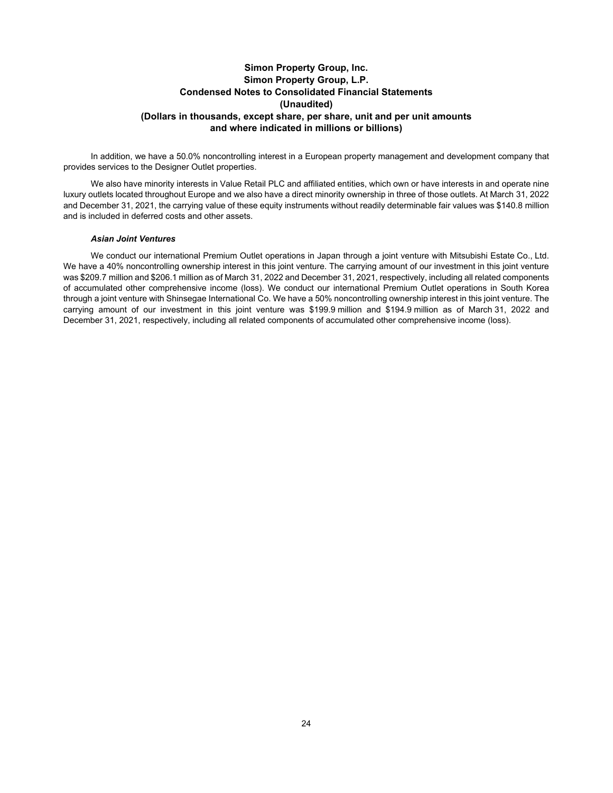In addition, we have a 50.0% noncontrolling interest in a European property management and development company that provides services to the Designer Outlet properties.

We also have minority interests in Value Retail PLC and affiliated entities, which own or have interests in and operate nine luxury outlets located throughout Europe and we also have a direct minority ownership in three of those outlets. At March 31, 2022 and December 31, 2021, the carrying value of these equity instruments without readily determinable fair values was \$140.8 million and is included in deferred costs and other assets.

### *Asian Joint Ventures*

We conduct our international Premium Outlet operations in Japan through a joint venture with Mitsubishi Estate Co., Ltd. We have a 40% noncontrolling ownership interest in this joint venture. The carrying amount of our investment in this joint venture was \$209.7 million and \$206.1 million as of March 31, 2022 and December 31, 2021, respectively, including all related components of accumulated other comprehensive income (loss). We conduct our international Premium Outlet operations in South Korea through a joint venture with Shinsegae International Co. We have a 50% noncontrolling ownership interest in this joint venture. The carrying amount of our investment in this joint venture was \$199.9 million and \$194.9 million as of March 31, 2022 and December 31, 2021, respectively, including all related components of accumulated other comprehensive income (loss).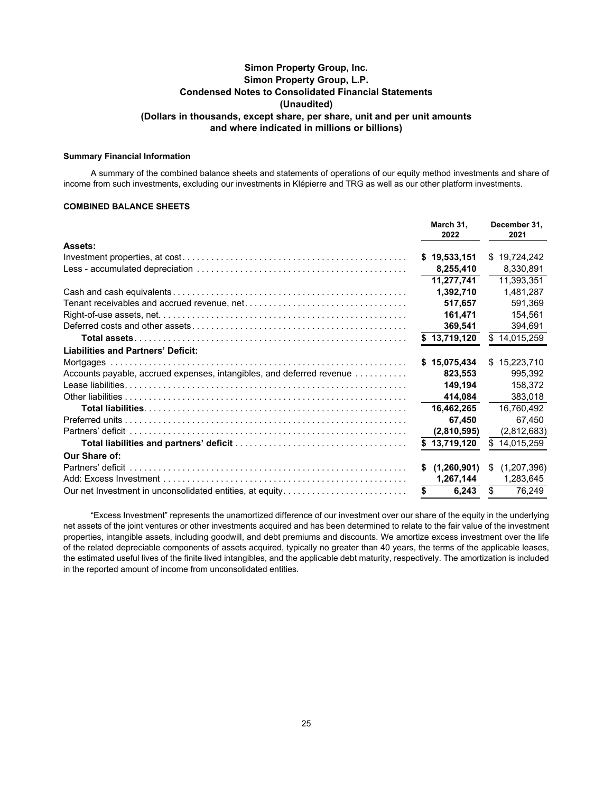### **Summary Financial Information**

A summary of the combined balance sheets and statements of operations of our equity method investments and share of income from such investments, excluding our investments in Klépierre and TRG as well as our other platform investments.

### **COMBINED BALANCE SHEETS**

|                                                                       | March 31.<br>2022 | December 31.<br>2021 |
|-----------------------------------------------------------------------|-------------------|----------------------|
| Assets:                                                               |                   |                      |
|                                                                       | \$19,533,151      | \$19,724,242         |
|                                                                       | 8,255,410         | 8,330,891            |
|                                                                       | 11,277,741        | 11,393,351           |
|                                                                       | 1,392,710         | 1,481,287            |
|                                                                       | 517,657           | 591,369              |
|                                                                       | 161.471           | 154,561              |
|                                                                       | 369,541           | 394,691              |
|                                                                       | \$13,719,120      | \$14,015,259         |
| <b>Liabilities and Partners' Deficit:</b>                             |                   |                      |
|                                                                       | \$15,075,434      | \$15,223,710         |
| Accounts payable, accrued expenses, intangibles, and deferred revenue | 823,553           | 995.392              |
|                                                                       | 149.194           | 158,372              |
|                                                                       | 414,084           | 383,018              |
|                                                                       | 16,462,265        | 16,760,492           |
|                                                                       | 67,450            | 67,450               |
|                                                                       | (2,810,595)       | (2,812,683)          |
|                                                                       | \$13,719,120      | \$14,015,259         |
| Our Share of:                                                         |                   |                      |
|                                                                       | \$(1,260,901)     | \$<br>(1,207,396)    |
|                                                                       | 1,267,144         | 1,283,645            |
| Our net Investment in unconsolidated entities, at equity              | \$<br>6,243       | \$<br>76,249         |

"Excess Investment" represents the unamortized difference of our investment over our share of the equity in the underlying net assets of the joint ventures or other investments acquired and has been determined to relate to the fair value of the investment properties, intangible assets, including goodwill, and debt premiums and discounts. We amortize excess investment over the life of the related depreciable components of assets acquired, typically no greater than 40 years, the terms of the applicable leases, the estimated useful lives of the finite lived intangibles, and the applicable debt maturity, respectively. The amortization is included in the reported amount of income from unconsolidated entities.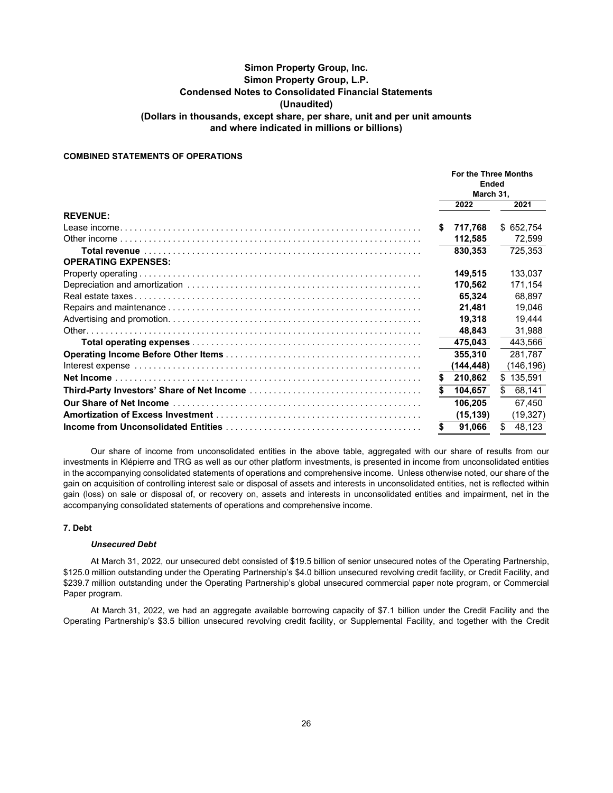### **COMBINED STATEMENTS OF OPERATIONS**

|                            | For the Three Months<br>Ended<br>March 31, |              |
|----------------------------|--------------------------------------------|--------------|
|                            | 2022                                       | 2021         |
| <b>REVENUE:</b>            |                                            |              |
|                            | \$<br>717.768                              | \$ 652,754   |
|                            | 112,585                                    | 72,599       |
|                            | 830,353                                    | 725,353      |
| <b>OPERATING EXPENSES:</b> |                                            |              |
|                            | 149,515                                    | 133,037      |
|                            | 170,562                                    | 171.154      |
|                            | 65,324                                     | 68,897       |
|                            | 21,481                                     | 19,046       |
|                            | 19.318                                     | 19.444       |
|                            | 48,843                                     | 31,988       |
|                            | 475,043                                    | 443,566      |
|                            | 355,310                                    | 281.787      |
|                            | (144,448)                                  | (146,196)    |
|                            | \$<br>210,862                              | \$135,591    |
|                            | 104,657                                    | \$<br>68,141 |
|                            | 106,205                                    | 67,450       |
|                            | (15, 139)                                  | (19,327)     |
|                            | \$<br>91,066                               | \$<br>48,123 |

Our share of income from unconsolidated entities in the above table, aggregated with our share of results from our investments in Klépierre and TRG as well as our other platform investments, is presented in income from unconsolidated entities in the accompanying consolidated statements of operations and comprehensive income. Unless otherwise noted, our share of the gain on acquisition of controlling interest sale or disposal of assets and interests in unconsolidated entities, net is reflected within gain (loss) on sale or disposal of, or recovery on, assets and interests in unconsolidated entities and impairment, net in the accompanying consolidated statements of operations and comprehensive income.

### **7. Debt**

### *Unsecured Debt*

At March 31, 2022, our unsecured debt consisted of \$19.5 billion of senior unsecured notes of the Operating Partnership, \$125.0 million outstanding under the Operating Partnership's \$4.0 billion unsecured revolving credit facility, or Credit Facility, and \$239.7 million outstanding under the Operating Partnership's global unsecured commercial paper note program, or Commercial Paper program.

At March 31, 2022, we had an aggregate available borrowing capacity of \$7.1 billion under the Credit Facility and the Operating Partnership's \$3.5 billion unsecured revolving credit facility, or Supplemental Facility, and together with the Credit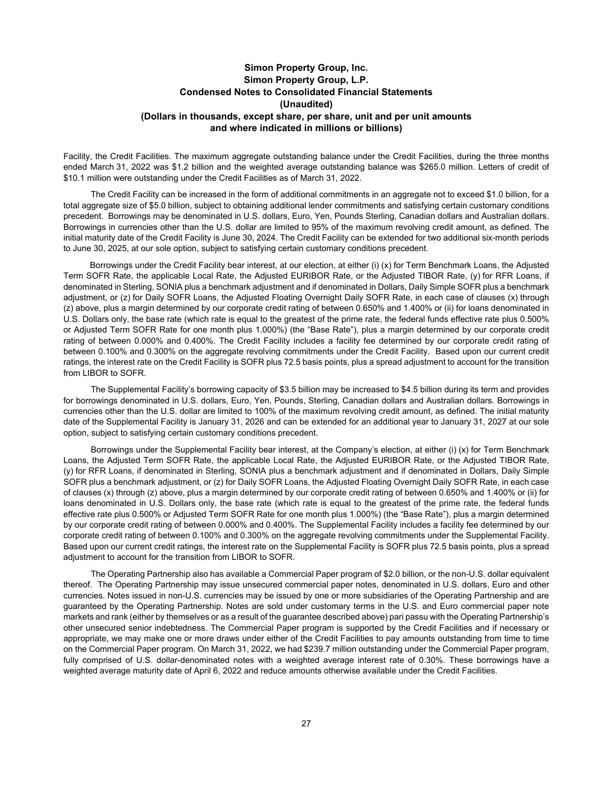Facility, the Credit Facilities. The maximum aggregate outstanding balance under the Credit Facilities, during the three months ended March 31, 2022 was \$1.2 billion and the weighted average outstanding balance was \$265.0 million. Letters of credit of \$10.1 million were outstanding under the Credit Facilities as of March 31, 2022.

The Credit Facility can be increased in the form of additional commitments in an aggregate not to exceed \$1.0 billion, for a total aggregate size of \$5.0 billion, subject to obtaining additional lender commitments and satisfying certain customary conditions precedent. Borrowings may be denominated in U.S. dollars, Euro, Yen, Pounds Sterling, Canadian dollars and Australian dollars. Borrowings in currencies other than the U.S. dollar are limited to 95% of the maximum revolving credit amount, as defined. The initial maturity date of the Credit Facility is June 30, 2024. The Credit Facility can be extended for two additional six-month periods to June 30, 2025, at our sole option, subject to satisfying certain customary conditions precedent.

Borrowings under the Credit Facility bear interest, at our election, at either (i) (x) for Term Benchmark Loans, the Adjusted Term SOFR Rate, the applicable Local Rate, the Adjusted EURIBOR Rate, or the Adjusted TIBOR Rate, (y) for RFR Loans, if denominated in Sterling, SONIA plus a benchmark adjustment and if denominated in Dollars, Daily Simple SOFR plus a benchmark adjustment, or (z) for Daily SOFR Loans, the Adjusted Floating Overnight Daily SOFR Rate, in each case of clauses (x) through (z) above, plus a margin determined by our corporate credit rating of between 0.650% and 1.400% or (ii) for loans denominated in U.S. Dollars only, the base rate (which rate is equal to the greatest of the prime rate, the federal funds effective rate plus 0.500% or Adjusted Term SOFR Rate for one month plus 1.000%) (the "Base Rate"), plus a margin determined by our corporate credit rating of between 0.000% and 0.400%. The Credit Facility includes a facility fee determined by our corporate credit rating of between 0.100% and 0.300% on the aggregate revolving commitments under the Credit Facility. Based upon our current credit ratings, the interest rate on the Credit Facility is SOFR plus 72.5 basis points, plus a spread adjustment to account for the transition from LIBOR to SOFR.

The Supplemental Facility's borrowing capacity of \$3.5 billion may be increased to \$4.5 billion during its term and provides for borrowings denominated in U.S. dollars, Euro, Yen, Pounds, Sterling, Canadian dollars and Australian dollars. Borrowings in currencies other than the U.S. dollar are limited to 100% of the maximum revolving credit amount, as defined. The initial maturity date of the Supplemental Facility is January 31, 2026 and can be extended for an additional year to January 31, 2027 at our sole option, subject to satisfying certain customary conditions precedent.

Borrowings under the Supplemental Facility bear interest, at the Company's election, at either (i) (x) for Term Benchmark Loans, the Adjusted Term SOFR Rate, the applicable Local Rate, the Adjusted EURIBOR Rate, or the Adjusted TIBOR Rate, (y) for RFR Loans, if denominated in Sterling, SONIA plus a benchmark adjustment and if denominated in Dollars, Daily Simple SOFR plus a benchmark adjustment, or (z) for Daily SOFR Loans, the Adjusted Floating Overnight Daily SOFR Rate, in each case of clauses (x) through (z) above, plus a margin determined by our corporate credit rating of between 0.650% and 1.400% or (ii) for loans denominated in U.S. Dollars only, the base rate (which rate is equal to the greatest of the prime rate, the federal funds effective rate plus 0.500% or Adjusted Term SOFR Rate for one month plus 1.000%) (the "Base Rate"), plus a margin determined by our corporate credit rating of between 0.000% and 0.400%. The Supplemental Facility includes a facility fee determined by our corporate credit rating of between 0.100% and 0.300% on the aggregate revolving commitments under the Supplemental Facility. Based upon our current credit ratings, the interest rate on the Supplemental Facility is SOFR plus 72.5 basis points, plus a spread adjustment to account for the transition from LIBOR to SOFR.

The Operating Partnership also has available a Commercial Paper program of \$2.0 billion, or the non-U.S. dollar equivalent thereof. The Operating Partnership may issue unsecured commercial paper notes, denominated in U.S. dollars, Euro and other currencies. Notes issued in non-U.S. currencies may be issued by one or more subsidiaries of the Operating Partnership and are guaranteed by the Operating Partnership. Notes are sold under customary terms in the U.S. and Euro commercial paper note markets and rank (either by themselves or as a result of the guarantee described above) pari passu with the Operating Partnership's other unsecured senior indebtedness. The Commercial Paper program is supported by the Credit Facilities and if necessary or appropriate, we may make one or more draws under either of the Credit Facilities to pay amounts outstanding from time to time on the Commercial Paper program. On March 31, 2022, we had \$239.7 million outstanding under the Commercial Paper program, fully comprised of U.S. dollar-denominated notes with a weighted average interest rate of 0.30%. These borrowings have a weighted average maturity date of April 6, 2022 and reduce amounts otherwise available under the Credit Facilities.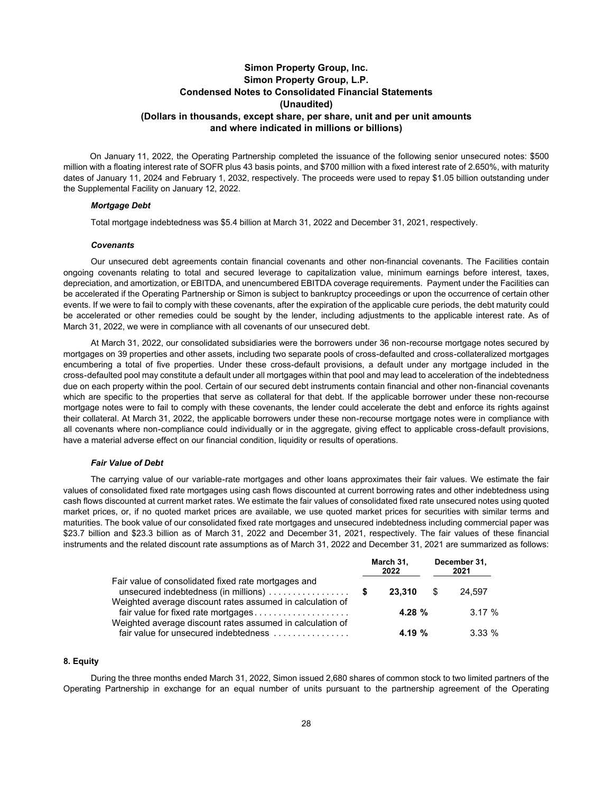On January 11, 2022, the Operating Partnership completed the issuance of the following senior unsecured notes: \$500 million with a floating interest rate of SOFR plus 43 basis points, and \$700 million with a fixed interest rate of 2.650%, with maturity dates of January 11, 2024 and February 1, 2032, respectively. The proceeds were used to repay \$1.05 billion outstanding under the Supplemental Facility on January 12, 2022.

### *Mortgage Debt*

Total mortgage indebtedness was \$5.4 billion at March 31, 2022 and December 31, 2021, respectively.

#### *Covenants*

Our unsecured debt agreements contain financial covenants and other non-financial covenants. The Facilities contain ongoing covenants relating to total and secured leverage to capitalization value, minimum earnings before interest, taxes, depreciation, and amortization, or EBITDA, and unencumbered EBITDA coverage requirements. Payment under the Facilities can be accelerated if the Operating Partnership or Simon is subject to bankruptcy proceedings or upon the occurrence of certain other events. If we were to fail to comply with these covenants, after the expiration of the applicable cure periods, the debt maturity could be accelerated or other remedies could be sought by the lender, including adjustments to the applicable interest rate. As of March 31, 2022, we were in compliance with all covenants of our unsecured debt.

At March 31, 2022, our consolidated subsidiaries were the borrowers under 36 non-recourse mortgage notes secured by mortgages on 39 properties and other assets, including two separate pools of cross-defaulted and cross-collateralized mortgages encumbering a total of five properties. Under these cross-default provisions, a default under any mortgage included in the cross-defaulted pool may constitute a default under all mortgages within that pool and may lead to acceleration of the indebtedness due on each property within the pool. Certain of our secured debt instruments contain financial and other non-financial covenants which are specific to the properties that serve as collateral for that debt. If the applicable borrower under these non-recourse mortgage notes were to fail to comply with these covenants, the lender could accelerate the debt and enforce its rights against their collateral. At March 31, 2022, the applicable borrowers under these non-recourse mortgage notes were in compliance with all covenants where non-compliance could individually or in the aggregate, giving effect to applicable cross-default provisions, have a material adverse effect on our financial condition, liquidity or results of operations.

### *Fair Value of Debt*

The carrying value of our variable-rate mortgages and other loans approximates their fair values. We estimate the fair values of consolidated fixed rate mortgages using cash flows discounted at current borrowing rates and other indebtedness using cash flows discounted at current market rates. We estimate the fair values of consolidated fixed rate unsecured notes using quoted market prices, or, if no quoted market prices are available, we use quoted market prices for securities with similar terms and maturities. The book value of our consolidated fixed rate mortgages and unsecured indebtedness including commercial paper was \$23.7 billion and \$23.3 billion as of March 31, 2022 and December 31, 2021, respectively. The fair values of these financial instruments and the related discount rate assumptions as of March 31, 2022 and December 31, 2021 are summarized as follows:

|                                                                                                         | March 31,<br>2022 | December 31,<br>2021 |          |  |
|---------------------------------------------------------------------------------------------------------|-------------------|----------------------|----------|--|
| Fair value of consolidated fixed rate mortgages and<br>unsecured indebtedness (in millions) $\ldots$ \$ | 23.310            | -SS                  | 24.597   |  |
| Weighted average discount rates assumed in calculation of<br>fair value for fixed rate mortgages        | 4.28 $%$          |                      | 3.17%    |  |
| Weighted average discount rates assumed in calculation of<br>fair value for unsecured indebtedness      | 4.19%             |                      | $3.33\%$ |  |

### **8. Equity**

During the three months ended March 31, 2022, Simon issued 2,680 shares of common stock to two limited partners of the Operating Partnership in exchange for an equal number of units pursuant to the partnership agreement of the Operating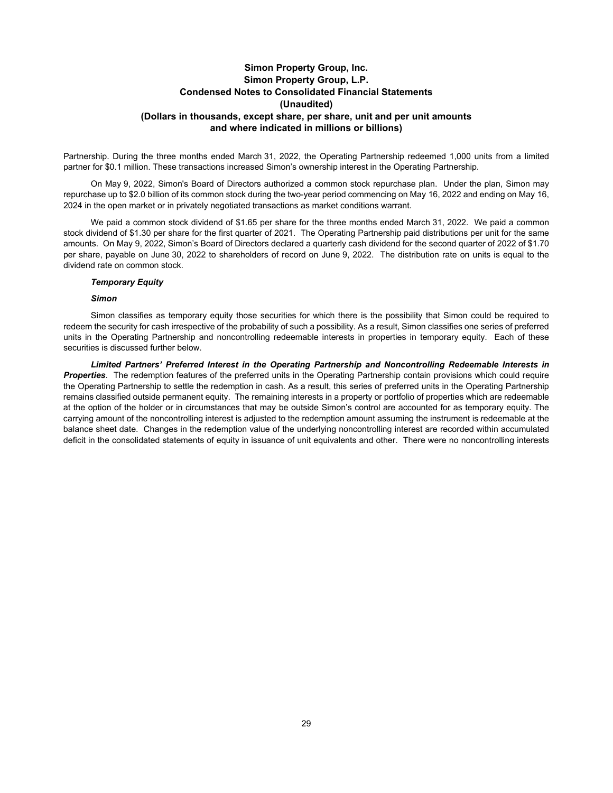Partnership. During the three months ended March 31, 2022, the Operating Partnership redeemed 1,000 units from a limited partner for \$0.1 million. These transactions increased Simon's ownership interest in the Operating Partnership.

On May 9, 2022, Simon's Board of Directors authorized a common stock repurchase plan. Under the plan, Simon may repurchase up to \$2.0 billion of its common stock during the two-year period commencing on May 16, 2022 and ending on May 16, 2024 in the open market or in privately negotiated transactions as market conditions warrant.

We paid a common stock dividend of \$1.65 per share for the three months ended March 31, 2022. We paid a common stock dividend of \$1.30 per share for the first quarter of 2021. The Operating Partnership paid distributions per unit for the same amounts. On May 9, 2022, Simon's Board of Directors declared a quarterly cash dividend for the second quarter of 2022 of \$1.70 per share, payable on June 30, 2022 to shareholders of record on June 9, 2022. The distribution rate on units is equal to the dividend rate on common stock.

### *Temporary Equity*

### *Simon*

Simon classifies as temporary equity those securities for which there is the possibility that Simon could be required to redeem the security for cash irrespective of the probability of such a possibility. As a result, Simon classifies one series of preferred units in the Operating Partnership and noncontrolling redeemable interests in properties in temporary equity. Each of these securities is discussed further below.

*Limited Partners' Preferred Interest in the Operating Partnership and Noncontrolling Redeemable Interests in Properties*. The redemption features of the preferred units in the Operating Partnership contain provisions which could require the Operating Partnership to settle the redemption in cash. As a result, this series of preferred units in the Operating Partnership remains classified outside permanent equity. The remaining interests in a property or portfolio of properties which are redeemable at the option of the holder or in circumstances that may be outside Simon's control are accounted for as temporary equity. The carrying amount of the noncontrolling interest is adjusted to the redemption amount assuming the instrument is redeemable at the balance sheet date. Changes in the redemption value of the underlying noncontrolling interest are recorded within accumulated deficit in the consolidated statements of equity in issuance of unit equivalents and other. There were no noncontrolling interests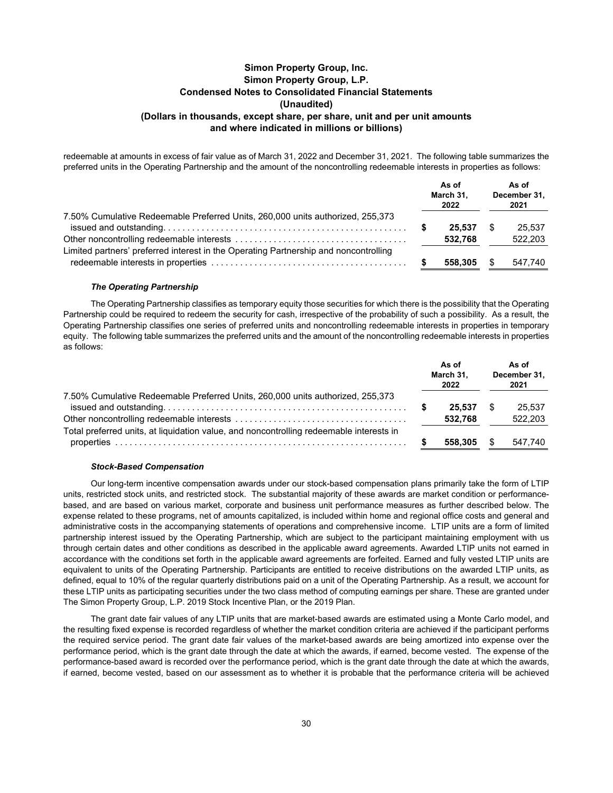redeemable at amounts in excess of fair value as of March 31, 2022 and December 31, 2021. The following table summarizes the preferred units in the Operating Partnership and the amount of the noncontrolling redeemable interests in properties as follows:

|                                                                                      | As of<br>March 31.<br>2022 |      | As of<br>December 31,<br>2021 |
|--------------------------------------------------------------------------------------|----------------------------|------|-------------------------------|
| 7.50% Cumulative Redeemable Preferred Units, 260,000 units authorized, 255,373       | 25.537<br>532.768          | - \$ | 25.537<br>522,203             |
| Limited partners' preferred interest in the Operating Partnership and noncontrolling | 558.305                    |      | 547,740                       |

### *The Operating Partnership*

The Operating Partnership classifies as temporary equity those securities for which there is the possibility that the Operating Partnership could be required to redeem the security for cash, irrespective of the probability of such a possibility. As a result, the Operating Partnership classifies one series of preferred units and noncontrolling redeemable interests in properties in temporary equity. The following table summarizes the preferred units and the amount of the noncontrolling redeemable interests in properties as follows:

|                                                                                         | As of<br>March 31.<br>2022 | As of<br>December 31,<br>2021 |                   |
|-----------------------------------------------------------------------------------------|----------------------------|-------------------------------|-------------------|
| 7.50% Cumulative Redeemable Preferred Units, 260,000 units authorized, 255,373          | 25.537<br>532.768          | - \$                          | 25.537<br>522,203 |
| Total preferred units, at liquidation value, and noncontrolling redeemable interests in |                            |                               |                   |
|                                                                                         | 558.305 \$                 |                               | 547.740           |

### *Stock-Based Compensation*

Our long-term incentive compensation awards under our stock-based compensation plans primarily take the form of LTIP units, restricted stock units, and restricted stock. The substantial majority of these awards are market condition or performancebased, and are based on various market, corporate and business unit performance measures as further described below. The expense related to these programs, net of amounts capitalized, is included within home and regional office costs and general and administrative costs in the accompanying statements of operations and comprehensive income. LTIP units are a form of limited partnership interest issued by the Operating Partnership, which are subject to the participant maintaining employment with us through certain dates and other conditions as described in the applicable award agreements. Awarded LTIP units not earned in accordance with the conditions set forth in the applicable award agreements are forfeited. Earned and fully vested LTIP units are equivalent to units of the Operating Partnership. Participants are entitled to receive distributions on the awarded LTIP units, as defined, equal to 10% of the regular quarterly distributions paid on a unit of the Operating Partnership. As a result, we account for these LTIP units as participating securities under the two class method of computing earnings per share. These are granted under The Simon Property Group, L.P. 2019 Stock Incentive Plan, or the 2019 Plan.

The grant date fair values of any LTIP units that are market-based awards are estimated using a Monte Carlo model, and the resulting fixed expense is recorded regardless of whether the market condition criteria are achieved if the participant performs the required service period. The grant date fair values of the market-based awards are being amortized into expense over the performance period, which is the grant date through the date at which the awards, if earned, become vested. The expense of the performance-based award is recorded over the performance period, which is the grant date through the date at which the awards, if earned, become vested, based on our assessment as to whether it is probable that the performance criteria will be achieved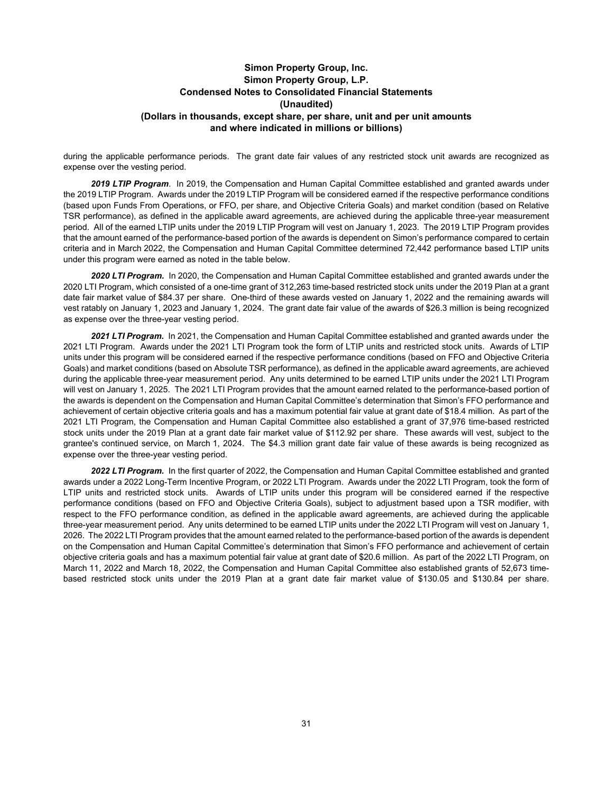during the applicable performance periods. The grant date fair values of any restricted stock unit awards are recognized as expense over the vesting period.

*2019 LTIP Program*. In 2019, the Compensation and Human Capital Committee established and granted awards under the 2019 LTIP Program. Awards under the 2019 LTIP Program will be considered earned if the respective performance conditions (based upon Funds From Operations, or FFO, per share, and Objective Criteria Goals) and market condition (based on Relative TSR performance), as defined in the applicable award agreements, are achieved during the applicable three-year measurement period. All of the earned LTIP units under the 2019 LTIP Program will vest on January 1, 2023. The 2019 LTIP Program provides that the amount earned of the performance-based portion of the awards is dependent on Simon's performance compared to certain criteria and in March 2022, the Compensation and Human Capital Committee determined 72,442 performance based LTIP units under this program were earned as noted in the table below.

*2020 LTI Program.* In 2020, the Compensation and Human Capital Committee established and granted awards under the 2020 LTI Program, which consisted of a one-time grant of 312,263 time-based restricted stock units under the 2019 Plan at a grant date fair market value of \$84.37 per share. One-third of these awards vested on January 1, 2022 and the remaining awards will vest ratably on January 1, 2023 and January 1, 2024. The grant date fair value of the awards of \$26.3 million is being recognized as expense over the three-year vesting period.

*2021 LTI Program.* In 2021, the Compensation and Human Capital Committee established and granted awards under the 2021 LTI Program. Awards under the 2021 LTI Program took the form of LTIP units and restricted stock units. Awards of LTIP units under this program will be considered earned if the respective performance conditions (based on FFO and Objective Criteria Goals) and market conditions (based on Absolute TSR performance), as defined in the applicable award agreements, are achieved during the applicable three-year measurement period. Any units determined to be earned LTIP units under the 2021 LTI Program will vest on January 1, 2025. The 2021 LTI Program provides that the amount earned related to the performance-based portion of the awards is dependent on the Compensation and Human Capital Committee's determination that Simon's FFO performance and achievement of certain objective criteria goals and has a maximum potential fair value at grant date of \$18.4 million. As part of the 2021 LTI Program, the Compensation and Human Capital Committee also established a grant of 37,976 time-based restricted stock units under the 2019 Plan at a grant date fair market value of \$112.92 per share. These awards will vest, subject to the grantee's continued service, on March 1, 2024. The \$4.3 million grant date fair value of these awards is being recognized as expense over the three-year vesting period.

*2022 LTI Program.* In the first quarter of 2022, the Compensation and Human Capital Committee established and granted awards under a 2022 Long-Term Incentive Program, or 2022 LTI Program. Awards under the 2022 LTI Program, took the form of LTIP units and restricted stock units. Awards of LTIP units under this program will be considered earned if the respective performance conditions (based on FFO and Objective Criteria Goals), subject to adjustment based upon a TSR modifier, with respect to the FFO performance condition, as defined in the applicable award agreements, are achieved during the applicable three-year measurement period. Any units determined to be earned LTIP units under the 2022 LTI Program will vest on January 1, 2026. The 2022 LTI Program provides that the amount earned related to the performance-based portion of the awards is dependent on the Compensation and Human Capital Committee's determination that Simon's FFO performance and achievement of certain objective criteria goals and has a maximum potential fair value at grant date of \$20.6 million. As part of the 2022 LTI Program, on March 11, 2022 and March 18, 2022, the Compensation and Human Capital Committee also established grants of 52,673 timebased restricted stock units under the 2019 Plan at a grant date fair market value of \$130.05 and \$130.84 per share.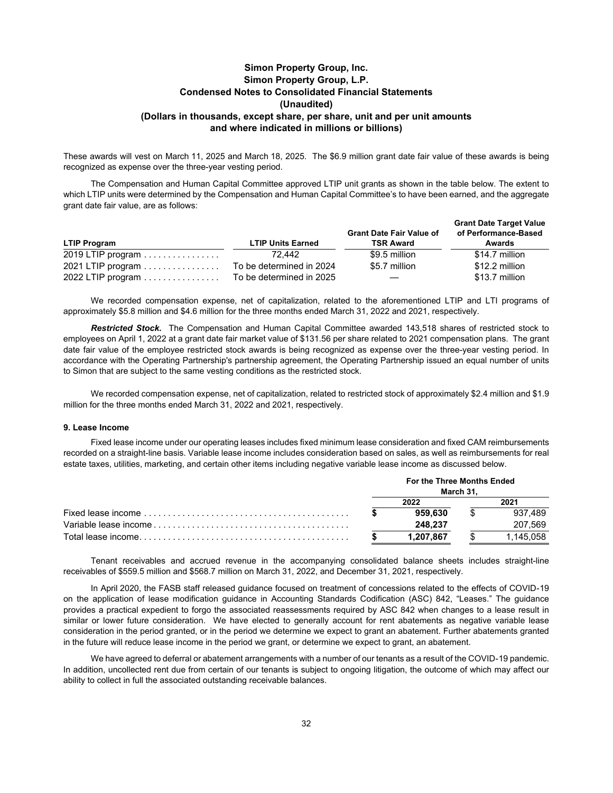These awards will vest on March 11, 2025 and March 18, 2025. The \$6.9 million grant date fair value of these awards is being recognized as expense over the three-year vesting period.

The Compensation and Human Capital Committee approved LTIP unit grants as shown in the table below. The extent to which LTIP units were determined by the Compensation and Human Capital Committee's to have been earned, and the aggregate grant date fair value, are as follows:

| <b>LTIP Program</b> | <b>LTIP Units Earned</b> | <b>Grant Date Fair Value of</b><br><b>TSR Award</b> | <b>Grant Date Target Value</b><br>of Performance-Based<br>Awards |
|---------------------|--------------------------|-----------------------------------------------------|------------------------------------------------------------------|
| 2019 LTIP program   | 72.442                   | \$9.5 million                                       | \$14.7 million                                                   |
| 2021 LTIP program   | To be determined in 2024 | \$5.7 million                                       | \$12.2 million                                                   |
| 2022 LTIP program   | To be determined in 2025 |                                                     | \$13.7 million                                                   |

We recorded compensation expense, net of capitalization, related to the aforementioned LTIP and LTI programs of approximately \$5.8 million and \$4.6 million for the three months ended March 31, 2022 and 2021, respectively.

*Restricted Stock.* The Compensation and Human Capital Committee awarded 143,518 shares of restricted stock to employees on April 1, 2022 at a grant date fair market value of \$131.56 per share related to 2021 compensation plans. The grant date fair value of the employee restricted stock awards is being recognized as expense over the three-year vesting period. In accordance with the Operating Partnership's partnership agreement, the Operating Partnership issued an equal number of units to Simon that are subject to the same vesting conditions as the restricted stock.

We recorded compensation expense, net of capitalization, related to restricted stock of approximately \$2.4 million and \$1.9 million for the three months ended March 31, 2022 and 2021, respectively.

### **9. Lease Income**

Fixed lease income under our operating leases includes fixed minimum lease consideration and fixed CAM reimbursements recorded on a straight-line basis. Variable lease income includes consideration based on sales, as well as reimbursements for real estate taxes, utilities, marketing, and certain other items including negative variable lease income as discussed below.

|  |  | For the Three Months Ended | March 31. |           |
|--|--|----------------------------|-----------|-----------|
|  |  | 2022                       |           | 2021      |
|  |  | 959.630                    |           | 937.489   |
|  |  | 248.237                    |           | 207.569   |
|  |  | 1,207,867                  |           | 1.145.058 |

Tenant receivables and accrued revenue in the accompanying consolidated balance sheets includes straight-line receivables of \$559.5 million and \$568.7 million on March 31, 2022, and December 31, 2021, respectively.

In April 2020, the FASB staff released guidance focused on treatment of concessions related to the effects of COVID-19 on the application of lease modification guidance in Accounting Standards Codification (ASC) 842, "Leases." The guidance provides a practical expedient to forgo the associated reassessments required by ASC 842 when changes to a lease result in similar or lower future consideration. We have elected to generally account for rent abatements as negative variable lease consideration in the period granted, or in the period we determine we expect to grant an abatement. Further abatements granted in the future will reduce lease income in the period we grant, or determine we expect to grant, an abatement.

We have agreed to deferral or abatement arrangements with a number of our tenants as a result of the COVID-19 pandemic. In addition, uncollected rent due from certain of our tenants is subject to ongoing litigation, the outcome of which may affect our ability to collect in full the associated outstanding receivable balances.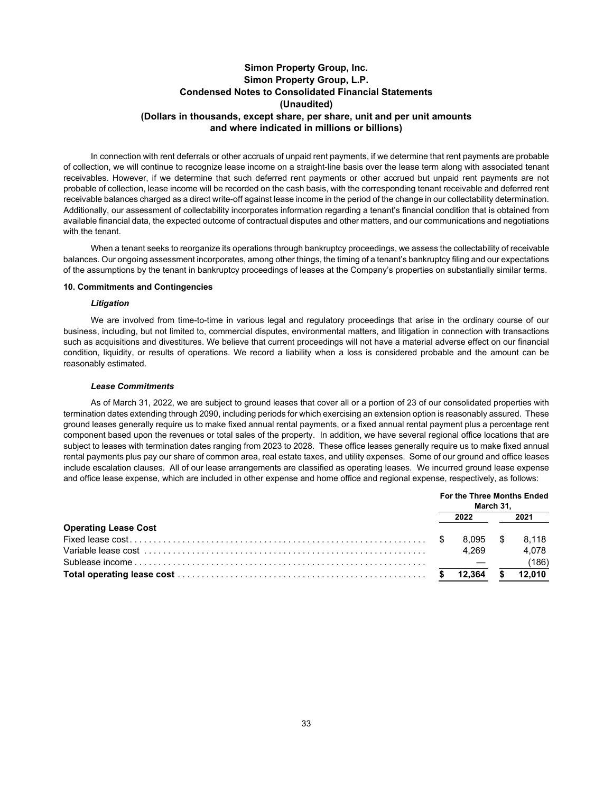In connection with rent deferrals or other accruals of unpaid rent payments, if we determine that rent payments are probable of collection, we will continue to recognize lease income on a straight-line basis over the lease term along with associated tenant receivables. However, if we determine that such deferred rent payments or other accrued but unpaid rent payments are not probable of collection, lease income will be recorded on the cash basis, with the corresponding tenant receivable and deferred rent receivable balances charged as a direct write-off against lease income in the period of the change in our collectability determination. Additionally, our assessment of collectability incorporates information regarding a tenant's financial condition that is obtained from available financial data, the expected outcome of contractual disputes and other matters, and our communications and negotiations with the tenant.

When a tenant seeks to reorganize its operations through bankruptcy proceedings, we assess the collectability of receivable balances. Our ongoing assessment incorporates, among other things, the timing of a tenant's bankruptcy filing and our expectations of the assumptions by the tenant in bankruptcy proceedings of leases at the Company's properties on substantially similar terms.

### **10. Commitments and Contingencies**

### *Litigation*

We are involved from time-to-time in various legal and regulatory proceedings that arise in the ordinary course of our business, including, but not limited to, commercial disputes, environmental matters, and litigation in connection with transactions such as acquisitions and divestitures. We believe that current proceedings will not have a material adverse effect on our financial condition, liquidity, or results of operations. We record a liability when a loss is considered probable and the amount can be reasonably estimated.

### *Lease Commitments*

As of March 31, 2022, we are subject to ground leases that cover all or a portion of 23 of our consolidated properties with termination dates extending through 2090, including periods for which exercising an extension option is reasonably assured. These ground leases generally require us to make fixed annual rental payments, or a fixed annual rental payment plus a percentage rent component based upon the revenues or total sales of the property. In addition, we have several regional office locations that are subject to leases with termination dates ranging from 2023 to 2028. These office leases generally require us to make fixed annual rental payments plus pay our share of common area, real estate taxes, and utility expenses. Some of our ground and office leases include escalation clauses. All of our lease arrangements are classified as operating leases. We incurred ground lease expense and office lease expense, which are included in other expense and home office and regional expense, respectively, as follows:

|                             |        | March 31. | For the Three Months Ended |  |  |
|-----------------------------|--------|-----------|----------------------------|--|--|
|                             | 2022   |           | 2021                       |  |  |
| <b>Operating Lease Cost</b> |        |           |                            |  |  |
|                             | 8.095  |           | 8.118                      |  |  |
|                             | 4.269  |           | 4.078                      |  |  |
|                             |        |           | (186)                      |  |  |
|                             | 12.364 |           | 12.010                     |  |  |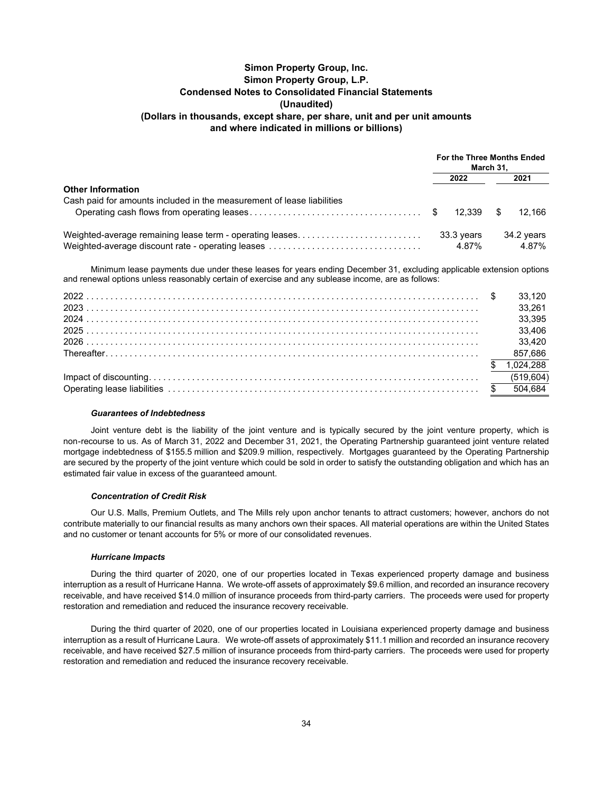|                                                                                                    |      | For the Three Months Ended<br>March 31, |                     |  |
|----------------------------------------------------------------------------------------------------|------|-----------------------------------------|---------------------|--|
|                                                                                                    | 2022 |                                         | 2021                |  |
| <b>Other Information</b><br>Cash paid for amounts included in the measurement of lease liabilities |      | 12.339                                  | 12.166              |  |
| Weighted-average remaining lease term - operating leases                                           |      | 33.3 years<br>4.87%                     | 34.2 years<br>4.87% |  |

Minimum lease payments due under these leases for years ending December 31, excluding applicable extension options and renewal options unless reasonably certain of exercise and any sublease income, are as follows:

|  | 33.120<br>33.261 |
|--|------------------|
|  | 33,395           |
|  | 33,406           |
|  | 33,420           |
|  | 857,686          |
|  | 1.024.288        |
|  | (519, 604)       |
|  | 504,684          |

### *Guarantees of Indebtedness*

Joint venture debt is the liability of the joint venture and is typically secured by the joint venture property, which is non-recourse to us. As of March 31, 2022 and December 31, 2021, the Operating Partnership guaranteed joint venture related mortgage indebtedness of \$155.5 million and \$209.9 million, respectively. Mortgages guaranteed by the Operating Partnership are secured by the property of the joint venture which could be sold in order to satisfy the outstanding obligation and which has an estimated fair value in excess of the guaranteed amount.

### *Concentration of Credit Risk*

Our U.S. Malls, Premium Outlets, and The Mills rely upon anchor tenants to attract customers; however, anchors do not contribute materially to our financial results as many anchors own their spaces. All material operations are within the United States and no customer or tenant accounts for 5% or more of our consolidated revenues.

### *Hurricane Impacts*

During the third quarter of 2020, one of our properties located in Texas experienced property damage and business interruption as a result of Hurricane Hanna. We wrote-off assets of approximately \$9.6 million, and recorded an insurance recovery receivable, and have received \$14.0 million of insurance proceeds from third-party carriers. The proceeds were used for property restoration and remediation and reduced the insurance recovery receivable.

During the third quarter of 2020, one of our properties located in Louisiana experienced property damage and business interruption as a result of Hurricane Laura. We wrote-off assets of approximately \$11.1 million and recorded an insurance recovery receivable, and have received \$27.5 million of insurance proceeds from third-party carriers. The proceeds were used for property restoration and remediation and reduced the insurance recovery receivable.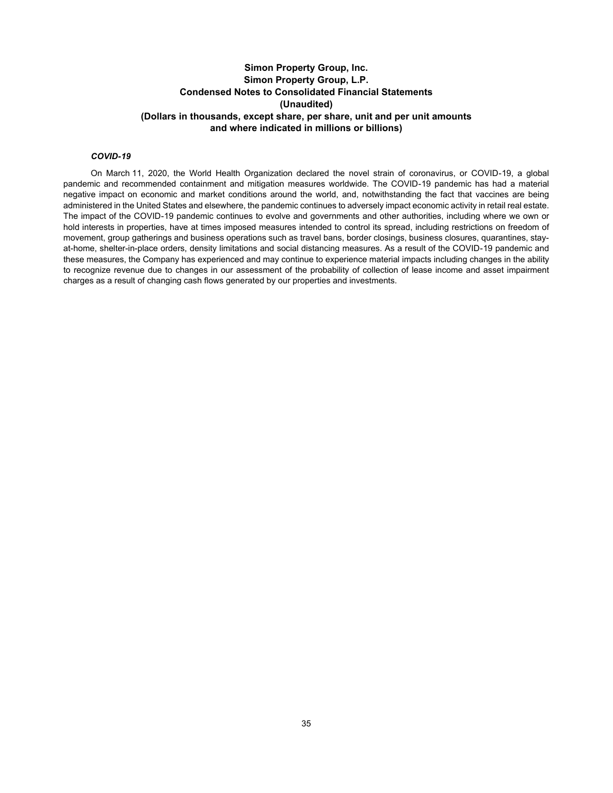### *COVID-19*

On March 11, 2020, the World Health Organization declared the novel strain of coronavirus, or COVID-19, a global pandemic and recommended containment and mitigation measures worldwide. The COVID-19 pandemic has had a material negative impact on economic and market conditions around the world, and, notwithstanding the fact that vaccines are being administered in the United States and elsewhere, the pandemic continues to adversely impact economic activity in retail real estate. The impact of the COVID-19 pandemic continues to evolve and governments and other authorities, including where we own or hold interests in properties, have at times imposed measures intended to control its spread, including restrictions on freedom of movement, group gatherings and business operations such as travel bans, border closings, business closures, quarantines, stayat-home, shelter-in-place orders, density limitations and social distancing measures. As a result of the COVID-19 pandemic and these measures, the Company has experienced and may continue to experience material impacts including changes in the ability to recognize revenue due to changes in our assessment of the probability of collection of lease income and asset impairment charges as a result of changing cash flows generated by our properties and investments.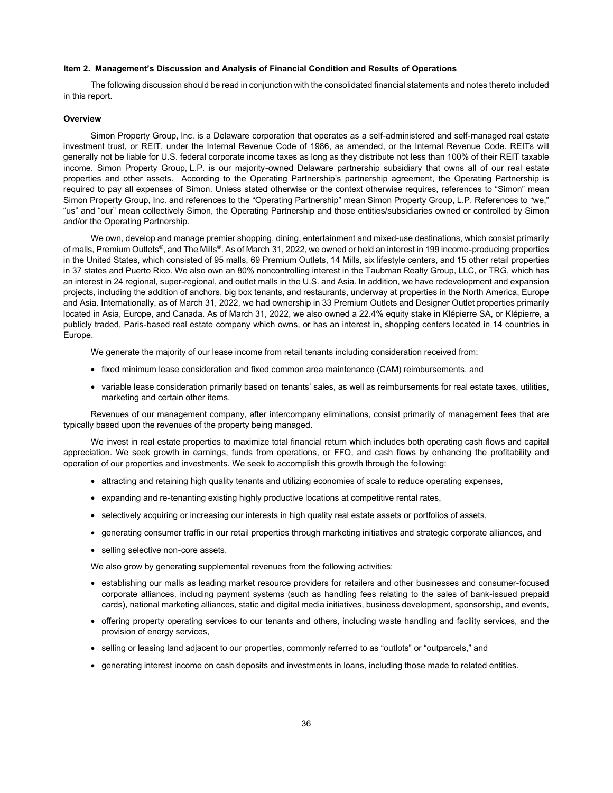#### **Item 2. Management's Discussion and Analysis of Financial Condition and Results of Operations**

The following discussion should be read in conjunction with the consolidated financial statements and notes thereto included in this report.

### **Overview**

Simon Property Group, Inc. is a Delaware corporation that operates as a self-administered and self-managed real estate investment trust, or REIT, under the Internal Revenue Code of 1986, as amended, or the Internal Revenue Code. REITs will generally not be liable for U.S. federal corporate income taxes as long as they distribute not less than 100% of their REIT taxable income. Simon Property Group, L.P. is our majority-owned Delaware partnership subsidiary that owns all of our real estate properties and other assets. According to the Operating Partnership's partnership agreement, the Operating Partnership is required to pay all expenses of Simon. Unless stated otherwise or the context otherwise requires, references to "Simon" mean Simon Property Group, Inc. and references to the "Operating Partnership" mean Simon Property Group, L.P. References to "we," "us" and "our" mean collectively Simon, the Operating Partnership and those entities/subsidiaries owned or controlled by Simon and/or the Operating Partnership.

We own, develop and manage premier shopping, dining, entertainment and mixed-use destinations, which consist primarily of malls, Premium Outlets®, and The Mills®. As of March 31, 2022, we owned or held an interest in 199 income-producing properties in the United States, which consisted of 95 malls, 69 Premium Outlets, 14 Mills, six lifestyle centers, and 15 other retail properties in 37 states and Puerto Rico. We also own an 80% noncontrolling interest in the Taubman Realty Group, LLC, or TRG, which has an interest in 24 regional, super-regional, and outlet malls in the U.S. and Asia. In addition, we have redevelopment and expansion projects, including the addition of anchors, big box tenants, and restaurants, underway at properties in the North America, Europe and Asia. Internationally, as of March 31, 2022, we had ownership in 33 Premium Outlets and Designer Outlet properties primarily located in Asia, Europe, and Canada. As of March 31, 2022, we also owned a 22.4% equity stake in Klépierre SA, or Klépierre, a publicly traded, Paris-based real estate company which owns, or has an interest in, shopping centers located in 14 countries in Europe.

We generate the majority of our lease income from retail tenants including consideration received from:

- fixed minimum lease consideration and fixed common area maintenance (CAM) reimbursements, and
- variable lease consideration primarily based on tenants' sales, as well as reimbursements for real estate taxes, utilities, marketing and certain other items.

Revenues of our management company, after intercompany eliminations, consist primarily of management fees that are typically based upon the revenues of the property being managed.

We invest in real estate properties to maximize total financial return which includes both operating cash flows and capital appreciation. We seek growth in earnings, funds from operations, or FFO, and cash flows by enhancing the profitability and operation of our properties and investments. We seek to accomplish this growth through the following:

- attracting and retaining high quality tenants and utilizing economies of scale to reduce operating expenses,
- expanding and re-tenanting existing highly productive locations at competitive rental rates,
- selectively acquiring or increasing our interests in high quality real estate assets or portfolios of assets,
- generating consumer traffic in our retail properties through marketing initiatives and strategic corporate alliances, and
- selling selective non-core assets.

We also grow by generating supplemental revenues from the following activities:

- establishing our malls as leading market resource providers for retailers and other businesses and consumer-focused corporate alliances, including payment systems (such as handling fees relating to the sales of bank-issued prepaid cards), national marketing alliances, static and digital media initiatives, business development, sponsorship, and events,
- offering property operating services to our tenants and others, including waste handling and facility services, and the provision of energy services,
- selling or leasing land adjacent to our properties, commonly referred to as "outlots" or "outparcels," and
- generating interest income on cash deposits and investments in loans, including those made to related entities.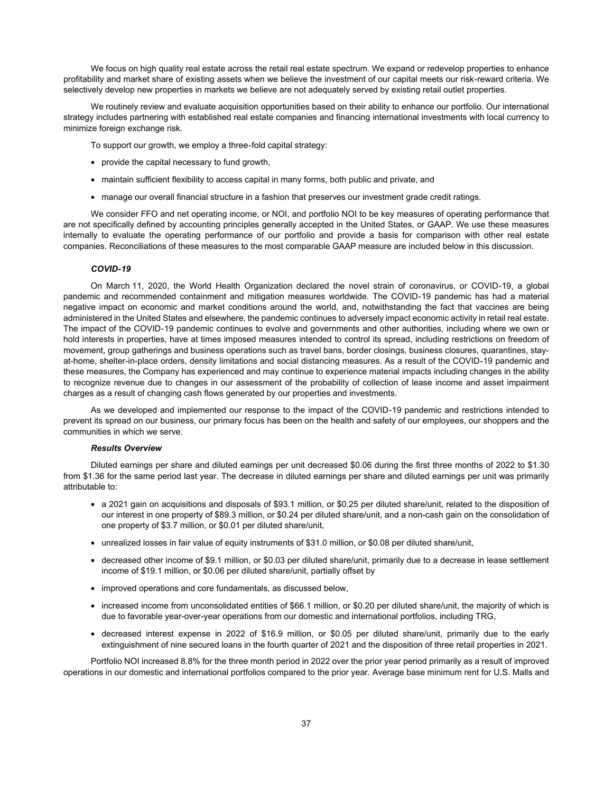We focus on high quality real estate across the retail real estate spectrum. We expand or redevelop properties to enhance profitability and market share of existing assets when we believe the investment of our capital meets our risk-reward criteria. We selectively develop new properties in markets we believe are not adequately served by existing retail outlet properties.

We routinely review and evaluate acquisition opportunities based on their ability to enhance our portfolio. Our international strategy includes partnering with established real estate companies and financing international investments with local currency to minimize foreign exchange risk.

To support our growth, we employ a three-fold capital strategy:

- provide the capital necessary to fund growth,
- maintain sufficient flexibility to access capital in many forms, both public and private, and
- manage our overall financial structure in a fashion that preserves our investment grade credit ratings.

We consider FFO and net operating income, or NOI, and portfolio NOI to be key measures of operating performance that are not specifically defined by accounting principles generally accepted in the United States, or GAAP. We use these measures internally to evaluate the operating performance of our portfolio and provide a basis for comparison with other real estate companies. Reconciliations of these measures to the most comparable GAAP measure are included below in this discussion.

### *COVID-19*

On March 11, 2020, the World Health Organization declared the novel strain of coronavirus, or COVID-19, a global pandemic and recommended containment and mitigation measures worldwide. The COVID-19 pandemic has had a material negative impact on economic and market conditions around the world, and, notwithstanding the fact that vaccines are being administered in the United States and elsewhere, the pandemic continues to adversely impact economic activity in retail real estate. The impact of the COVID-19 pandemic continues to evolve and governments and other authorities, including where we own or hold interests in properties, have at times imposed measures intended to control its spread, including restrictions on freedom of movement, group gatherings and business operations such as travel bans, border closings, business closures, quarantines, stayat-home, shelter-in-place orders, density limitations and social distancing measures. As a result of the COVID-19 pandemic and these measures, the Company has experienced and may continue to experience material impacts including changes in the ability to recognize revenue due to changes in our assessment of the probability of collection of lease income and asset impairment charges as a result of changing cash flows generated by our properties and investments.

As we developed and implemented our response to the impact of the COVID-19 pandemic and restrictions intended to prevent its spread on our business, our primary focus has been on the health and safety of our employees, our shoppers and the communities in which we serve.

### *Results Overview*

Diluted earnings per share and diluted earnings per unit decreased \$0.06 during the first three months of 2022 to \$1.30 from \$1.36 for the same period last year. The decrease in diluted earnings per share and diluted earnings per unit was primarily attributable to:

- a 2021 gain on acquisitions and disposals of \$93.1 million, or \$0.25 per diluted share/unit, related to the disposition of our interest in one property of \$89.3 million, or \$0.24 per diluted share/unit, and a non-cash gain on the consolidation of one property of \$3.7 million, or \$0.01 per diluted share/unit,
- unrealized losses in fair value of equity instruments of \$31.0 million, or \$0.08 per diluted share/unit,
- decreased other income of \$9.1 million, or \$0.03 per diluted share/unit, primarily due to a decrease in lease settlement income of \$19.1 million, or \$0.06 per diluted share/unit, partially offset by
- improved operations and core fundamentals, as discussed below,
- increased income from unconsolidated entities of \$66.1 million, or \$0.20 per diluted share/unit, the majority of which is due to favorable year-over-year operations from our domestic and international portfolios, including TRG,
- decreased interest expense in 2022 of \$16.9 million, or \$0.05 per diluted share/unit, primarily due to the early extinguishment of nine secured loans in the fourth quarter of 2021 and the disposition of three retail properties in 2021.

Portfolio NOI increased 8.8% for the three month period in 2022 over the prior year period primarily as a result of improved operations in our domestic and international portfolios compared to the prior year. Average base minimum rent for U.S. Malls and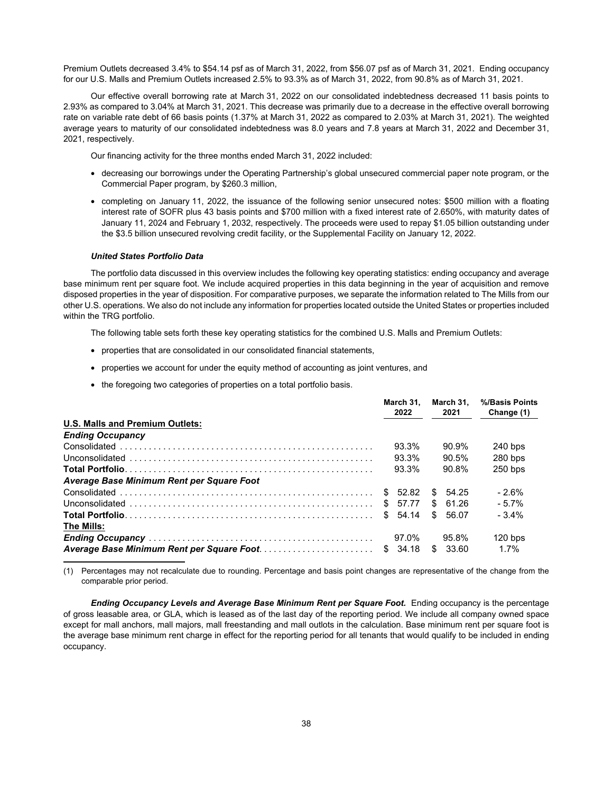Premium Outlets decreased 3.4% to \$54.14 psf as of March 31, 2022, from \$56.07 psf as of March 31, 2021. Ending occupancy for our U.S. Malls and Premium Outlets increased 2.5% to 93.3% as of March 31, 2022, from 90.8% as of March 31, 2021.

Our effective overall borrowing rate at March 31, 2022 on our consolidated indebtedness decreased 11 basis points to 2.93% as compared to 3.04% at March 31, 2021. This decrease was primarily due to a decrease in the effective overall borrowing rate on variable rate debt of 66 basis points (1.37% at March 31, 2022 as compared to 2.03% at March 31, 2021). The weighted average years to maturity of our consolidated indebtedness was 8.0 years and 7.8 years at March 31, 2022 and December 31, 2021, respectively.

Our financing activity for the three months ended March 31, 2022 included:

- decreasing our borrowings under the Operating Partnership's global unsecured commercial paper note program, or the Commercial Paper program, by \$260.3 million,
- completing on January 11, 2022, the issuance of the following senior unsecured notes: \$500 million with a floating interest rate of SOFR plus 43 basis points and \$700 million with a fixed interest rate of 2.650%, with maturity dates of January 11, 2024 and February 1, 2032, respectively. The proceeds were used to repay \$1.05 billion outstanding under the \$3.5 billion unsecured revolving credit facility, or the Supplemental Facility on January 12, 2022.

#### *United States Portfolio Data*

The portfolio data discussed in this overview includes the following key operating statistics: ending occupancy and average base minimum rent per square foot. We include acquired properties in this data beginning in the year of acquisition and remove disposed properties in the year of disposition. For comparative purposes, we separate the information related to The Mills from our other U.S. operations. We also do not include any information for properties located outside the United States or properties included within the TRG portfolio.

The following table sets forth these key operating statistics for the combined U.S. Malls and Premium Outlets:

- properties that are consolidated in our consolidated financial statements,
- properties we account for under the equity method of accounting as joint ventures, and
- the foregoing two categories of properties on a total portfolio basis.

|                                           | March 31.<br>2022 |     | March 31.<br>2021 | %/Basis Points<br>Change (1) |
|-------------------------------------------|-------------------|-----|-------------------|------------------------------|
| U.S. Malls and Premium Outlets:           |                   |     |                   |                              |
| <b>Ending Occupancy</b>                   |                   |     |                   |                              |
|                                           | 93.3%             |     | 90.9%             | $240$ bps                    |
|                                           | 93.3%             |     | 90.5%             | 280 bps                      |
|                                           | 93.3%             |     | 90.8%             | $250$ bps                    |
| Average Base Minimum Rent per Square Foot |                   |     |                   |                              |
|                                           | \$52.82           |     | \$54.25           | $-2.6%$                      |
|                                           | \$57.77           |     | \$61.26           | $-5.7\%$                     |
| <b>Total Portfolio</b>                    | \$54.14           | \$  | 56.07             | $-3.4%$                      |
| The Mills:                                |                   |     |                   |                              |
|                                           | 97.0%             |     | 95.8%             | $120$ bps                    |
|                                           | \$ 34.18          | \$. | 33.60             | 1.7%                         |

(1) Percentages may not recalculate due to rounding. Percentage and basis point changes are representative of the change from the comparable prior period.

*Ending Occupancy Levels and Average Base Minimum Rent per Square Foot.* Ending occupancy is the percentage of gross leasable area, or GLA, which is leased as of the last day of the reporting period. We include all company owned space except for mall anchors, mall majors, mall freestanding and mall outlots in the calculation. Base minimum rent per square foot is the average base minimum rent charge in effect for the reporting period for all tenants that would qualify to be included in ending occupancy.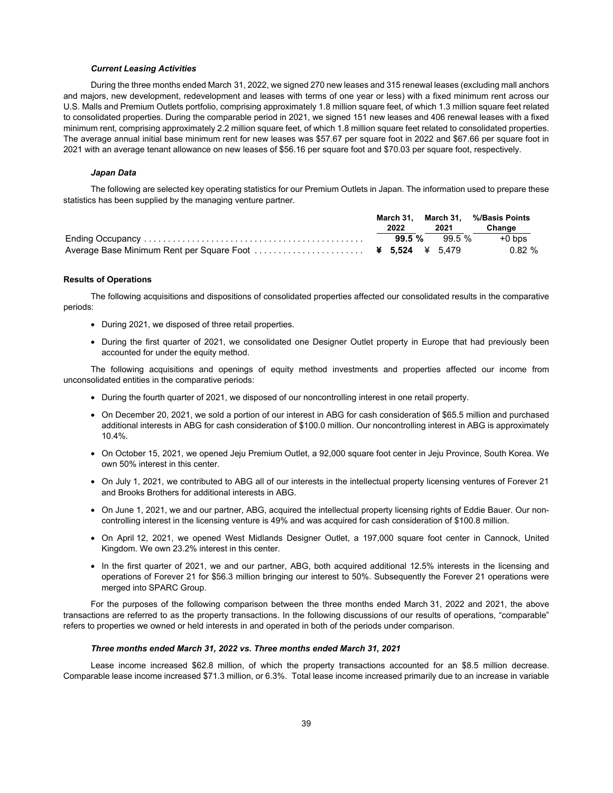### *Current Leasing Activities*

During the three months ended March 31, 2022, we signed 270 new leases and 315 renewal leases (excluding mall anchors and majors, new development, redevelopment and leases with terms of one year or less) with a fixed minimum rent across our U.S. Malls and Premium Outlets portfolio, comprising approximately 1.8 million square feet, of which 1.3 million square feet related to consolidated properties. During the comparable period in 2021, we signed 151 new leases and 406 renewal leases with a fixed minimum rent, comprising approximately 2.2 million square feet, of which 1.8 million square feet related to consolidated properties. The average annual initial base minimum rent for new leases was \$57.67 per square foot in 2022 and \$67.66 per square foot in 2021 with an average tenant allowance on new leases of \$56.16 per square foot and \$70.03 per square foot, respectively.

### *Japan Data*

The following are selected key operating statistics for our Premium Outlets in Japan. The information used to prepare these statistics has been supplied by the managing venture partner.

|           |          | March 31. March 31. %/Basis Points |
|-----------|----------|------------------------------------|
| 2022      | 2021     | Change                             |
| $99.5 \%$ | $99.5\%$ | $+0$ bps                           |
|           |          | 0.82%                              |

### **Results of Operations**

The following acquisitions and dispositions of consolidated properties affected our consolidated results in the comparative periods:

- During 2021, we disposed of three retail properties.
- During the first quarter of 2021, we consolidated one Designer Outlet property in Europe that had previously been accounted for under the equity method.

The following acquisitions and openings of equity method investments and properties affected our income from unconsolidated entities in the comparative periods:

- During the fourth quarter of 2021, we disposed of our noncontrolling interest in one retail property.
- On December 20, 2021, we sold a portion of our interest in ABG for cash consideration of \$65.5 million and purchased additional interests in ABG for cash consideration of \$100.0 million. Our noncontrolling interest in ABG is approximately 10.4%.
- On October 15, 2021, we opened Jeju Premium Outlet, a 92,000 square foot center in Jeju Province, South Korea. We own 50% interest in this center.
- On July 1, 2021, we contributed to ABG all of our interests in the intellectual property licensing ventures of Forever 21 and Brooks Brothers for additional interests in ABG.
- On June 1, 2021, we and our partner, ABG, acquired the intellectual property licensing rights of Eddie Bauer. Our noncontrolling interest in the licensing venture is 49% and was acquired for cash consideration of \$100.8 million.
- On April 12, 2021, we opened West Midlands Designer Outlet, a 197,000 square foot center in Cannock, United Kingdom. We own 23.2% interest in this center.
- In the first quarter of 2021, we and our partner, ABG, both acquired additional 12.5% interests in the licensing and operations of Forever 21 for \$56.3 million bringing our interest to 50%. Subsequently the Forever 21 operations were merged into SPARC Group.

For the purposes of the following comparison between the three months ended March 31, 2022 and 2021, the above transactions are referred to as the property transactions. In the following discussions of our results of operations, "comparable" refers to properties we owned or held interests in and operated in both of the periods under comparison.

### *Three months ended March 31, 2022 vs. Three months ended March 31, 2021*

Lease income increased \$62.8 million, of which the property transactions accounted for an \$8.5 million decrease. Comparable lease income increased \$71.3 million, or 6.3%. Total lease income increased primarily due to an increase in variable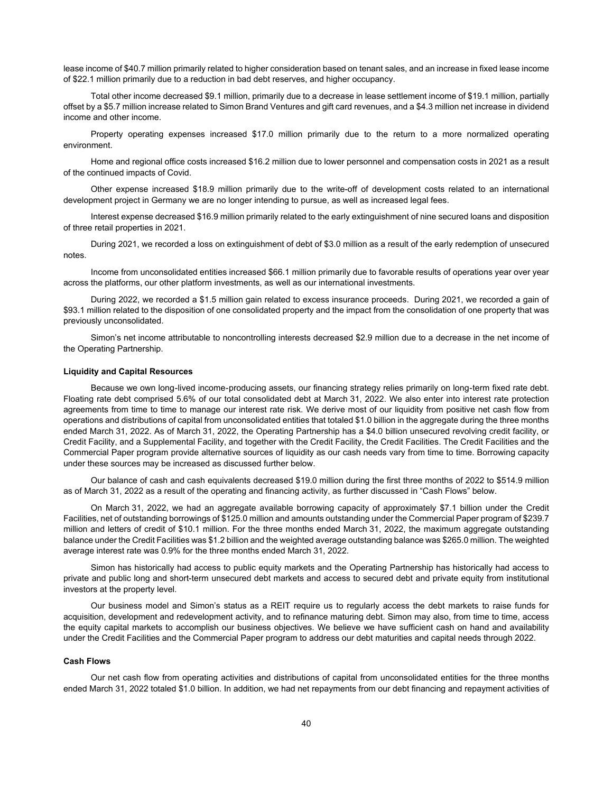lease income of \$40.7 million primarily related to higher consideration based on tenant sales, and an increase in fixed lease income of \$22.1 million primarily due to a reduction in bad debt reserves, and higher occupancy.

Total other income decreased \$9.1 million, primarily due to a decrease in lease settlement income of \$19.1 million, partially offset by a \$5.7 million increase related to Simon Brand Ventures and gift card revenues, and a \$4.3 million net increase in dividend income and other income.

Property operating expenses increased \$17.0 million primarily due to the return to a more normalized operating environment.

Home and regional office costs increased \$16.2 million due to lower personnel and compensation costs in 2021 as a result of the continued impacts of Covid.

Other expense increased \$18.9 million primarily due to the write-off of development costs related to an international development project in Germany we are no longer intending to pursue, as well as increased legal fees.

Interest expense decreased \$16.9 million primarily related to the early extinguishment of nine secured loans and disposition of three retail properties in 2021.

During 2021, we recorded a loss on extinguishment of debt of \$3.0 million as a result of the early redemption of unsecured notes.

Income from unconsolidated entities increased \$66.1 million primarily due to favorable results of operations year over year across the platforms, our other platform investments, as well as our international investments.

During 2022, we recorded a \$1.5 million gain related to excess insurance proceeds. During 2021, we recorded a gain of \$93.1 million related to the disposition of one consolidated property and the impact from the consolidation of one property that was previously unconsolidated.

Simon's net income attributable to noncontrolling interests decreased \$2.9 million due to a decrease in the net income of the Operating Partnership.

### **Liquidity and Capital Resources**

Because we own long-lived income-producing assets, our financing strategy relies primarily on long-term fixed rate debt. Floating rate debt comprised 5.6% of our total consolidated debt at March 31, 2022. We also enter into interest rate protection agreements from time to time to manage our interest rate risk. We derive most of our liquidity from positive net cash flow from operations and distributions of capital from unconsolidated entities that totaled \$1.0 billion in the aggregate during the three months ended March 31, 2022. As of March 31, 2022, the Operating Partnership has a \$4.0 billion unsecured revolving credit facility, or Credit Facility, and a Supplemental Facility, and together with the Credit Facility, the Credit Facilities. The Credit Facilities and the Commercial Paper program provide alternative sources of liquidity as our cash needs vary from time to time. Borrowing capacity under these sources may be increased as discussed further below.

Our balance of cash and cash equivalents decreased \$19.0 million during the first three months of 2022 to \$514.9 million as of March 31, 2022 as a result of the operating and financing activity, as further discussed in "Cash Flows" below.

On March 31, 2022, we had an aggregate available borrowing capacity of approximately \$7.1 billion under the Credit Facilities, net of outstanding borrowings of \$125.0 million and amounts outstanding under the Commercial Paper program of \$239.7 million and letters of credit of \$10.1 million. For the three months ended March 31, 2022, the maximum aggregate outstanding balance under the Credit Facilities was \$1.2 billion and the weighted average outstanding balance was \$265.0 million. The weighted average interest rate was 0.9% for the three months ended March 31, 2022.

Simon has historically had access to public equity markets and the Operating Partnership has historically had access to private and public long and short-term unsecured debt markets and access to secured debt and private equity from institutional investors at the property level.

Our business model and Simon's status as a REIT require us to regularly access the debt markets to raise funds for acquisition, development and redevelopment activity, and to refinance maturing debt. Simon may also, from time to time, access the equity capital markets to accomplish our business objectives. We believe we have sufficient cash on hand and availability under the Credit Facilities and the Commercial Paper program to address our debt maturities and capital needs through 2022.

### **Cash Flows**

Our net cash flow from operating activities and distributions of capital from unconsolidated entities for the three months ended March 31, 2022 totaled \$1.0 billion. In addition, we had net repayments from our debt financing and repayment activities of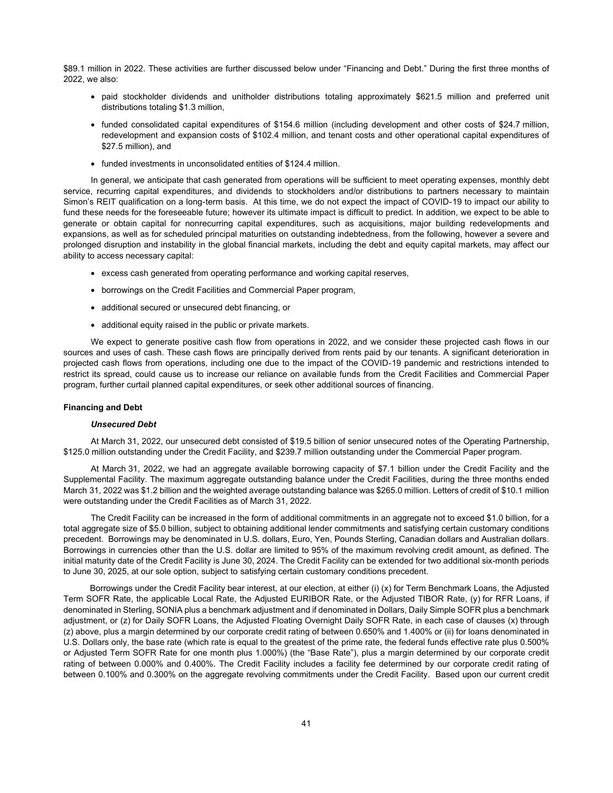\$89.1 million in 2022. These activities are further discussed below under "Financing and Debt." During the first three months of 2022, we also:

- paid stockholder dividends and unitholder distributions totaling approximately \$621.5 million and preferred unit distributions totaling \$1.3 million,
- funded consolidated capital expenditures of \$154.6 million (including development and other costs of \$24.7 million, redevelopment and expansion costs of \$102.4 million, and tenant costs and other operational capital expenditures of \$27.5 million), and
- funded investments in unconsolidated entities of \$124.4 million.

In general, we anticipate that cash generated from operations will be sufficient to meet operating expenses, monthly debt service, recurring capital expenditures, and dividends to stockholders and/or distributions to partners necessary to maintain Simon's REIT qualification on a long-term basis. At this time, we do not expect the impact of COVID-19 to impact our ability to fund these needs for the foreseeable future; however its ultimate impact is difficult to predict. In addition, we expect to be able to generate or obtain capital for nonrecurring capital expenditures, such as acquisitions, major building redevelopments and expansions, as well as for scheduled principal maturities on outstanding indebtedness, from the following, however a severe and prolonged disruption and instability in the global financial markets, including the debt and equity capital markets, may affect our ability to access necessary capital:

- excess cash generated from operating performance and working capital reserves,
- borrowings on the Credit Facilities and Commercial Paper program,
- additional secured or unsecured debt financing, or
- additional equity raised in the public or private markets.

We expect to generate positive cash flow from operations in 2022, and we consider these projected cash flows in our sources and uses of cash. These cash flows are principally derived from rents paid by our tenants. A significant deterioration in projected cash flows from operations, including one due to the impact of the COVID-19 pandemic and restrictions intended to restrict its spread, could cause us to increase our reliance on available funds from the Credit Facilities and Commercial Paper program, further curtail planned capital expenditures, or seek other additional sources of financing.

### **Financing and Debt**

#### *Unsecured Debt*

At March 31, 2022, our unsecured debt consisted of \$19.5 billion of senior unsecured notes of the Operating Partnership, \$125.0 million outstanding under the Credit Facility, and \$239.7 million outstanding under the Commercial Paper program.

At March 31, 2022, we had an aggregate available borrowing capacity of \$7.1 billion under the Credit Facility and the Supplemental Facility. The maximum aggregate outstanding balance under the Credit Facilities, during the three months ended March 31, 2022 was \$1.2 billion and the weighted average outstanding balance was \$265.0 million. Letters of credit of \$10.1 million were outstanding under the Credit Facilities as of March 31, 2022.

The Credit Facility can be increased in the form of additional commitments in an aggregate not to exceed \$1.0 billion, for a total aggregate size of \$5.0 billion, subject to obtaining additional lender commitments and satisfying certain customary conditions precedent. Borrowings may be denominated in U.S. dollars, Euro, Yen, Pounds Sterling, Canadian dollars and Australian dollars. Borrowings in currencies other than the U.S. dollar are limited to 95% of the maximum revolving credit amount, as defined. The initial maturity date of the Credit Facility is June 30, 2024. The Credit Facility can be extended for two additional six-month periods to June 30, 2025, at our sole option, subject to satisfying certain customary conditions precedent.

Borrowings under the Credit Facility bear interest, at our election, at either (i) (x) for Term Benchmark Loans, the Adjusted Term SOFR Rate, the applicable Local Rate, the Adjusted EURIBOR Rate, or the Adjusted TIBOR Rate, (y) for RFR Loans, if denominated in Sterling, SONIA plus a benchmark adjustment and if denominated in Dollars, Daily Simple SOFR plus a benchmark adjustment, or (z) for Daily SOFR Loans, the Adjusted Floating Overnight Daily SOFR Rate, in each case of clauses (x) through (z) above, plus a margin determined by our corporate credit rating of between 0.650% and 1.400% or (ii) for loans denominated in U.S. Dollars only, the base rate (which rate is equal to the greatest of the prime rate, the federal funds effective rate plus 0.500% or Adjusted Term SOFR Rate for one month plus 1.000%) (the "Base Rate"), plus a margin determined by our corporate credit rating of between 0.000% and 0.400%. The Credit Facility includes a facility fee determined by our corporate credit rating of between 0.100% and 0.300% on the aggregate revolving commitments under the Credit Facility. Based upon our current credit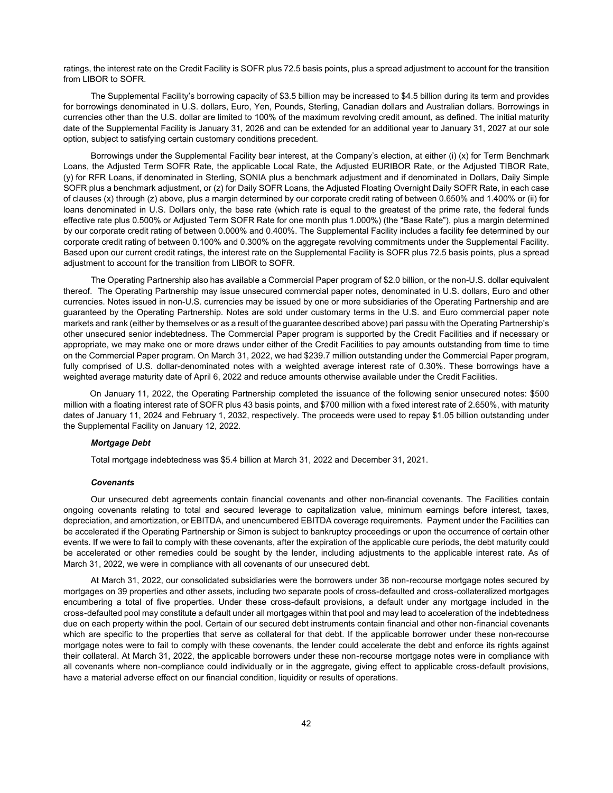ratings, the interest rate on the Credit Facility is SOFR plus 72.5 basis points, plus a spread adjustment to account for the transition from LIBOR to SOFR.

The Supplemental Facility's borrowing capacity of \$3.5 billion may be increased to \$4.5 billion during its term and provides for borrowings denominated in U.S. dollars, Euro, Yen, Pounds, Sterling, Canadian dollars and Australian dollars. Borrowings in currencies other than the U.S. dollar are limited to 100% of the maximum revolving credit amount, as defined. The initial maturity date of the Supplemental Facility is January 31, 2026 and can be extended for an additional year to January 31, 2027 at our sole option, subject to satisfying certain customary conditions precedent.

Borrowings under the Supplemental Facility bear interest, at the Company's election, at either (i) (x) for Term Benchmark Loans, the Adjusted Term SOFR Rate, the applicable Local Rate, the Adjusted EURIBOR Rate, or the Adjusted TIBOR Rate, (y) for RFR Loans, if denominated in Sterling, SONIA plus a benchmark adjustment and if denominated in Dollars, Daily Simple SOFR plus a benchmark adjustment, or (z) for Daily SOFR Loans, the Adjusted Floating Overnight Daily SOFR Rate, in each case of clauses (x) through (z) above, plus a margin determined by our corporate credit rating of between 0.650% and 1.400% or (ii) for loans denominated in U.S. Dollars only, the base rate (which rate is equal to the greatest of the prime rate, the federal funds effective rate plus 0.500% or Adjusted Term SOFR Rate for one month plus 1.000%) (the "Base Rate"), plus a margin determined by our corporate credit rating of between 0.000% and 0.400%. The Supplemental Facility includes a facility fee determined by our corporate credit rating of between 0.100% and 0.300% on the aggregate revolving commitments under the Supplemental Facility. Based upon our current credit ratings, the interest rate on the Supplemental Facility is SOFR plus 72.5 basis points, plus a spread adjustment to account for the transition from LIBOR to SOFR.

The Operating Partnership also has available a Commercial Paper program of \$2.0 billion, or the non-U.S. dollar equivalent thereof. The Operating Partnership may issue unsecured commercial paper notes, denominated in U.S. dollars, Euro and other currencies. Notes issued in non-U.S. currencies may be issued by one or more subsidiaries of the Operating Partnership and are guaranteed by the Operating Partnership. Notes are sold under customary terms in the U.S. and Euro commercial paper note markets and rank (either by themselves or as a result of the guarantee described above) pari passu with the Operating Partnership's other unsecured senior indebtedness. The Commercial Paper program is supported by the Credit Facilities and if necessary or appropriate, we may make one or more draws under either of the Credit Facilities to pay amounts outstanding from time to time on the Commercial Paper program. On March 31, 2022, we had \$239.7 million outstanding under the Commercial Paper program, fully comprised of U.S. dollar-denominated notes with a weighted average interest rate of 0.30%. These borrowings have a weighted average maturity date of April 6, 2022 and reduce amounts otherwise available under the Credit Facilities.

On January 11, 2022, the Operating Partnership completed the issuance of the following senior unsecured notes: \$500 million with a floating interest rate of SOFR plus 43 basis points, and \$700 million with a fixed interest rate of 2.650%, with maturity dates of January 11, 2024 and February 1, 2032, respectively. The proceeds were used to repay \$1.05 billion outstanding under the Supplemental Facility on January 12, 2022.

### *Mortgage Debt*

Total mortgage indebtedness was \$5.4 billion at March 31, 2022 and December 31, 2021.

#### *Covenants*

Our unsecured debt agreements contain financial covenants and other non-financial covenants. The Facilities contain ongoing covenants relating to total and secured leverage to capitalization value, minimum earnings before interest, taxes, depreciation, and amortization, or EBITDA, and unencumbered EBITDA coverage requirements. Payment under the Facilities can be accelerated if the Operating Partnership or Simon is subject to bankruptcy proceedings or upon the occurrence of certain other events. If we were to fail to comply with these covenants, after the expiration of the applicable cure periods, the debt maturity could be accelerated or other remedies could be sought by the lender, including adjustments to the applicable interest rate. As of March 31, 2022, we were in compliance with all covenants of our unsecured debt.

At March 31, 2022, our consolidated subsidiaries were the borrowers under 36 non-recourse mortgage notes secured by mortgages on 39 properties and other assets, including two separate pools of cross-defaulted and cross-collateralized mortgages encumbering a total of five properties. Under these cross-default provisions, a default under any mortgage included in the cross-defaulted pool may constitute a default under all mortgages within that pool and may lead to acceleration of the indebtedness due on each property within the pool. Certain of our secured debt instruments contain financial and other non-financial covenants which are specific to the properties that serve as collateral for that debt. If the applicable borrower under these non-recourse mortgage notes were to fail to comply with these covenants, the lender could accelerate the debt and enforce its rights against their collateral. At March 31, 2022, the applicable borrowers under these non-recourse mortgage notes were in compliance with all covenants where non-compliance could individually or in the aggregate, giving effect to applicable cross-default provisions, have a material adverse effect on our financial condition, liquidity or results of operations.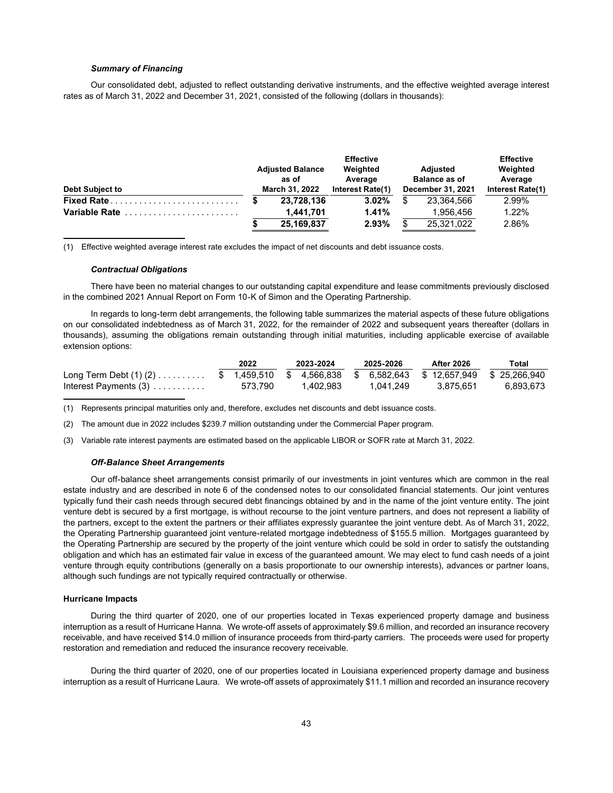### *Summary of Financing*

Our consolidated debt, adjusted to reflect outstanding derivative instruments, and the effective weighted average interest rates as of March 31, 2022 and December 31, 2021, consisted of the following (dollars in thousands):

| <b>Debt Subject to</b>                                          |  |                                                         |                  | <b>Effective</b> |                                  |                     |
|-----------------------------------------------------------------|--|---------------------------------------------------------|------------------|------------------|----------------------------------|---------------------|
|                                                                 |  | <b>Adjusted Balance</b><br>Weighted<br>Average<br>as of |                  |                  | Adjusted<br><b>Balance as of</b> | Weighted<br>Average |
|                                                                 |  | March 31, 2022                                          | Interest Rate(1) |                  | December 31, 2021                | Interest Rate(1)    |
| Fixed Rate $\ldots$ , $\ldots$ , $\ldots$ , $\ldots$ , $\ldots$ |  | 23.728.136                                              | 3.02%            |                  | 23.364.566                       | 2.99%               |
| Variable Rate                                                   |  | 1.441.701                                               | 1.41%            |                  | 1.956.456                        | 1.22%               |
|                                                                 |  | 25,169,837                                              | 2.93%            |                  | 25,321,022                       | 2.86%               |

(1) Effective weighted average interest rate excludes the impact of net discounts and debt issuance costs.

#### *Contractual Obligations*

There have been no material changes to our outstanding capital expenditure and lease commitments previously disclosed in the combined 2021 Annual Report on Form 10-K of Simon and the Operating Partnership.

In regards to long-term debt arrangements, the following table summarizes the material aspects of these future obligations on our consolidated indebtedness as of March 31, 2022, for the remainder of 2022 and subsequent years thereafter (dollars in thousands), assuming the obligations remain outstanding through initial maturities, including applicable exercise of available extension options:

|                                                                                           | 2022    | 2023-2024 |           |  | 2025-2026 |  | <b>After 2026</b> | Total     |
|-------------------------------------------------------------------------------------------|---------|-----------|-----------|--|-----------|--|-------------------|-----------|
| Long Term Debt (1) (2) \$ 1,459,510 \$ 4,566,838 \$ 6,582,643 \$ 12,657,949 \$ 25,266,940 |         |           |           |  |           |  |                   |           |
| Interest Payments $(3)$                                                                   | 573.790 |           | 1.402.983 |  | 1.041.249 |  | 3.875.651         | 6.893.673 |

(1) Represents principal maturities only and, therefore, excludes net discounts and debt issuance costs.

(2) The amount due in 2022 includes \$239.7 million outstanding under the Commercial Paper program.

(3) Variable rate interest payments are estimated based on the applicable LIBOR or SOFR rate at March 31, 2022.

#### *Off-Balance Sheet Arrangements*

Our off-balance sheet arrangements consist primarily of our investments in joint ventures which are common in the real estate industry and are described in note 6 of the condensed notes to our consolidated financial statements. Our joint ventures typically fund their cash needs through secured debt financings obtained by and in the name of the joint venture entity. The joint venture debt is secured by a first mortgage, is without recourse to the joint venture partners, and does not represent a liability of the partners, except to the extent the partners or their affiliates expressly guarantee the joint venture debt. As of March 31, 2022, the Operating Partnership guaranteed joint venture-related mortgage indebtedness of \$155.5 million. Mortgages guaranteed by the Operating Partnership are secured by the property of the joint venture which could be sold in order to satisfy the outstanding obligation and which has an estimated fair value in excess of the guaranteed amount. We may elect to fund cash needs of a joint venture through equity contributions (generally on a basis proportionate to our ownership interests), advances or partner loans, although such fundings are not typically required contractually or otherwise.

#### **Hurricane Impacts**

During the third quarter of 2020, one of our properties located in Texas experienced property damage and business interruption as a result of Hurricane Hanna. We wrote-off assets of approximately \$9.6 million, and recorded an insurance recovery receivable, and have received \$14.0 million of insurance proceeds from third-party carriers. The proceeds were used for property restoration and remediation and reduced the insurance recovery receivable.

During the third quarter of 2020, one of our properties located in Louisiana experienced property damage and business interruption as a result of Hurricane Laura. We wrote-off assets of approximately \$11.1 million and recorded an insurance recovery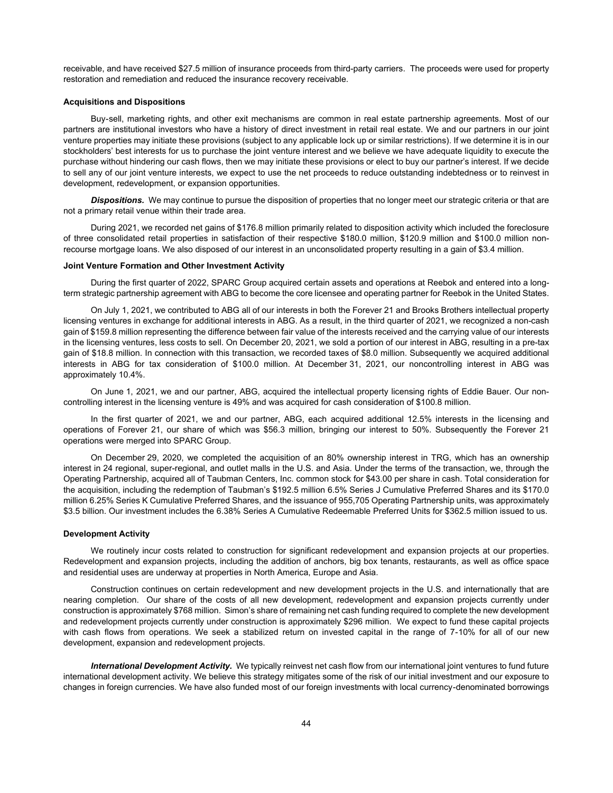receivable, and have received \$27.5 million of insurance proceeds from third-party carriers. The proceeds were used for property restoration and remediation and reduced the insurance recovery receivable.

#### **Acquisitions and Dispositions**

Buy-sell, marketing rights, and other exit mechanisms are common in real estate partnership agreements. Most of our partners are institutional investors who have a history of direct investment in retail real estate. We and our partners in our joint venture properties may initiate these provisions (subject to any applicable lock up or similar restrictions). If we determine it is in our stockholders' best interests for us to purchase the joint venture interest and we believe we have adequate liquidity to execute the purchase without hindering our cash flows, then we may initiate these provisions or elect to buy our partner's interest. If we decide to sell any of our joint venture interests, we expect to use the net proceeds to reduce outstanding indebtedness or to reinvest in development, redevelopment, or expansion opportunities.

*Dispositions.* We may continue to pursue the disposition of properties that no longer meet our strategic criteria or that are not a primary retail venue within their trade area.

During 2021, we recorded net gains of \$176.8 million primarily related to disposition activity which included the foreclosure of three consolidated retail properties in satisfaction of their respective \$180.0 million, \$120.9 million and \$100.0 million nonrecourse mortgage loans. We also disposed of our interest in an unconsolidated property resulting in a gain of \$3.4 million.

### **Joint Venture Formation and Other Investment Activity**

During the first quarter of 2022, SPARC Group acquired certain assets and operations at Reebok and entered into a longterm strategic partnership agreement with ABG to become the core licensee and operating partner for Reebok in the United States.

On July 1, 2021, we contributed to ABG all of our interests in both the Forever 21 and Brooks Brothers intellectual property licensing ventures in exchange for additional interests in ABG. As a result, in the third quarter of 2021, we recognized a non-cash gain of \$159.8 million representing the difference between fair value of the interests received and the carrying value of our interests in the licensing ventures, less costs to sell. On December 20, 2021, we sold a portion of our interest in ABG, resulting in a pre-tax gain of \$18.8 million. In connection with this transaction, we recorded taxes of \$8.0 million. Subsequently we acquired additional interests in ABG for tax consideration of \$100.0 million. At December 31, 2021, our noncontrolling interest in ABG was approximately 10.4%.

On June 1, 2021, we and our partner, ABG, acquired the intellectual property licensing rights of Eddie Bauer. Our noncontrolling interest in the licensing venture is 49% and was acquired for cash consideration of \$100.8 million.

In the first quarter of 2021, we and our partner, ABG, each acquired additional 12.5% interests in the licensing and operations of Forever 21, our share of which was \$56.3 million, bringing our interest to 50%. Subsequently the Forever 21 operations were merged into SPARC Group.

On December 29, 2020, we completed the acquisition of an 80% ownership interest in TRG, which has an ownership interest in 24 regional, super-regional, and outlet malls in the U.S. and Asia. Under the terms of the transaction, we, through the Operating Partnership, acquired all of Taubman Centers, Inc. common stock for \$43.00 per share in cash. Total consideration for the acquisition, including the redemption of Taubman's \$192.5 million 6.5% Series J Cumulative Preferred Shares and its \$170.0 million 6.25% Series K Cumulative Preferred Shares, and the issuance of 955,705 Operating Partnership units, was approximately \$3.5 billion. Our investment includes the 6.38% Series A Cumulative Redeemable Preferred Units for \$362.5 million issued to us.

### **Development Activity**

We routinely incur costs related to construction for significant redevelopment and expansion projects at our properties. Redevelopment and expansion projects, including the addition of anchors, big box tenants, restaurants, as well as office space and residential uses are underway at properties in North America, Europe and Asia.

Construction continues on certain redevelopment and new development projects in the U.S. and internationally that are nearing completion. Our share of the costs of all new development, redevelopment and expansion projects currently under construction is approximately \$768 million. Simon's share of remaining net cash funding required to complete the new development and redevelopment projects currently under construction is approximately \$296 million. We expect to fund these capital projects with cash flows from operations. We seek a stabilized return on invested capital in the range of 7-10% for all of our new development, expansion and redevelopment projects.

*International Development Activity.* We typically reinvest net cash flow from our international joint ventures to fund future international development activity. We believe this strategy mitigates some of the risk of our initial investment and our exposure to changes in foreign currencies. We have also funded most of our foreign investments with local currency-denominated borrowings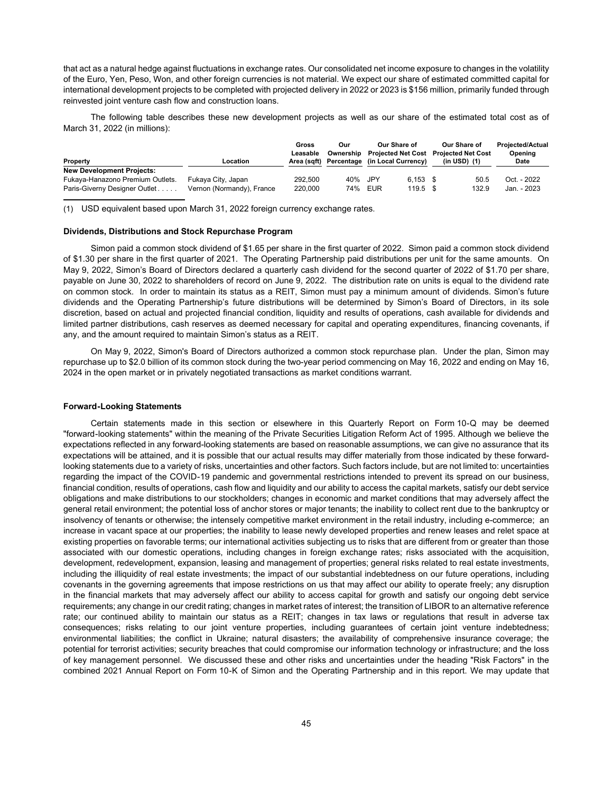that act as a natural hedge against fluctuations in exchange rates. Our consolidated net income exposure to changes in the volatility of the Euro, Yen, Peso, Won, and other foreign currencies is not material. We expect our share of estimated committed capital for international development projects to be completed with projected delivery in 2022 or 2023 is \$156 million, primarily funded through reinvested joint venture cash flow and construction loans.

The following table describes these new development projects as well as our share of the estimated total cost as of March 31, 2022 (in millions):

| Property<br>Location             |                           | Gross<br>Leasable<br>Area (sɑft) | Our<br>Ownership<br>Percentage | Our Share of<br><b>Projected Net Cost</b><br>(in Local Currency) |            | Our Share of<br><b>Projected Net Cost</b><br>$(in$ USD $)$ $(1)$ |       | <b>Projected/Actual</b><br>Opening<br>Date |  |
|----------------------------------|---------------------------|----------------------------------|--------------------------------|------------------------------------------------------------------|------------|------------------------------------------------------------------|-------|--------------------------------------------|--|
| <b>New Development Projects:</b> |                           |                                  |                                |                                                                  |            |                                                                  |       |                                            |  |
| Fukaya-Hanazono Premium Outlets. | Fukaya City, Japan        | 292.500                          | 40% JPY                        |                                                                  | $6.153$ \$ |                                                                  | 50.5  | Oct. - 2022                                |  |
| Paris-Giverny Designer Outlet    | Vernon (Normandy), France | 220,000                          | 74%                            | EUR                                                              | $119.5$ \$ |                                                                  | 132.9 | Jan. - 2023                                |  |

(1) USD equivalent based upon March 31, 2022 foreign currency exchange rates.

### **Dividends, Distributions and Stock Repurchase Program**

Simon paid a common stock dividend of \$1.65 per share in the first quarter of 2022. Simon paid a common stock dividend of \$1.30 per share in the first quarter of 2021. The Operating Partnership paid distributions per unit for the same amounts. On May 9, 2022, Simon's Board of Directors declared a quarterly cash dividend for the second quarter of 2022 of \$1.70 per share, payable on June 30, 2022 to shareholders of record on June 9, 2022. The distribution rate on units is equal to the dividend rate on common stock. In order to maintain its status as a REIT, Simon must pay a minimum amount of dividends. Simon's future dividends and the Operating Partnership's future distributions will be determined by Simon's Board of Directors, in its sole discretion, based on actual and projected financial condition, liquidity and results of operations, cash available for dividends and limited partner distributions, cash reserves as deemed necessary for capital and operating expenditures, financing covenants, if any, and the amount required to maintain Simon's status as a REIT.

On May 9, 2022, Simon's Board of Directors authorized a common stock repurchase plan. Under the plan, Simon may repurchase up to \$2.0 billion of its common stock during the two-year period commencing on May 16, 2022 and ending on May 16, 2024 in the open market or in privately negotiated transactions as market conditions warrant.

#### **Forward-Looking Statements**

Certain statements made in this section or elsewhere in this Quarterly Report on Form 10-Q may be deemed "forward-looking statements" within the meaning of the Private Securities Litigation Reform Act of 1995. Although we believe the expectations reflected in any forward-looking statements are based on reasonable assumptions, we can give no assurance that its expectations will be attained, and it is possible that our actual results may differ materially from those indicated by these forwardlooking statements due to a variety of risks, uncertainties and other factors. Such factors include, but are not limited to: uncertainties regarding the impact of the COVID-19 pandemic and governmental restrictions intended to prevent its spread on our business, financial condition, results of operations, cash flow and liquidity and our ability to access the capital markets, satisfy our debt service obligations and make distributions to our stockholders; changes in economic and market conditions that may adversely affect the general retail environment; the potential loss of anchor stores or major tenants; the inability to collect rent due to the bankruptcy or insolvency of tenants or otherwise; the intensely competitive market environment in the retail industry, including e-commerce; an increase in vacant space at our properties; the inability to lease newly developed properties and renew leases and relet space at existing properties on favorable terms; our international activities subjecting us to risks that are different from or greater than those associated with our domestic operations, including changes in foreign exchange rates; risks associated with the acquisition, development, redevelopment, expansion, leasing and management of properties; general risks related to real estate investments, including the illiquidity of real estate investments; the impact of our substantial indebtedness on our future operations, including covenants in the governing agreements that impose restrictions on us that may affect our ability to operate freely; any disruption in the financial markets that may adversely affect our ability to access capital for growth and satisfy our ongoing debt service requirements; any change in our credit rating; changes in market rates of interest; the transition of LIBOR to an alternative reference rate; our continued ability to maintain our status as a REIT; changes in tax laws or regulations that result in adverse tax consequences; risks relating to our joint venture properties, including guarantees of certain joint venture indebtedness; environmental liabilities; the conflict in Ukraine; natural disasters; the availability of comprehensive insurance coverage; the potential for terrorist activities; security breaches that could compromise our information technology or infrastructure; and the loss of key management personnel. We discussed these and other risks and uncertainties under the heading "Risk Factors" in the combined 2021 Annual Report on Form 10-K of Simon and the Operating Partnership and in this report. We may update that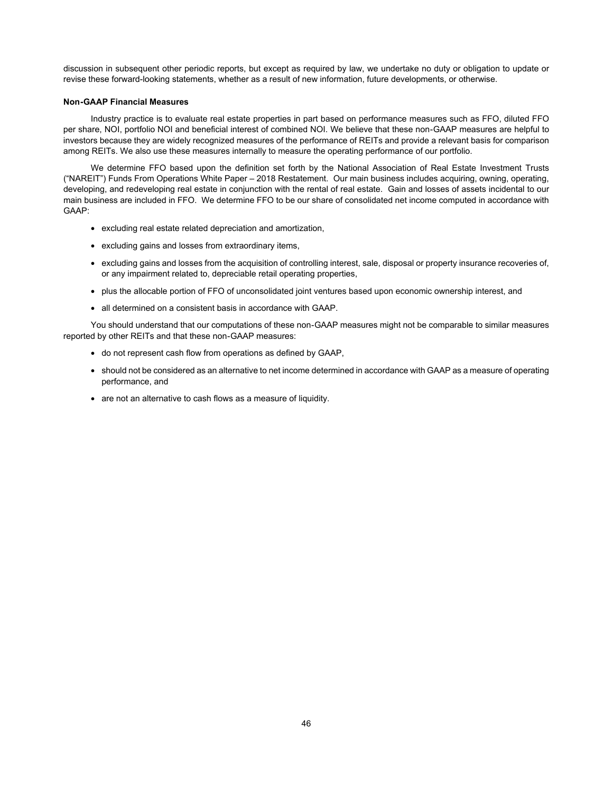discussion in subsequent other periodic reports, but except as required by law, we undertake no duty or obligation to update or revise these forward-looking statements, whether as a result of new information, future developments, or otherwise.

### **Non-GAAP Financial Measures**

Industry practice is to evaluate real estate properties in part based on performance measures such as FFO, diluted FFO per share, NOI, portfolio NOI and beneficial interest of combined NOI. We believe that these non-GAAP measures are helpful to investors because they are widely recognized measures of the performance of REITs and provide a relevant basis for comparison among REITs. We also use these measures internally to measure the operating performance of our portfolio.

We determine FFO based upon the definition set forth by the National Association of Real Estate Investment Trusts ("NAREIT") Funds From Operations White Paper – 2018 Restatement. Our main business includes acquiring, owning, operating, developing, and redeveloping real estate in conjunction with the rental of real estate. Gain and losses of assets incidental to our main business are included in FFO. We determine FFO to be our share of consolidated net income computed in accordance with GAAP:

- excluding real estate related depreciation and amortization,
- excluding gains and losses from extraordinary items,
- excluding gains and losses from the acquisition of controlling interest, sale, disposal or property insurance recoveries of, or any impairment related to, depreciable retail operating properties,
- plus the allocable portion of FFO of unconsolidated joint ventures based upon economic ownership interest, and
- all determined on a consistent basis in accordance with GAAP.

You should understand that our computations of these non-GAAP measures might not be comparable to similar measures reported by other REITs and that these non-GAAP measures:

- do not represent cash flow from operations as defined by GAAP,
- should not be considered as an alternative to net income determined in accordance with GAAP as a measure of operating performance, and
- are not an alternative to cash flows as a measure of liquidity.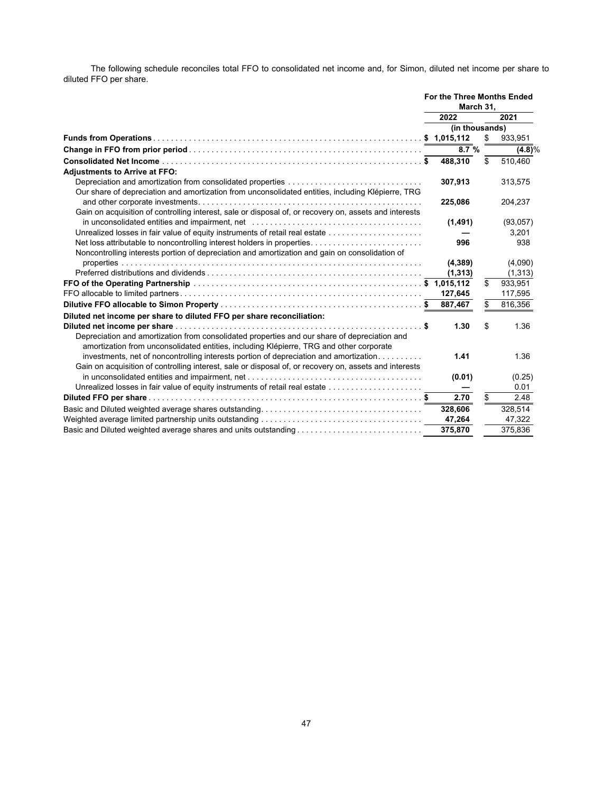The following schedule reconciles total FFO to consolidated net income and, for Simon, diluted net income per share to diluted FFO per share.

|                                                                                                        | For the Three Months Ended<br>March 31. |    |          |  |
|--------------------------------------------------------------------------------------------------------|-----------------------------------------|----|----------|--|
|                                                                                                        | 2022                                    |    | 2021     |  |
|                                                                                                        | (in thousands)                          |    |          |  |
|                                                                                                        |                                         | \$ | 933,951  |  |
|                                                                                                        | 8.7%                                    |    | (4.8)%   |  |
|                                                                                                        | 488.310                                 | \$ | 510.460  |  |
| <b>Adjustments to Arrive at FFO:</b>                                                                   |                                         |    |          |  |
| Depreciation and amortization from consolidated properties                                             | 307,913                                 |    | 313,575  |  |
| Our share of depreciation and amortization from unconsolidated entities, including Klépierre, TRG      |                                         |    |          |  |
|                                                                                                        | 225,086                                 |    | 204,237  |  |
| Gain on acquisition of controlling interest, sale or disposal of, or recovery on, assets and interests |                                         |    |          |  |
|                                                                                                        | (1, 491)                                |    | (93,057) |  |
|                                                                                                        |                                         |    | 3,201    |  |
| Net loss attributable to noncontrolling interest holders in properties                                 | 996                                     |    | 938      |  |
| Noncontrolling interests portion of depreciation and amortization and gain on consolidation of         |                                         |    |          |  |
|                                                                                                        | (4,389)                                 |    | (4,090)  |  |
|                                                                                                        | (1, 313)                                |    | (1,313)  |  |
|                                                                                                        |                                         | \$ | 933,951  |  |
|                                                                                                        | 127,645                                 |    | 117,595  |  |
|                                                                                                        | 887,467                                 | \$ | 816,356  |  |
| Diluted net income per share to diluted FFO per share reconciliation:                                  |                                         |    |          |  |
|                                                                                                        | 1.30                                    | \$ | 1.36     |  |
| Depreciation and amortization from consolidated properties and our share of depreciation and           |                                         |    |          |  |
| amortization from unconsolidated entities, including Klépierre, TRG and other corporate                |                                         |    |          |  |
| investments, net of noncontrolling interests portion of depreciation and amortization                  | 1.41                                    |    | 1.36     |  |
| Gain on acquisition of controlling interest, sale or disposal of, or recovery on, assets and interests |                                         |    |          |  |
|                                                                                                        | (0.01)                                  |    | (0.25)   |  |
|                                                                                                        |                                         |    | 0.01     |  |
|                                                                                                        | 2.70                                    | \$ | 2.48     |  |
|                                                                                                        | 328,606                                 |    | 328,514  |  |
|                                                                                                        | 47,264                                  |    | 47,322   |  |
| Basic and Diluted weighted average shares and units outstanding                                        | 375,870                                 |    | 375.836  |  |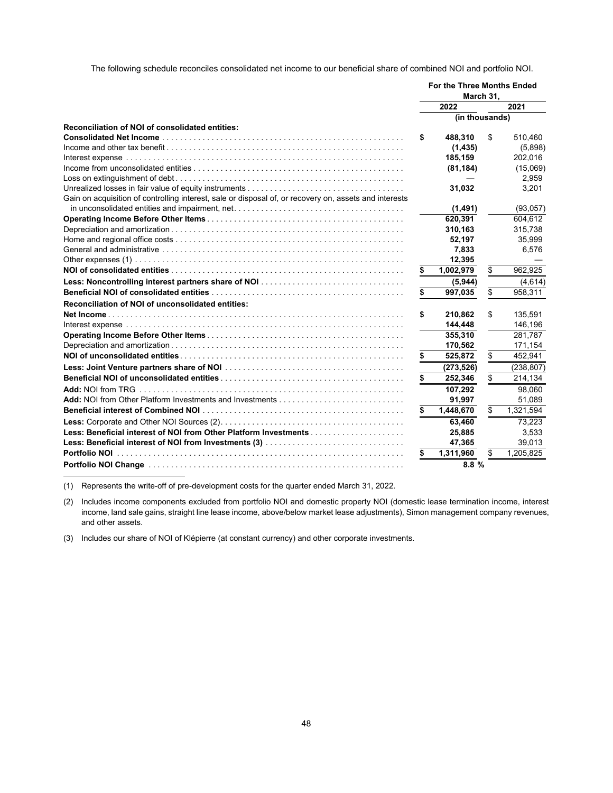The following schedule reconciles consolidated net income to our beneficial share of combined NOI and portfolio NOI.

|                                                                                                                                                     | For the Three Months Ended<br>March 31, |            |    |            |
|-----------------------------------------------------------------------------------------------------------------------------------------------------|-----------------------------------------|------------|----|------------|
|                                                                                                                                                     |                                         | 2022       |    | 2021       |
|                                                                                                                                                     | (in thousands)                          |            |    |            |
| Reconciliation of NOI of consolidated entities:                                                                                                     |                                         |            |    |            |
|                                                                                                                                                     | \$                                      | 488,310    | \$ | 510.460    |
| Income and other tax benefit $\ldots$ . $\ldots$ . $\ldots$ . $\ldots$ . $\ldots$ . $\ldots$ . $\ldots$ . $\ldots$ . $\ldots$ . $\ldots$ . $\ldots$ |                                         | (1, 435)   |    | (5,898)    |
|                                                                                                                                                     |                                         | 185,159    |    | 202,016    |
|                                                                                                                                                     |                                         | (81, 184)  |    | (15,069)   |
|                                                                                                                                                     |                                         |            |    | 2,959      |
|                                                                                                                                                     |                                         | 31,032     |    | 3,201      |
| Gain on acquisition of controlling interest, sale or disposal of, or recovery on, assets and interests                                              |                                         |            |    |            |
|                                                                                                                                                     |                                         | (1,491)    |    | (93,057)   |
|                                                                                                                                                     |                                         | 620,391    |    | 604,612    |
|                                                                                                                                                     |                                         | 310,163    |    | 315,738    |
|                                                                                                                                                     |                                         | 52,197     |    | 35,999     |
|                                                                                                                                                     |                                         | 7,833      |    | 6,576      |
|                                                                                                                                                     |                                         | 12,395     |    |            |
|                                                                                                                                                     |                                         | 1,002,979  | \$ | 962.925    |
|                                                                                                                                                     |                                         | (5,944)    |    | (4,614)    |
|                                                                                                                                                     | S.                                      | 997,035    | \$ | 958,311    |
| Reconciliation of NOI of unconsolidated entities:                                                                                                   |                                         |            |    |            |
|                                                                                                                                                     | \$                                      | 210.862    | \$ | 135.591    |
|                                                                                                                                                     |                                         | 144,448    |    | 146,196    |
|                                                                                                                                                     |                                         | 355,310    |    | 281.787    |
|                                                                                                                                                     |                                         | 170,562    |    | 171,154    |
|                                                                                                                                                     | \$                                      | 525,872    | \$ | 452.941    |
|                                                                                                                                                     |                                         | (273, 526) |    | (238, 807) |
|                                                                                                                                                     | \$                                      | 252,346    | \$ | 214,134    |
|                                                                                                                                                     |                                         | 107,292    |    | 98.060     |
|                                                                                                                                                     |                                         | 91,997     |    | 51,089     |
|                                                                                                                                                     | \$                                      | 1,448,670  | \$ | 1,321,594  |
|                                                                                                                                                     |                                         | 63,460     |    | 73,223     |
|                                                                                                                                                     |                                         | 25,885     |    | 3,533      |
| Less: Beneficial interest of NOI from Investments (3)                                                                                               |                                         | 47,365     |    | 39,013     |
|                                                                                                                                                     | \$                                      | 1,311,960  | \$ | 1.205.825  |
|                                                                                                                                                     |                                         | 8.8%       |    |            |

(1) Represents the write-off of pre-development costs for the quarter ended March 31, 2022.

(2) Includes income components excluded from portfolio NOI and domestic property NOI (domestic lease termination income, interest income, land sale gains, straight line lease income, above/below market lease adjustments), Simon management company revenues, and other assets.

(3) Includes our share of NOI of Klépierre (at constant currency) and other corporate investments.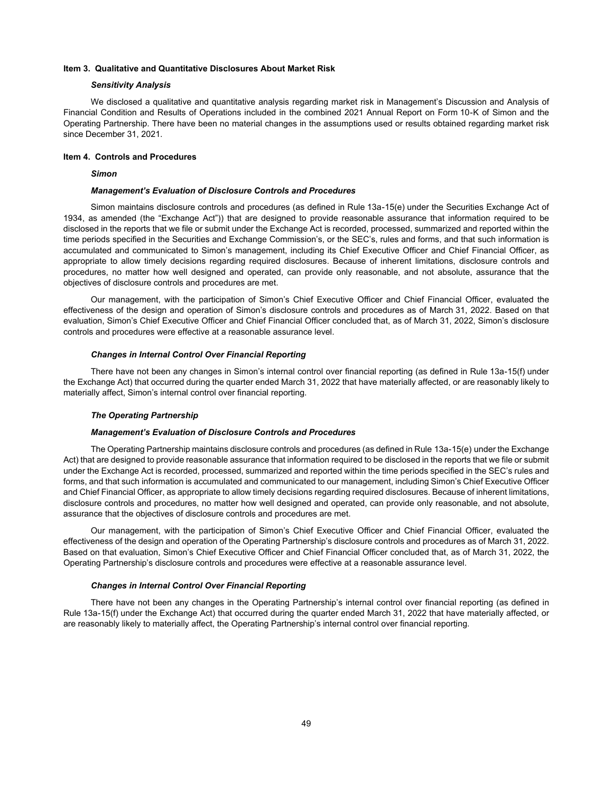#### **Item 3. Qualitative and Quantitative Disclosures About Market Risk**

### *Sensitivity Analysis*

We disclosed a qualitative and quantitative analysis regarding market risk in Management's Discussion and Analysis of Financial Condition and Results of Operations included in the combined 2021 Annual Report on Form 10-K of Simon and the Operating Partnership. There have been no material changes in the assumptions used or results obtained regarding market risk since December 31, 2021.

### **Item 4. Controls and Procedures**

#### *Simon*

#### *Management's Evaluation of Disclosure Controls and Procedures*

Simon maintains disclosure controls and procedures (as defined in Rule 13a-15(e) under the Securities Exchange Act of 1934, as amended (the "Exchange Act")) that are designed to provide reasonable assurance that information required to be disclosed in the reports that we file or submit under the Exchange Act is recorded, processed, summarized and reported within the time periods specified in the Securities and Exchange Commission's, or the SEC's, rules and forms, and that such information is accumulated and communicated to Simon's management, including its Chief Executive Officer and Chief Financial Officer, as appropriate to allow timely decisions regarding required disclosures. Because of inherent limitations, disclosure controls and procedures, no matter how well designed and operated, can provide only reasonable, and not absolute, assurance that the objectives of disclosure controls and procedures are met.

Our management, with the participation of Simon's Chief Executive Officer and Chief Financial Officer, evaluated the effectiveness of the design and operation of Simon's disclosure controls and procedures as of March 31, 2022. Based on that evaluation, Simon's Chief Executive Officer and Chief Financial Officer concluded that, as of March 31, 2022, Simon's disclosure controls and procedures were effective at a reasonable assurance level.

### *Changes in Internal Control Over Financial Reporting*

There have not been any changes in Simon's internal control over financial reporting (as defined in Rule 13a-15(f) under the Exchange Act) that occurred during the quarter ended March 31, 2022 that have materially affected, or are reasonably likely to materially affect, Simon's internal control over financial reporting.

### *The Operating Partnership*

#### *Management's Evaluation of Disclosure Controls and Procedures*

The Operating Partnership maintains disclosure controls and procedures (as defined in Rule 13a-15(e) under the Exchange Act) that are designed to provide reasonable assurance that information required to be disclosed in the reports that we file or submit under the Exchange Act is recorded, processed, summarized and reported within the time periods specified in the SEC's rules and forms, and that such information is accumulated and communicated to our management, including Simon's Chief Executive Officer and Chief Financial Officer, as appropriate to allow timely decisions regarding required disclosures. Because of inherent limitations, disclosure controls and procedures, no matter how well designed and operated, can provide only reasonable, and not absolute, assurance that the objectives of disclosure controls and procedures are met.

Our management, with the participation of Simon's Chief Executive Officer and Chief Financial Officer, evaluated the effectiveness of the design and operation of the Operating Partnership's disclosure controls and procedures as of March 31, 2022. Based on that evaluation, Simon's Chief Executive Officer and Chief Financial Officer concluded that, as of March 31, 2022, the Operating Partnership's disclosure controls and procedures were effective at a reasonable assurance level.

#### *Changes in Internal Control Over Financial Reporting*

There have not been any changes in the Operating Partnership's internal control over financial reporting (as defined in Rule 13a-15(f) under the Exchange Act) that occurred during the quarter ended March 31, 2022 that have materially affected, or are reasonably likely to materially affect, the Operating Partnership's internal control over financial reporting.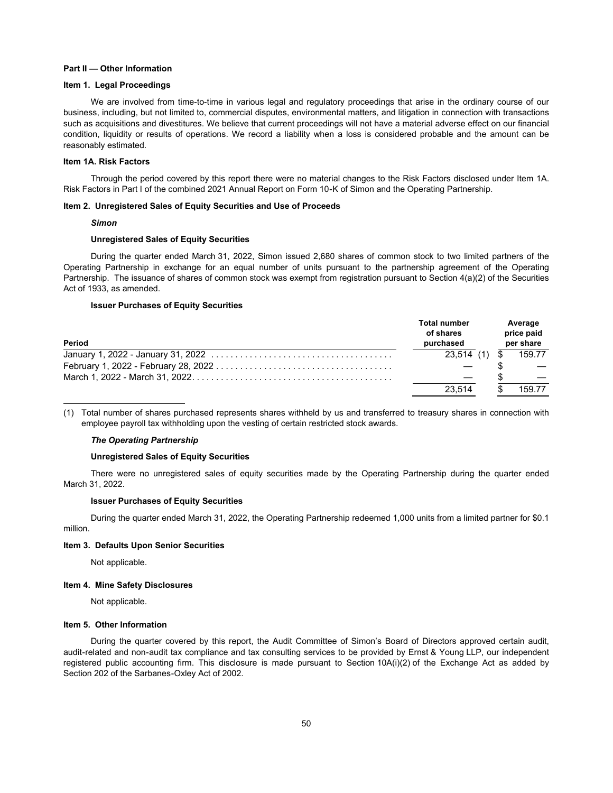### **Part II — Other Information**

### **Item 1. Legal Proceedings**

We are involved from time-to-time in various legal and regulatory proceedings that arise in the ordinary course of our business, including, but not limited to, commercial disputes, environmental matters, and litigation in connection with transactions such as acquisitions and divestitures. We believe that current proceedings will not have a material adverse effect on our financial condition, liquidity or results of operations. We record a liability when a loss is considered probable and the amount can be reasonably estimated.

### **Item 1A. Risk Factors**

Through the period covered by this report there were no material changes to the Risk Factors disclosed under Item 1A. Risk Factors in Part I of the combined 2021 Annual Report on Form 10-K of Simon and the Operating Partnership.

### **Item 2. Unregistered Sales of Equity Securities and Use of Proceeds**

#### *Simon*

#### **Unregistered Sales of Equity Securities**

During the quarter ended March 31, 2022, Simon issued 2,680 shares of common stock to two limited partners of the Operating Partnership in exchange for an equal number of units pursuant to the partnership agreement of the Operating Partnership. The issuance of shares of common stock was exempt from registration pursuant to Section 4(a)(2) of the Securities Act of 1933, as amended.

### **Issuer Purchases of Equity Securities**

| Period | <b>Total number</b><br>of shares<br>purchased | Average<br>price paid<br>per share |
|--------|-----------------------------------------------|------------------------------------|
|        | 23.514 (1)                                    | 159.77                             |
|        |                                               |                                    |
|        |                                               |                                    |
|        | 23.514                                        | 159.77                             |

(1) Total number of shares purchased represents shares withheld by us and transferred to treasury shares in connection with employee payroll tax withholding upon the vesting of certain restricted stock awards.

#### *The Operating Partnership*

#### **Unregistered Sales of Equity Securities**

There were no unregistered sales of equity securities made by the Operating Partnership during the quarter ended March 31, 2022.

#### **Issuer Purchases of Equity Securities**

During the quarter ended March 31, 2022, the Operating Partnership redeemed 1,000 units from a limited partner for \$0.1 million.

### **Item 3. Defaults Upon Senior Securities**

Not applicable.

#### **Item 4. Mine Safety Disclosures**

Not applicable.

### **Item 5. Other Information**

During the quarter covered by this report, the Audit Committee of Simon's Board of Directors approved certain audit, audit-related and non-audit tax compliance and tax consulting services to be provided by Ernst & Young LLP, our independent registered public accounting firm. This disclosure is made pursuant to Section 10A(i)(2) of the Exchange Act as added by Section 202 of the Sarbanes-Oxley Act of 2002.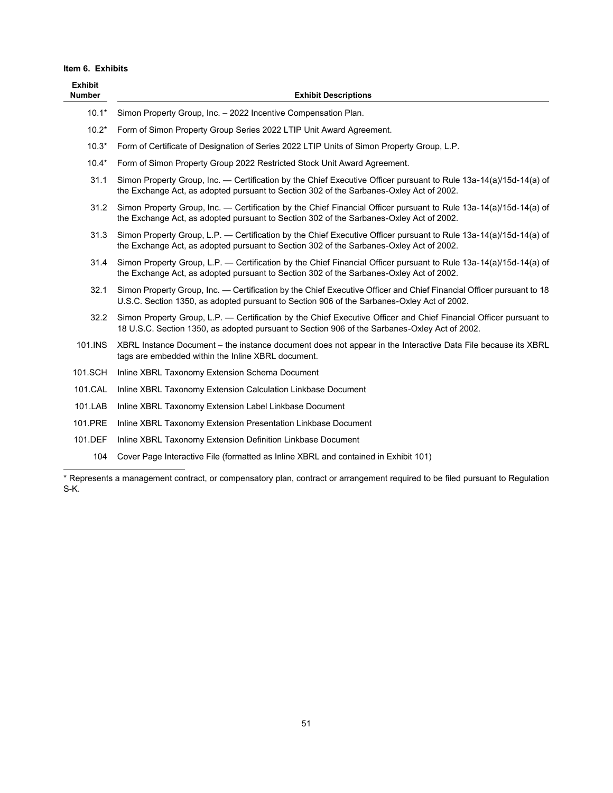### **Item 6. Exhibits**

| <b>Exhibit</b><br><b>Number</b> | <b>Exhibit Descriptions</b>                                                                                                                                                                                        |
|---------------------------------|--------------------------------------------------------------------------------------------------------------------------------------------------------------------------------------------------------------------|
| $10.1*$                         | Simon Property Group, Inc. - 2022 Incentive Compensation Plan.                                                                                                                                                     |
| $10.2*$                         | Form of Simon Property Group Series 2022 LTIP Unit Award Agreement.                                                                                                                                                |
| $10.3*$                         | Form of Certificate of Designation of Series 2022 LTIP Units of Simon Property Group, L.P.                                                                                                                         |
| $10.4*$                         | Form of Simon Property Group 2022 Restricted Stock Unit Award Agreement.                                                                                                                                           |
| 31.1                            | Simon Property Group, Inc. — Certification by the Chief Executive Officer pursuant to Rule 13a-14(a)/15d-14(a) of<br>the Exchange Act, as adopted pursuant to Section 302 of the Sarbanes-Oxley Act of 2002.       |
| 31.2                            | Simon Property Group, Inc. — Certification by the Chief Financial Officer pursuant to Rule 13a-14(a)/15d-14(a) of<br>the Exchange Act, as adopted pursuant to Section 302 of the Sarbanes-Oxley Act of 2002.       |
| 31.3                            | Simon Property Group, L.P. — Certification by the Chief Executive Officer pursuant to Rule 13a-14(a)/15d-14(a) of<br>the Exchange Act, as adopted pursuant to Section 302 of the Sarbanes-Oxley Act of 2002.       |
| 31.4                            | Simon Property Group, L.P. — Certification by the Chief Financial Officer pursuant to Rule 13a-14(a)/15d-14(a) of<br>the Exchange Act, as adopted pursuant to Section 302 of the Sarbanes-Oxley Act of 2002.       |
| 32.1                            | Simon Property Group, Inc. — Certification by the Chief Executive Officer and Chief Financial Officer pursuant to 18<br>U.S.C. Section 1350, as adopted pursuant to Section 906 of the Sarbanes-Oxley Act of 2002. |
| 32.2                            | Simon Property Group, L.P. — Certification by the Chief Executive Officer and Chief Financial Officer pursuant to<br>18 U.S.C. Section 1350, as adopted pursuant to Section 906 of the Sarbanes-Oxley Act of 2002. |
| 101.INS                         | XBRL Instance Document – the instance document does not appear in the Interactive Data File because its XBRL<br>tags are embedded within the Inline XBRL document.                                                 |
| 101.SCH                         | Inline XBRL Taxonomy Extension Schema Document                                                                                                                                                                     |
| 101.CAL                         | Inline XBRL Taxonomy Extension Calculation Linkbase Document                                                                                                                                                       |
| 101.LAB                         | Inline XBRL Taxonomy Extension Label Linkbase Document                                                                                                                                                             |
| 101.PRE                         | Inline XBRL Taxonomy Extension Presentation Linkbase Document                                                                                                                                                      |
| 101.DEF                         | Inline XBRL Taxonomy Extension Definition Linkbase Document                                                                                                                                                        |
| 104                             | Cover Page Interactive File (formatted as Inline XBRL and contained in Exhibit 101)                                                                                                                                |

\* Represents a management contract, or compensatory plan, contract or arrangement required to be filed pursuant to Regulation S-K.